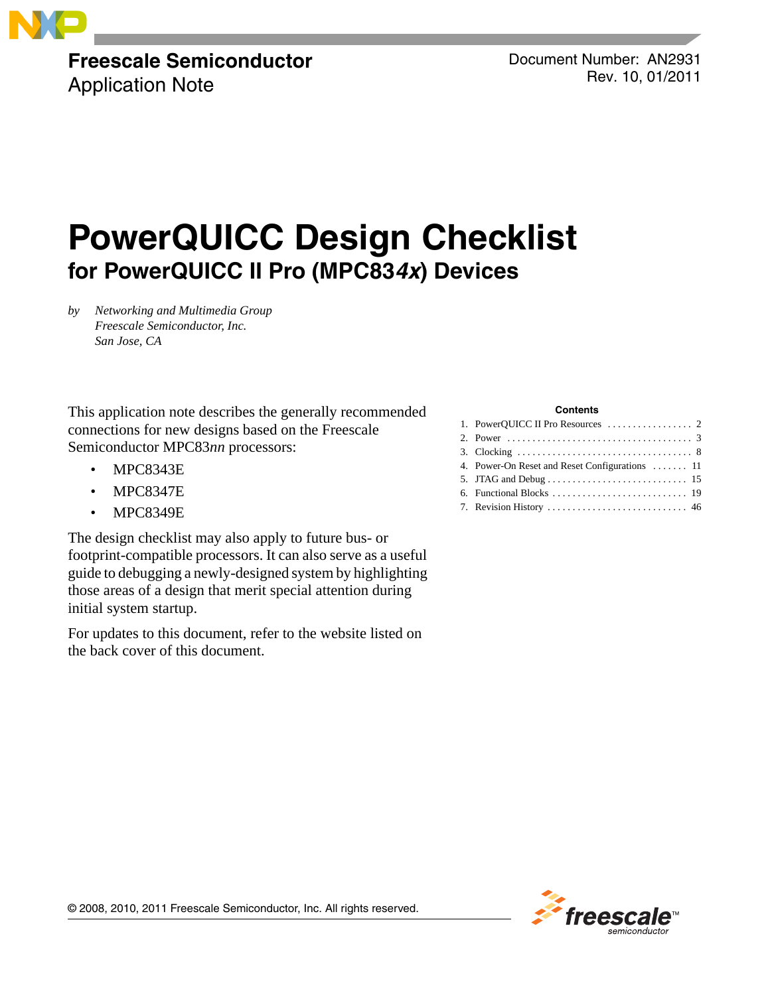### **Freescale Semiconductor** Application Note

Document Number: AN2931 Rev. 10, 01/2011

# **PowerQUICC Design Checklist for PowerQUICC II Pro (MPC83***4x***) Devices**

*by Networking and Multimedia Group Freescale Semiconductor, Inc. San Jose, CA*

This application note describes the generally recommended connections for new designs based on the Freescale Semiconductor MPC83*nn* processors:

- MPC8343E
- MPC8347E
- MPC8349E

The design checklist may also apply to future bus- or footprint-compatible processors. It can also serve as a useful guide to debugging a newly-designed system by highlighting those areas of a design that merit special attention during initial system startup.

For updates to this document, refer to the website listed on the back cover of this document.

#### **Contents**

| 4. Power-On Reset and Reset Configurations  11 |
|------------------------------------------------|
|                                                |
|                                                |
|                                                |

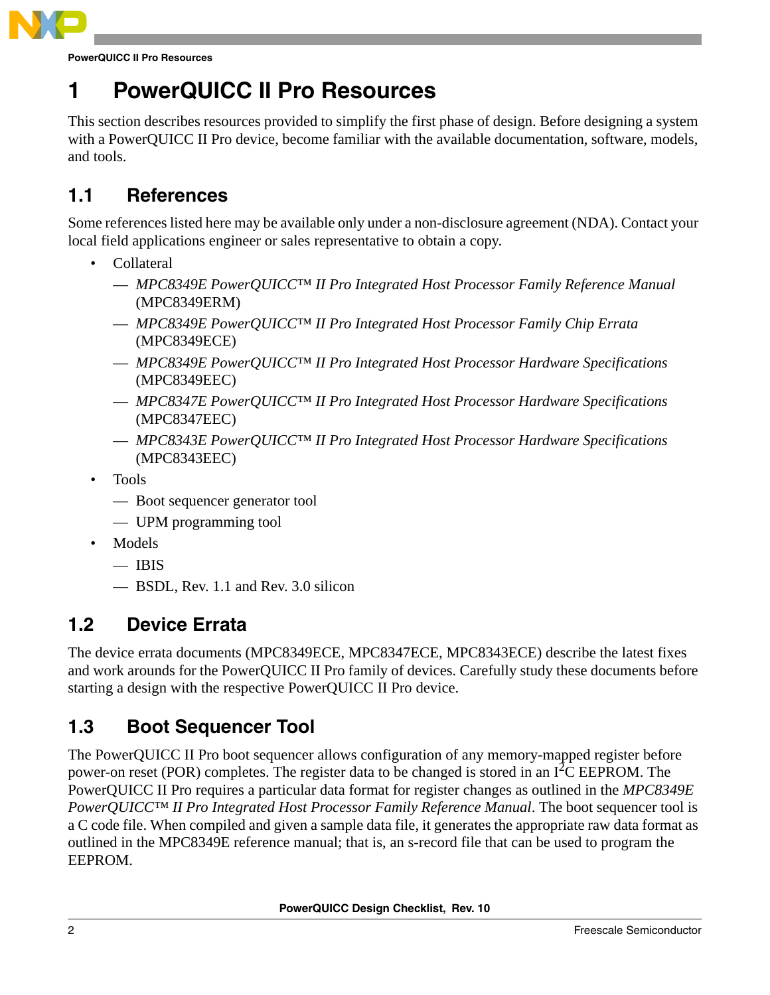

**PowerQUICC II Pro Resources**

# <span id="page-1-0"></span>**1 PowerQUICC II Pro Resources**

This section describes resources provided to simplify the first phase of design. Before designing a system with a PowerQUICC II Pro device, become familiar with the available documentation, software, models, and tools.

## **1.1 References**

Some references listed here may be available only under a non-disclosure agreement (NDA). Contact your local field applications engineer or sales representative to obtain a copy.

- Collateral
	- *MPC8349E PowerQUICC™ II Pro Integrated Host Processor Family Reference Manual* (MPC8349ERM)
	- *MPC8349E PowerQUICC™ II Pro Integrated Host Processor Family Chip Errata* (MPC8349ECE)
	- *MPC8349E PowerQUICC™ II Pro Integrated Host Processor Hardware Specifications* (MPC8349EEC)
	- *MPC8347E PowerQUICC™ II Pro Integrated Host Processor Hardware Specifications* (MPC8347EEC)
	- *MPC8343E PowerQUICC™ II Pro Integrated Host Processor Hardware Specifications* (MPC8343EEC)
- Tools
	- Boot sequencer generator tool
	- UPM programming tool
- Models
	- $-$  IBIS
	- BSDL, Rev. 1.1 and Rev. 3.0 silicon

### **1.2 Device Errata**

The device errata documents (MPC8349ECE, MPC8347ECE, MPC8343ECE) describe the latest fixes and work arounds for the PowerQUICC II Pro family of devices. Carefully study these documents before starting a design with the respective PowerQUICC II Pro device.

## **1.3 Boot Sequencer Tool**

The PowerQUICC II Pro boot sequencer allows configuration of any memory-mapped register before power-on reset (POR) completes. The register data to be changed is stored in an  $I<sup>2</sup>C EEPROM$ . The PowerQUICC II Pro requires a particular data format for register changes as outlined in the *MPC8349E PowerQUICC™ II Pro Integrated Host Processor Family Reference Manual*. The boot sequencer tool is a C code file. When compiled and given a sample data file, it generates the appropriate raw data format as outlined in the MPC8349E reference manual; that is, an s-record file that can be used to program the EEPROM.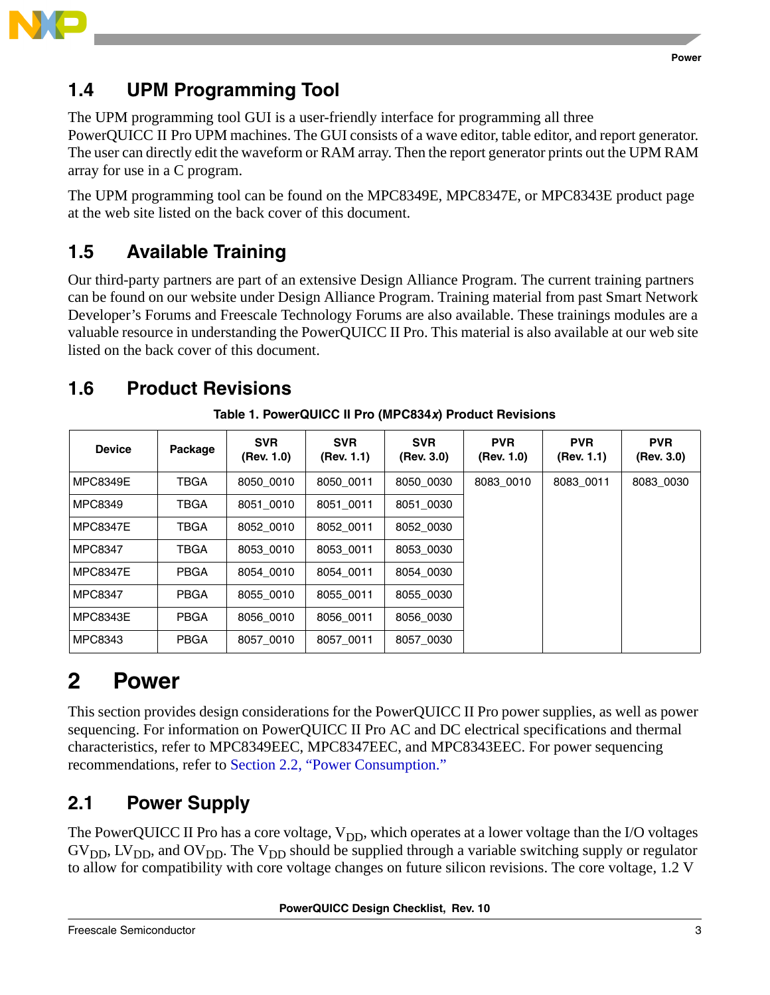

## **1.4 UPM Programming Tool**

The UPM programming tool GUI is a user-friendly interface for programming all three PowerQUICC II Pro UPM machines. The GUI consists of a wave editor, table editor, and report generator. The user can directly edit the waveform or RAM array. Then the report generator prints out the UPM RAM array for use in a C program.

The UPM programming tool can be found on the MPC8349E, MPC8347E, or MPC8343E product page at the web site listed on the back cover of this document.

## **1.5 Available Training**

Our third-party partners are part of an extensive Design Alliance Program. The current training partners can be found on our website under Design Alliance Program. Training material from past Smart Network Developer's Forums and Freescale Technology Forums are also available. These trainings modules are a valuable resource in understanding the PowerQUICC II Pro. This material is also available at our web site listed on the back cover of this document.

## **1.6 Product Revisions**

| <b>Device</b>   | Package     | <b>SVR</b><br>(Rev. 1.0) | <b>SVR</b><br>(Rev. 1.1) | <b>SVR</b><br>(Rev. 3.0) | <b>PVR</b><br>(Rev. 1.0) | <b>PVR</b><br>(Rev. 1.1) | <b>PVR</b><br>(Rev. 3.0) |
|-----------------|-------------|--------------------------|--------------------------|--------------------------|--------------------------|--------------------------|--------------------------|
| <b>MPC8349E</b> | TBGA        | 8050 0010                | 8050 0011                | 8050 0030                | 8083 0010                | 8083 0011                | 8083 0030                |
| <b>MPC8349</b>  | <b>TBGA</b> | 8051 0010                | 8051 0011                | 8051 0030                |                          |                          |                          |
| <b>MPC8347E</b> | TBGA        | 8052 0010                | 8052 0011                | 8052 0030                |                          |                          |                          |
| <b>MPC8347</b>  | TBGA        | 8053 0010                | 8053 0011                | 8053 0030                |                          |                          |                          |
| <b>MPC8347E</b> | <b>PBGA</b> | 8054 0010                | 8054 0011                | 8054 0030                |                          |                          |                          |
| MPC8347         | <b>PBGA</b> | 8055 0010                | 8055 0011                | 8055 0030                |                          |                          |                          |
| <b>MPC8343E</b> | <b>PBGA</b> | 8056 0010                | 8056 0011                | 8056 0030                |                          |                          |                          |
| MPC8343         | <b>PBGA</b> | 8057 0010                | 8057 0011                | 8057_0030                |                          |                          |                          |

**Table 1. PowerQUICC II Pro (MPC834***x***) Product Revisions**

# <span id="page-2-0"></span>**2 Power**

This section provides design considerations for the PowerQUICC II Pro power supplies, as well as power sequencing. For information on PowerQUICC II Pro AC and DC electrical specifications and thermal characteristics, refer to MPC8349EEC, MPC8347EEC, and MPC8343EEC. For power sequencing recommendations, refer to [Section 2.2, "Power Consumption.](#page-3-0)"

## **2.1 Power Supply**

The PowerQUICC II Pro has a core voltage,  $V_{DD}$ , which operates at a lower voltage than the I/O voltages  $GV<sub>DD</sub>, LV<sub>DD</sub>,$  and  $OV<sub>DD</sub>$ . The  $V<sub>DD</sub>$  should be supplied through a variable switching supply or regulator to allow for compatibility with core voltage changes on future silicon revisions. The core voltage, 1.2 V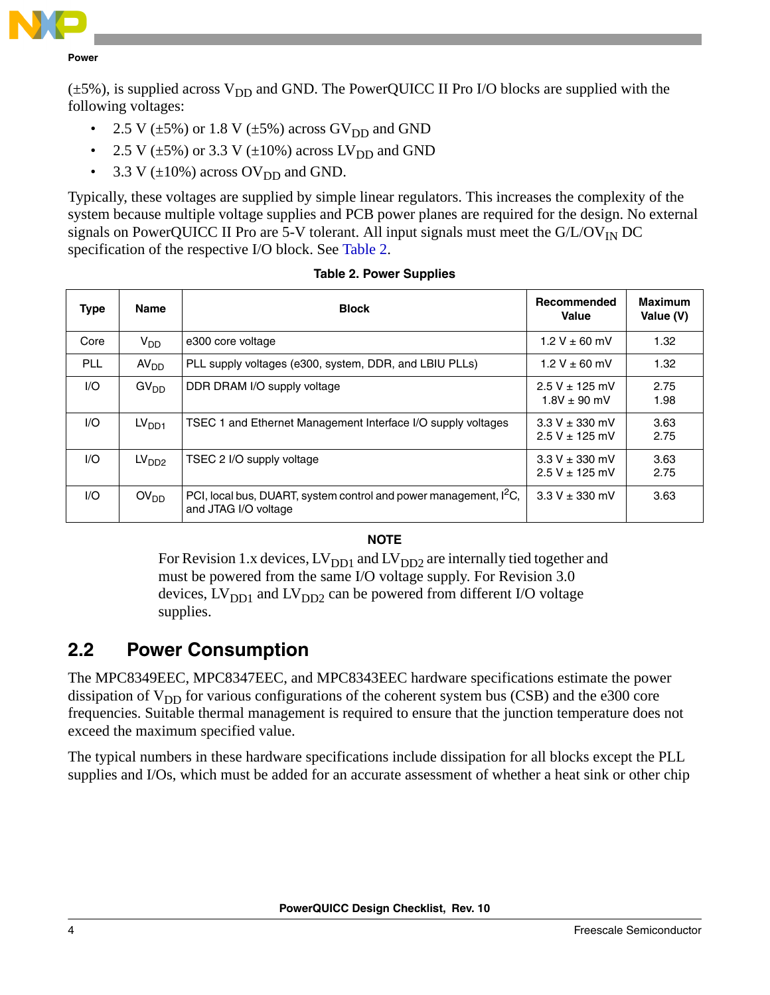

 $(\pm 5\%)$ , is supplied across V<sub>DD</sub> and GND. The PowerQUICC II Pro I/O blocks are supplied with the following voltages:

- 2.5 V ( $\pm$ 5%) or 1.8 V ( $\pm$ 5%) across GV<sub>DD</sub> and GND
- 2.5 V ( $\pm$ 5%) or 3.3 V ( $\pm$ 10%) across LV<sub>DD</sub> and GND
- 3.3 V  $(\pm 10\%)$  across OV<sub>DD</sub> and GND.

Typically, these voltages are supplied by simple linear regulators. This increases the complexity of the system because multiple voltage supplies and PCB power planes are required for the design. No external signals on PowerQUICC II Pro are 5-V tolerant. All input signals must meet the  $G/L/OV_{IN}DC$ specification of the respective I/O block. See [Table 2.](#page-3-1)

<span id="page-3-1"></span>

| <b>Type</b> | Name              | <b>Block</b>                                                                                          | Recommended<br><b>Value</b>              | Maximum<br>Value (V) |
|-------------|-------------------|-------------------------------------------------------------------------------------------------------|------------------------------------------|----------------------|
| Core        | $V_{DD}$          | e300 core voltage                                                                                     | $1.2 V \pm 60$ mV                        | 1.32                 |
| <b>PLL</b>  | AV <sub>DD</sub>  | PLL supply voltages (e300, system, DDR, and LBIU PLLs)                                                | 1.2 V $\pm$ 60 mV                        | 1.32                 |
| 1/O         | GV <sub>DD</sub>  | DDR DRAM I/O supply voltage                                                                           | $2.5 V \pm 125$ mV<br>$1.8V + 90$ mV     | 2.75<br>1.98         |
| 1/O         | LV <sub>DD1</sub> | TSEC 1 and Ethernet Management Interface I/O supply voltages                                          | $3.3 V \pm 330$ mV<br>$2.5 V + 125 mV$   | 3.63<br>2.75         |
| 1/O         | LV <sub>DD2</sub> | TSEC 2 I/O supply voltage                                                                             | $3.3 V \pm 330$ mV<br>$2.5 V \pm 125$ mV | 3.63<br>2.75         |
| 1/O         | OV <sub>DD</sub>  | PCI, local bus, DUART, system control and power management, I <sup>2</sup> C,<br>and JTAG I/O voltage | $3.3 V \pm 330$ mV                       | 3.63                 |

### **Table 2. Power Supplies**

### **NOTE**

For Revision 1.x devices,  $LV_{DD1}$  and  $LV_{DD2}$  are internally tied together and must be powered from the same I/O voltage supply. For Revision 3.0 devices,  $LV_{DD1}$  and  $LV_{DD2}$  can be powered from different I/O voltage supplies.

### <span id="page-3-0"></span>**2.2 Power Consumption**

The MPC8349EEC, MPC8347EEC, and MPC8343EEC hardware specifications estimate the power dissipation of  $V_{DD}$  for various configurations of the coherent system bus (CSB) and the e300 core frequencies. Suitable thermal management is required to ensure that the junction temperature does not exceed the maximum specified value.

The typical numbers in these hardware specifications include dissipation for all blocks except the PLL supplies and I/Os, which must be added for an accurate assessment of whether a heat sink or other chip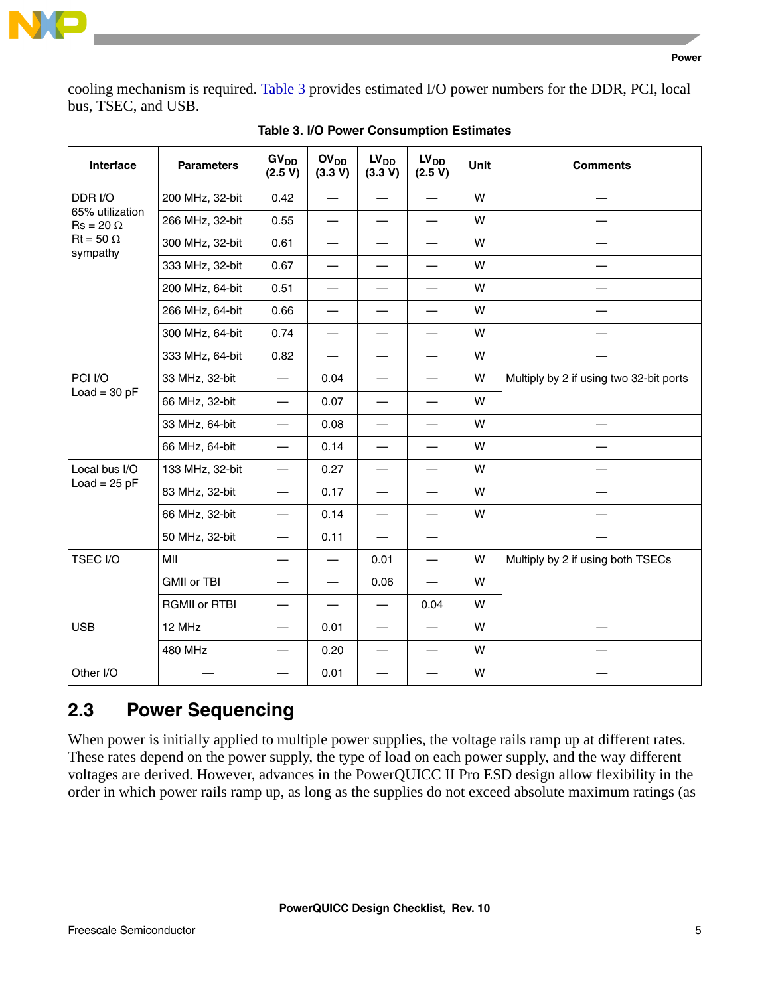

cooling mechanism is required. [Table 3](#page-4-0) provides estimated I/O power numbers for the DDR, PCI, local bus, TSEC, and USB.

<span id="page-4-0"></span>

| Interface                           | <b>Parameters</b>    | GV <sub>DD</sub><br>(2.5 V)      | OV <sub>DD</sub><br>(3.3 V) | LV <sub>DD</sub><br>(3.3 V) | LV <sub>DD</sub><br>(2.5 V) | <b>Unit</b> | <b>Comments</b>                         |
|-------------------------------------|----------------------|----------------------------------|-----------------------------|-----------------------------|-----------------------------|-------------|-----------------------------------------|
| DDR I/O                             | 200 MHz, 32-bit      | 0.42                             | $\overline{\phantom{0}}$    |                             |                             | W           |                                         |
| 65% utilization<br>$Rs = 20 \Omega$ | 266 MHz, 32-bit      | 0.55                             | $\overline{\phantom{0}}$    |                             |                             | W           |                                         |
| $Rt = 50 \Omega$<br>sympathy        | 300 MHz, 32-bit      | 0.61                             | $\overline{\phantom{0}}$    |                             |                             | W           |                                         |
|                                     | 333 MHz, 32-bit      | 0.67                             | $\overline{\phantom{0}}$    |                             |                             | W           |                                         |
|                                     | 200 MHz, 64-bit      | 0.51                             | $\overline{\phantom{0}}$    |                             |                             | W           |                                         |
|                                     | 266 MHz, 64-bit      | 0.66                             | $\overline{\phantom{0}}$    | $\overline{\phantom{0}}$    |                             | W           |                                         |
|                                     | 300 MHz, 64-bit      | 0.74                             | $\overline{\phantom{0}}$    |                             |                             | W           |                                         |
|                                     | 333 MHz, 64-bit      | 0.82                             |                             |                             |                             | W           |                                         |
| PCI I/O                             | 33 MHz, 32-bit       |                                  | 0.04                        |                             |                             | W           | Multiply by 2 if using two 32-bit ports |
| $Load = 30 pF$                      | 66 MHz, 32-bit       | $\overbrace{\phantom{12322111}}$ | 0.07                        |                             |                             | W           |                                         |
|                                     | 33 MHz, 64-bit       | $\overline{\phantom{0}}$         | 0.08                        |                             |                             | W           |                                         |
|                                     | 66 MHz, 64-bit       | $\overbrace{\phantom{12322111}}$ | 0.14                        |                             |                             | W           |                                         |
| Local bus I/O                       | 133 MHz, 32-bit      |                                  | 0.27                        | $\overline{\phantom{0}}$    |                             | W           |                                         |
| $Load = 25 pF$                      | 83 MHz, 32-bit       |                                  | 0.17                        |                             | —                           | W           |                                         |
|                                     | 66 MHz, 32-bit       |                                  | 0.14                        |                             |                             | W           |                                         |
|                                     | 50 MHz, 32-bit       | $\overline{\phantom{0}}$         | 0.11                        |                             |                             |             |                                         |
| <b>TSEC I/O</b>                     | MII                  | $\overline{\phantom{0}}$         | $\overline{\phantom{0}}$    | 0.01                        |                             | W           | Multiply by 2 if using both TSECs       |
|                                     | <b>GMII or TBI</b>   | $\overline{\phantom{0}}$         | $\overline{\phantom{0}}$    | 0.06                        |                             | W           |                                         |
|                                     | <b>RGMII or RTBI</b> |                                  |                             | $\overline{\phantom{m}}$    | 0.04                        | W           |                                         |
| <b>USB</b>                          | 12 MHz               |                                  | 0.01                        |                             |                             | W           |                                         |
|                                     | 480 MHz              |                                  | 0.20                        |                             | $\overline{\phantom{0}}$    | W           |                                         |
| Other I/O                           |                      |                                  | 0.01                        |                             |                             | W           |                                         |

**Table 3. I/O Power Consumption Estimates**

### **2.3 Power Sequencing**

When power is initially applied to multiple power supplies, the voltage rails ramp up at different rates. These rates depend on the power supply, the type of load on each power supply, and the way different voltages are derived. However, advances in the PowerQUICC II Pro ESD design allow flexibility in the order in which power rails ramp up, as long as the supplies do not exceed absolute maximum ratings (as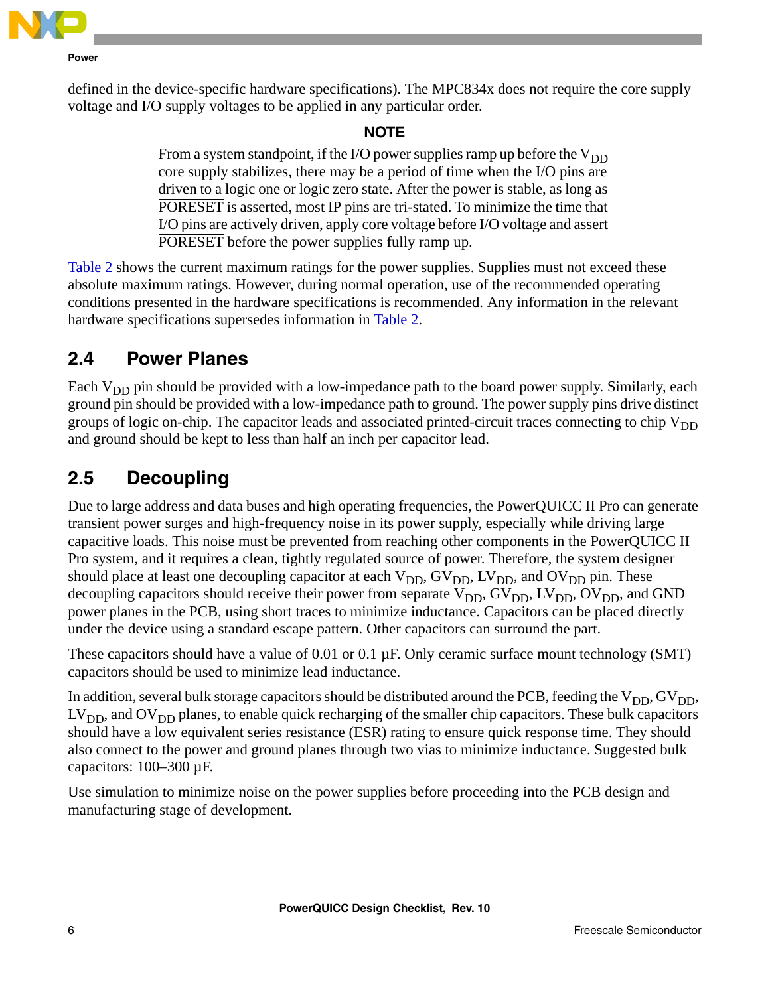

defined in the device-specific hardware specifications). The MPC834x does not require the core supply voltage and I/O supply voltages to be applied in any particular order.

### **NOTE**

From a system standpoint, if the I/O power supplies ramp up before the  $V_{DD}$ core supply stabilizes, there may be a period of time when the I/O pins are driven to a logic one or logic zero state. After the power is stable, as long as PORESET is asserted, most IP pins are tri-stated. To minimize the time that I/O pins are actively driven, apply core voltage before I/O voltage and assert PORESET before the power supplies fully ramp up.

[Table 2](#page-3-1) shows the current maximum ratings for the power supplies. Supplies must not exceed these absolute maximum ratings. However, during normal operation, use of the recommended operating conditions presented in the hardware specifications is recommended. Any information in the relevant hardware specifications supersedes information in [Table 2.](#page-3-1)

### **2.4 Power Planes**

Each  $V_{DD}$  pin should be provided with a low-impedance path to the board power supply. Similarly, each ground pin should be provided with a low-impedance path to ground. The power supply pins drive distinct groups of logic on-chip. The capacitor leads and associated printed-circuit traces connecting to chip  $V_{DD}$ and ground should be kept to less than half an inch per capacitor lead.

## **2.5 Decoupling**

Due to large address and data buses and high operating frequencies, the PowerQUICC II Pro can generate transient power surges and high-frequency noise in its power supply, especially while driving large capacitive loads. This noise must be prevented from reaching other components in the PowerQUICC II Pro system, and it requires a clean, tightly regulated source of power. Therefore, the system designer should place at least one decoupling capacitor at each  $V_{DD}$ ,  $GV_{DD}$ ,  $LV_{DD}$ , and  $OV_{DD}$  pin. These decoupling capacitors should receive their power from separate  $V_{DD}$ ,  $GV_{DD}$ ,  $LV_{DD}$ ,  $OV_{DD}$ , and GND power planes in the PCB, using short traces to minimize inductance. Capacitors can be placed directly under the device using a standard escape pattern. Other capacitors can surround the part.

These capacitors should have a value of 0.01 or 0.1  $\mu$ F. Only ceramic surface mount technology (SMT) capacitors should be used to minimize lead inductance.

In addition, several bulk storage capacitors should be distributed around the PCB, feeding the  $V_{DD}$ ,  $GV_{DD}$ ,  $LV<sub>DD</sub>$ , and  $OV<sub>DD</sub>$  planes, to enable quick recharging of the smaller chip capacitors. These bulk capacitors should have a low equivalent series resistance (ESR) rating to ensure quick response time. They should also connect to the power and ground planes through two vias to minimize inductance. Suggested bulk capacitors: 100–300 µF.

Use simulation to minimize noise on the power supplies before proceeding into the PCB design and manufacturing stage of development.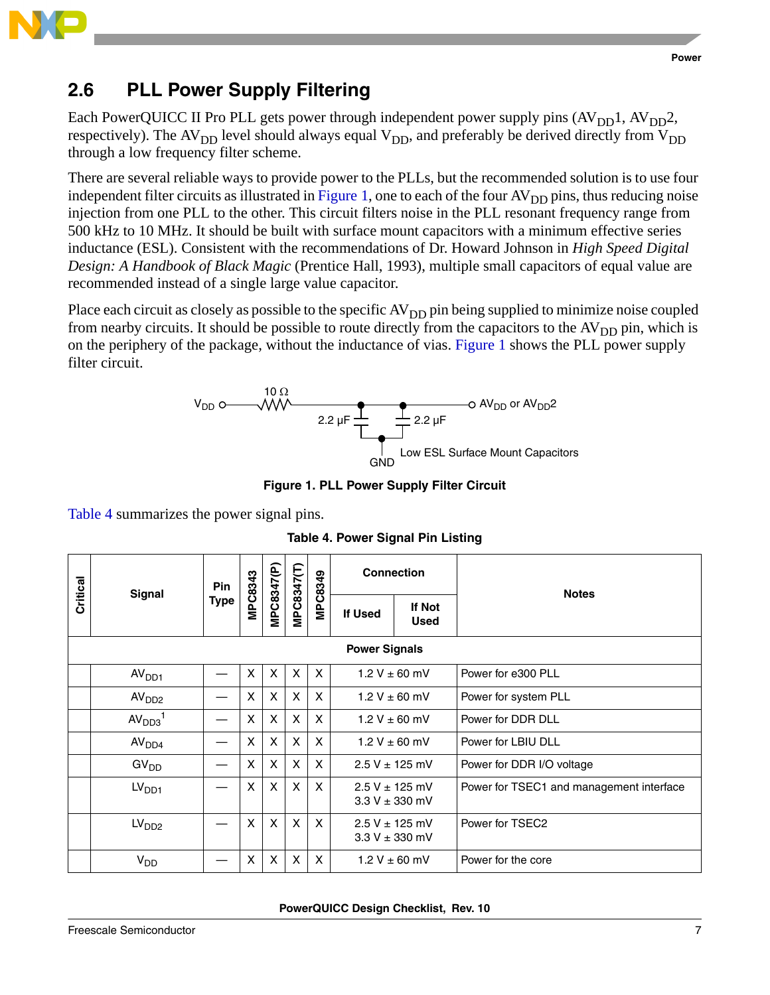

### **2.6 PLL Power Supply Filtering**

Each PowerQUICC II Pro PLL gets power through independent power supply pins  $(AV_{DD}1, AV_{DD}2,$ respectively). The AV<sub>DD</sub> level should always equal V<sub>DD</sub>, and preferably be derived directly from V<sub>DD</sub> through a low frequency filter scheme.

There are several reliable ways to provide power to the PLLs, but the recommended solution is to use four independent filter circuits as illustrated in [Figure 1](#page-6-0), one to each of the four  $AV<sub>DD</sub>$  pins, thus reducing noise injection from one PLL to the other. This circuit filters noise in the PLL resonant frequency range from 500 kHz to 10 MHz. It should be built with surface mount capacitors with a minimum effective series inductance (ESL). Consistent with the recommendations of Dr. Howard Johnson in *High Speed Digital Design: A Handbook of Black Magic* (Prentice Hall, 1993), multiple small capacitors of equal value are recommended instead of a single large value capacitor.

Place each circuit as closely as possible to the specific  $AV<sub>DD</sub>$  pin being supplied to minimize noise coupled from nearby circuits. It should be possible to route directly from the capacitors to the  $AV<sub>DD</sub>$  pin, which is on the periphery of the package, without the inductance of vias. [Figure 1](#page-6-0) shows the PLL power supply filter circuit.



**Figure 1. PLL Power Supply Filter Circuit**

<span id="page-6-1"></span><span id="page-6-0"></span>[Table 4](#page-6-1) summarizes the power signal pins.

|          |                                | Pin         |         |            |            |                           |         | <b>Connection</b>                        | <b>Notes</b>                             |  |  |  |
|----------|--------------------------------|-------------|---------|------------|------------|---------------------------|---------|------------------------------------------|------------------------------------------|--|--|--|
| Critical | <b>Signal</b>                  | <b>Type</b> | MPC8343 | MPC8347(P) | MPC8347(T) | MPC8349                   | If Used | <b>If Not</b><br><b>Used</b>             |                                          |  |  |  |
|          | <b>Power Signals</b>           |             |         |            |            |                           |         |                                          |                                          |  |  |  |
|          | AV <sub>DD1</sub>              |             | X       | X          | X          | X                         |         | $1.2 V \pm 60$ mV                        | Power for e300 PLL                       |  |  |  |
|          | AV <sub>DD2</sub>              |             | X       | X          | X          | X                         |         | $1.2 V \pm 60$ mV                        | Power for system PLL                     |  |  |  |
|          | AV <sub>DD3</sub> <sup>1</sup> |             | X       | X          | X          | X                         |         | $1.2 V \pm 60$ mV                        | Power for DDR DLL                        |  |  |  |
|          | AV <sub>DD4</sub>              |             | X       | X          | X          | X                         |         | $1.2 V \pm 60$ mV                        | Power for LBIU DLL                       |  |  |  |
|          | GV <sub>DD</sub>               |             | X       | X          | X          | X                         |         | $2.5 V \pm 125$ mV                       | Power for DDR I/O voltage                |  |  |  |
|          | LV <sub>DD1</sub>              |             | X       | X          | X          | X                         |         | $2.5 V \pm 125$ mV<br>$3.3 V \pm 330$ mV | Power for TSEC1 and management interface |  |  |  |
|          | LV <sub>DD2</sub>              |             | X       | X          | X          | X                         |         | $2.5 V \pm 125$ mV<br>$3.3 V \pm 330$ mV | Power for TSEC2                          |  |  |  |
|          | V <sub>DD</sub>                |             | X       | X          | X          | $\boldsymbol{\mathsf{x}}$ |         | $1.2 V \pm 60$ mV                        | Power for the core                       |  |  |  |

**Table 4. Power Signal Pin Listing**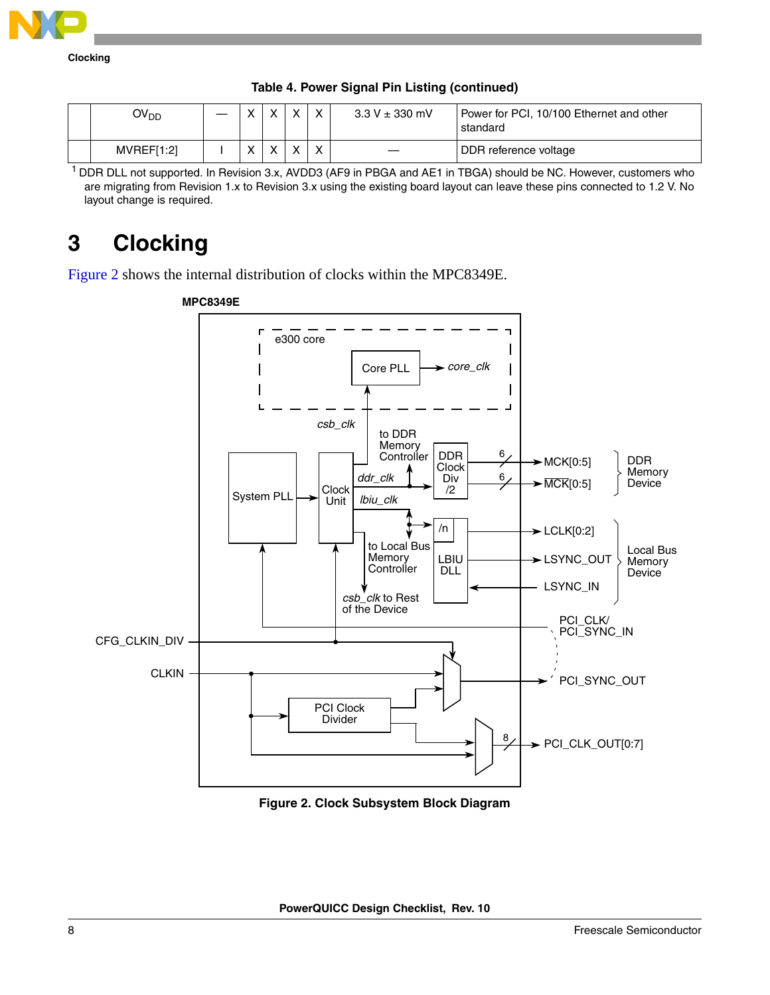

| OV <sub>DD</sub> |              | $\lambda$ | $\checkmark$ | $\mathbf{v}$ | $3.3 V \pm 330$ mV | Power for PCI, 10/100 Ethernet and other<br>standard |
|------------------|--------------|-----------|--------------|--------------|--------------------|------------------------------------------------------|
| MVREFI1:21       | $\mathbf{v}$ | $\lambda$ | $\cdot$      | $\checkmark$ |                    | DDR reference voltage                                |

<sup>1</sup> DDR DLL not supported. In Revision 3.x, AVDD3 (AF9 in PBGA and AE1 in TBGA) should be NC. However, customers who are migrating from Revision 1.x to Revision 3.x using the existing board layout can leave these pins connected to 1.2 V. No layout change is required.

# <span id="page-7-0"></span>**3 Clocking**

[Figure 2](#page-7-1) shows the internal distribution of clocks within the MPC8349E.



<span id="page-7-1"></span>**Figure 2. Clock Subsystem Block Diagram**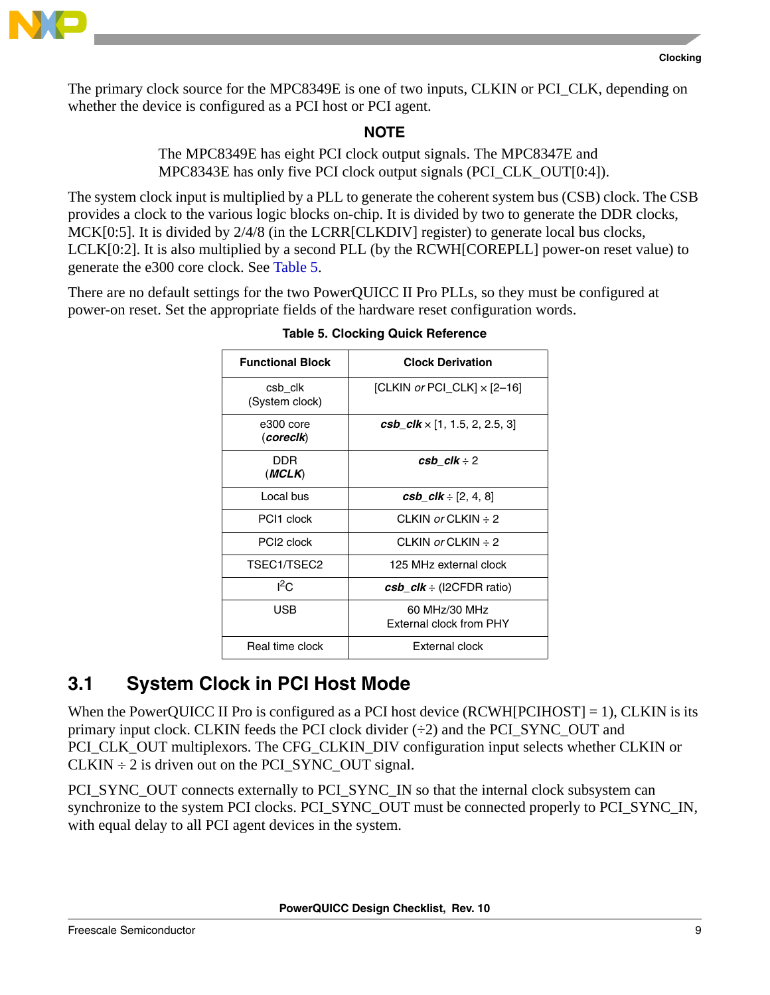

The primary clock source for the MPC8349E is one of two inputs, CLKIN or PCI\_CLK, depending on whether the device is configured as a PCI host or PCI agent.

**NOTE**

The MPC8349E has eight PCI clock output signals. The MPC8347E and MPC8343E has only five PCI clock output signals (PCI\_CLK\_OUT[0:4]).

The system clock input is multiplied by a PLL to generate the coherent system bus (CSB) clock. The CSB provides a clock to the various logic blocks on-chip. It is divided by two to generate the DDR clocks, MCK[0:5]. It is divided by  $2/4/8$  (in the LCRR[CLKDIV] register) to generate local bus clocks, LCLK[0:2]. It is also multiplied by a second PLL (by the RCWH[COREPLL] power-on reset value) to generate the e300 core clock. See [Table 5.](#page-8-0)

<span id="page-8-0"></span>There are no default settings for the two PowerQUICC II Pro PLLs, so they must be configured at power-on reset. Set the appropriate fields of the hardware reset configuration words.

| <b>Functional Block</b>   | <b>Clock Derivation</b>                       |  |  |  |  |
|---------------------------|-----------------------------------------------|--|--|--|--|
| csb clk<br>(System clock) | [CLKIN or PCI_CLK] × [2-16]                   |  |  |  |  |
| e300 core<br>(corecik)    | <b>csb_clk</b> $\times$ [1, 1.5, 2, 2.5, 3]   |  |  |  |  |
| DDR<br>(MCLK)             | $\cosh$ clk $\div$ 2                          |  |  |  |  |
| Local bus                 | <b>csb_clk</b> $\div$ [2, 4, 8]               |  |  |  |  |
| PCI1 clock                | CLKIN or CLKIN $\div$ 2                       |  |  |  |  |
| PCI <sub>2</sub> clock    | CLKIN or CLKIN $\div$ 2                       |  |  |  |  |
| TSEC1/TSEC2               | 125 MHz external clock                        |  |  |  |  |
| ${}^{12}C$                | $\cosh \, c\,$ $\cosh \, \div$ (I2CFDR ratio) |  |  |  |  |
| USB                       | 60 MHz/30 MHz<br>External clock from PHY      |  |  |  |  |
| Real time clock           | External clock                                |  |  |  |  |

**Table 5. Clocking Quick Reference**

## **3.1 System Clock in PCI Host Mode**

When the PowerQUICC II Pro is configured as a PCI host device  $(RCWH[PCIHOST] = 1)$ , CLKIN is its primary input clock. CLKIN feeds the PCI clock divider (÷2) and the PCI\_SYNC\_OUT and PCI\_CLK\_OUT multiplexors. The CFG\_CLKIN\_DIV configuration input selects whether CLKIN or  $CLKIN \div 2$  is driven out on the PCI SYNC OUT signal.

PCI\_SYNC\_OUT connects externally to PCI\_SYNC\_IN so that the internal clock subsystem can synchronize to the system PCI clocks. PCI\_SYNC\_OUT must be connected properly to PCI\_SYNC\_IN, with equal delay to all PCI agent devices in the system.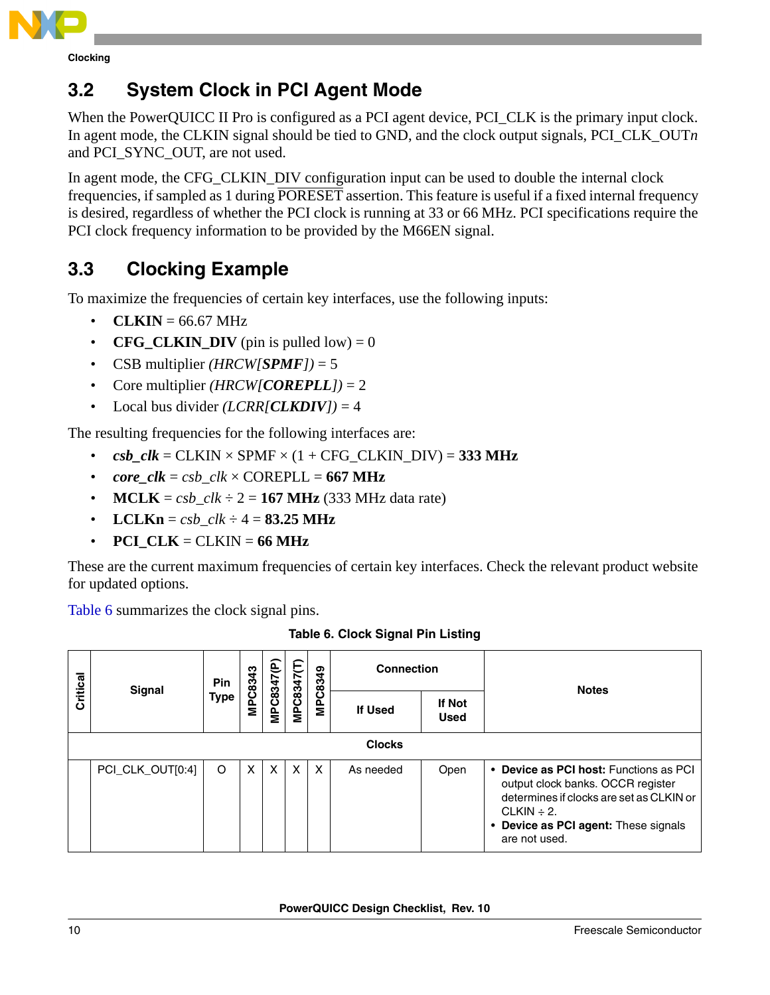

**Clocking**

## **3.2 System Clock in PCI Agent Mode**

When the PowerQUICC II Pro is configured as a PCI agent device, PCI\_CLK is the primary input clock. In agent mode, the CLKIN signal should be tied to GND, and the clock output signals, PCI\_CLK\_OUT*n* and PCI\_SYNC\_OUT, are not used.

In agent mode, the CFG CLKIN DIV configuration input can be used to double the internal clock frequencies, if sampled as 1 during PORESET assertion. This feature is useful if a fixed internal frequency is desired, regardless of whether the PCI clock is running at 33 or 66 MHz. PCI specifications require the PCI clock frequency information to be provided by the M66EN signal.

## **3.3 Clocking Example**

To maximize the frequencies of certain key interfaces, use the following inputs:

- $CLKIN = 66.67 MHz$
- **CFG CLKIN DIV** (pin is pulled low) = 0
- CSB multiplier *(HRCW[SPMF])* = 5
- Core multiplier *(HRCW[COREPLL])* = 2
- Local bus divider  $(LCRR<sub>[CLKDIV]</sub>) = 4$

The resulting frequencies for the following interfaces are:

- $csb_clk = \text{CLKIN} \times \text{SPMF} \times (1 + \text{CFG}_\text{CLKIN} \text{_DIV}) = 333 \text{ MHz}$
- $core\_clk = csb\_clk \times COREPLL = 667 MHz$
- **MCLK** =  $csb$   $clk \div 2 = 167$  **MHz** (333 MHz data rate)
- **LCLKn** =  $csb$   $clk \div 4 = 83.25 \text{ MHz}$
- **PCI**  $CLK = CLKIN = 66 MHz$

These are the current maximum frequencies of certain key interfaces. Check the relevant product website for updated options.

[Table 6](#page-9-0) summarizes the clock signal pins.

<span id="page-9-0"></span>

|          | Signal           | Pin         |   |   |   |   | <b>Connection</b> |      | <b>Notes</b>                                                                                                                                                                                        |  |  |  |  |  |  |                |  |            |            |         |                |                       |  |
|----------|------------------|-------------|---|---|---|---|-------------------|------|-----------------------------------------------------------------------------------------------------------------------------------------------------------------------------------------------------|--|--|--|--|--|--|----------------|--|------------|------------|---------|----------------|-----------------------|--|
| Critical |                  | <b>Type</b> |   |   |   |   |                   |      |                                                                                                                                                                                                     |  |  |  |  |  |  | <b>MPC8343</b> |  | MPC8347(P) | MPC8347(T) | MPC8349 | <b>If Used</b> | If Not<br><b>Used</b> |  |
|          | <b>Clocks</b>    |             |   |   |   |   |                   |      |                                                                                                                                                                                                     |  |  |  |  |  |  |                |  |            |            |         |                |                       |  |
|          | PCI_CLK_OUT[0:4] | O           | X | X | X | X | As needed         | Open | • Device as PCI host: Functions as PCI<br>output clock banks. OCCR register<br>determines if clocks are set as CLKIN or<br>CLKIN $\div$ 2.<br>• Device as PCI agent: These signals<br>are not used. |  |  |  |  |  |  |                |  |            |            |         |                |                       |  |

**Table 6. Clock Signal Pin Listing**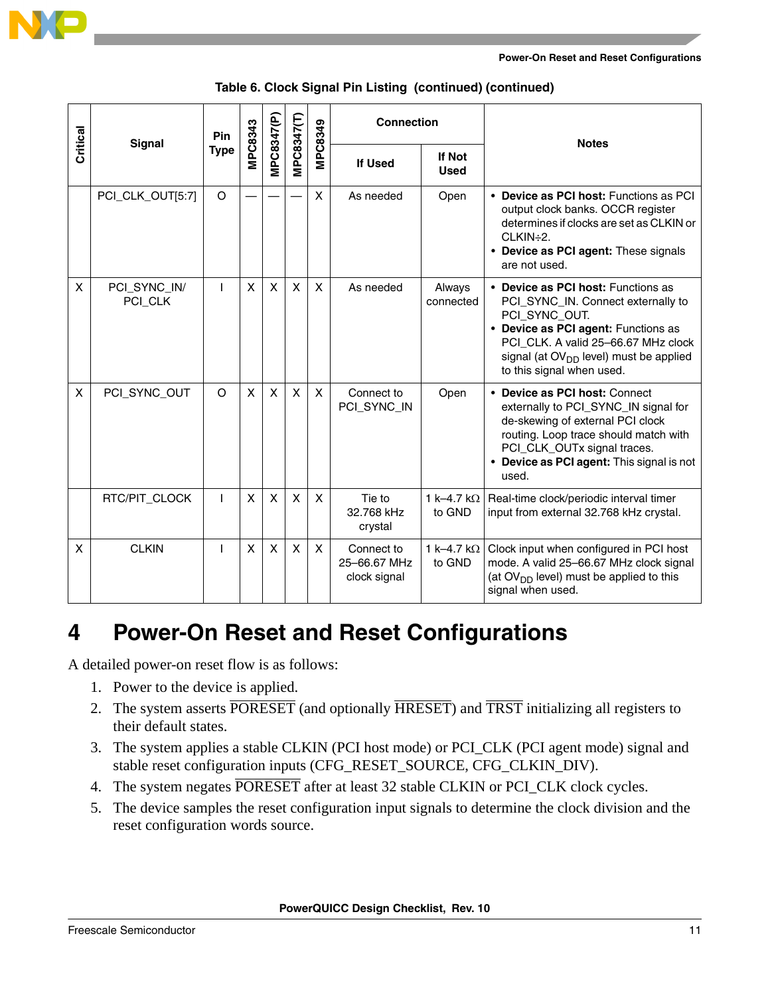

|          | <b>Signal</b>           | Pin         |         |              |             |                | <b>Connection</b>                          |                              | <b>Notes</b>                                                                                                                                                                                                                                     |
|----------|-------------------------|-------------|---------|--------------|-------------|----------------|--------------------------------------------|------------------------------|--------------------------------------------------------------------------------------------------------------------------------------------------------------------------------------------------------------------------------------------------|
| Critical |                         | <b>Type</b> | MPC8343 | MPC8347(P)   | VIPC8347(T) | <b>MPC8349</b> | <b>If Used</b>                             | <b>If Not</b><br><b>Used</b> |                                                                                                                                                                                                                                                  |
|          | PCI_CLK_OUT[5:7]        | O           |         |              |             | X              | As needed                                  | Open                         | • Device as PCI host: Functions as PCI<br>output clock banks. OCCR register<br>determines if clocks are set as CLKIN or<br>$CLKIN \div 2$ .<br>• Device as PCI agent: These signals<br>are not used.                                             |
| X        | PCI_SYNC_IN/<br>PCI_CLK | L           | X       | $\mathsf{x}$ | X           | X              | As needed                                  | Always<br>connected          | • Device as PCI host: Functions as<br>PCI_SYNC_IN. Connect externally to<br>PCI_SYNC_OUT.<br>• Device as PCI agent: Functions as<br>PCI CLK. A valid 25-66.67 MHz clock<br>signal (at $OVDD$ level) must be applied<br>to this signal when used. |
| X        | PCI_SYNC_OUT            | $\circ$     | X       | X            | X           | $\mathsf{x}$   | Connect to<br>PCI_SYNC_IN                  | Open                         | • Device as PCI host: Connect<br>externally to PCI_SYNC_IN signal for<br>de-skewing of external PCI clock<br>routing. Loop trace should match with<br>PCI_CLK_OUTx signal traces.<br>• Device as PCI agent: This signal is not<br>used.          |
|          | RTC/PIT_CLOCK           | T           | X       | $\mathsf{x}$ | X           | X              | Tie to<br>32.768 kHz<br>crystal            | 1 k-4.7 k $\Omega$<br>to GND | Real-time clock/periodic interval timer<br>input from external 32.768 kHz crystal.                                                                                                                                                               |
| X        | <b>CLKIN</b>            | ı           | X       | X            | X           | X              | Connect to<br>25-66.67 MHz<br>clock signal | 1 k-4.7 k $\Omega$<br>to GND | Clock input when configured in PCI host<br>mode. A valid 25-66.67 MHz clock signal<br>(at $OVDD$ level) must be applied to this<br>signal when used.                                                                                             |

#### **Table 6. Clock Signal Pin Listing (continued) (continued)**

## <span id="page-10-0"></span>**4 Power-On Reset and Reset Configurations**

A detailed power-on reset flow is as follows:

- 1. Power to the device is applied.
- 2. The system asserts **PORESET** (and optionally **HRESET**) and **TRST** initializing all registers to their default states.
- 3. The system applies a stable CLKIN (PCI host mode) or PCI\_CLK (PCI agent mode) signal and stable reset configuration inputs (CFG\_RESET\_SOURCE, CFG\_CLKIN\_DIV).
- 4. The system negates PORESET after at least 32 stable CLKIN or PCI\_CLK clock cycles.
- 5. The device samples the reset configuration input signals to determine the clock division and the reset configuration words source.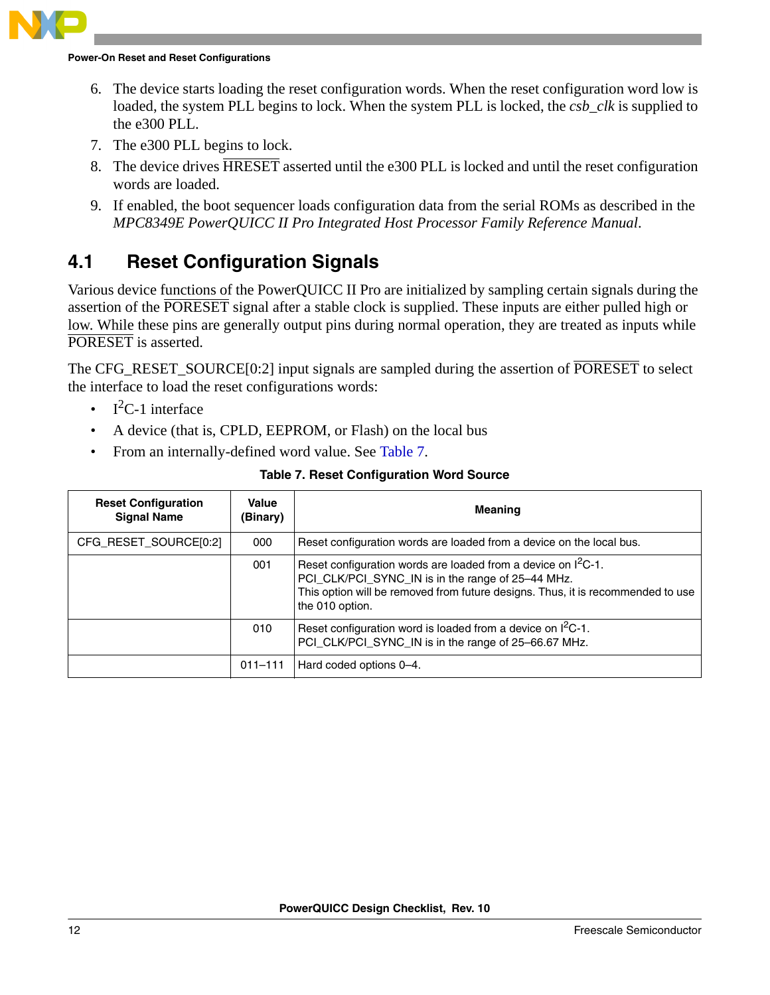#### **Power-On Reset and Reset Configurations**

- 6. The device starts loading the reset configuration words. When the reset configuration word low is loaded, the system PLL begins to lock. When the system PLL is locked, the *csb\_clk* is supplied to the e300 PLL.
- 7. The e300 PLL begins to lock.
- 8. The device drives HRESET asserted until the e300 PLL is locked and until the reset configuration words are loaded.
- 9. If enabled, the boot sequencer loads configuration data from the serial ROMs as described in the *MPC8349E PowerQUICC II Pro Integrated Host Processor Family Reference Manual*.

### **4.1 Reset Configuration Signals**

Various device functions of the PowerQUICC II Pro are initialized by sampling certain signals during the assertion of the PORESET signal after a stable clock is supplied. These inputs are either pulled high or low. While these pins are generally output pins during normal operation, they are treated as inputs while PORESET is asserted.

The CFG\_RESET\_SOURCE[0:2] input signals are sampled during the assertion of PORESET to select the interface to load the reset configurations words:

- $I^2C-1$  interface
- A device (that is, CPLD, EEPROM, or Flash) on the local bus
- From an internally-defined word value. See [Table 7.](#page-11-0)

|  | Table 7. Reset Configuration Word Source |  |
|--|------------------------------------------|--|
|  |                                          |  |

<span id="page-11-0"></span>

| <b>Reset Configuration</b><br><b>Signal Name</b> | Value<br>(Binary) | <b>Meaning</b>                                                                                                                                                                                                              |
|--------------------------------------------------|-------------------|-----------------------------------------------------------------------------------------------------------------------------------------------------------------------------------------------------------------------------|
| CFG_RESET_SOURCE[0:2]                            | 000               | Reset configuration words are loaded from a device on the local bus.                                                                                                                                                        |
|                                                  | 001               | Reset configuration words are loaded from a device on $I^2C-1$ .<br>PCI_CLK/PCI_SYNC_IN is in the range of 25-44 MHz.<br>This option will be removed from future designs. Thus, it is recommended to use<br>the 010 option. |
|                                                  | 010               | Reset configuration word is loaded from a device on $I^2C-1$ .<br>PCI_CLK/PCI_SYNC_IN is in the range of 25-66.67 MHz.                                                                                                      |
|                                                  | $011 - 111$       | Hard coded options 0-4.                                                                                                                                                                                                     |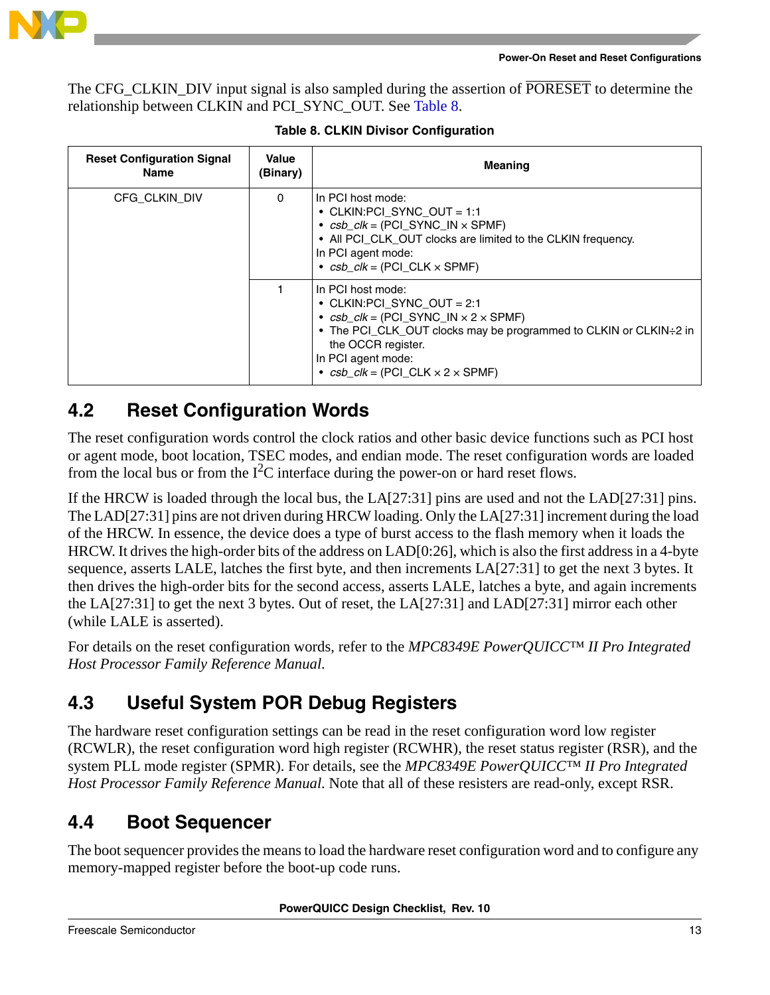

The CFG\_CLKIN\_DIV input signal is also sampled during the assertion of PORESET to determine the relationship between CLKIN and PCI\_SYNC\_OUT. See [Table 8.](#page-12-0)

<span id="page-12-0"></span>

| <b>Reset Configuration Signal</b><br>Name | Value<br>(Binary) | <b>Meaning</b>                                                                                                                                                                                                                                                                                |  |  |  |
|-------------------------------------------|-------------------|-----------------------------------------------------------------------------------------------------------------------------------------------------------------------------------------------------------------------------------------------------------------------------------------------|--|--|--|
| CFG CLKIN DIV                             | $\Omega$          | In PCI host mode:<br>• CLKIN: PCI SYNC OUT = 1:1<br>• $csb$ $clk = (PCI$ SYNC $IN \times$ SPMF)<br>• All PCI_CLK_OUT clocks are limited to the CLKIN frequency.<br>In PCI agent mode:<br>• $csb$ $clk = (PCI \, CLK \times SPMF)$                                                             |  |  |  |
|                                           |                   | In PCI host mode:<br>• CLKIN: PCI SYNC OUT = 2:1<br>• $csb$ <sub>-</sub> $clk$ = (PCI_SYNC_IN $\times$ 2 $\times$ SPMF)<br>• The PCI_CLK_OUT clocks may be programmed to CLKIN or CLKIN÷2 in<br>the OCCR register.<br>In PCI agent mode:<br>• $csb$ $clk = (PCI \, CLK \times 2 \times SPMF)$ |  |  |  |

**Table 8. CLKIN Divisor Configuration**

### <span id="page-12-1"></span>**4.2 Reset Configuration Words**

The reset configuration words control the clock ratios and other basic device functions such as PCI host or agent mode, boot location, TSEC modes, and endian mode. The reset configuration words are loaded from the local bus or from the  $I^2C$  interface during the power-on or hard reset flows.

If the HRCW is loaded through the local bus, the LA[27:31] pins are used and not the LAD[27:31] pins. The LAD[27:31] pins are not driven during HRCW loading. Only the LA[27:31] increment during the load of the HRCW. In essence, the device does a type of burst access to the flash memory when it loads the HRCW. It drives the high-order bits of the address on LAD[0:26], which is also the first address in a 4-byte sequence, asserts LALE, latches the first byte, and then increments LA[27:31] to get the next 3 bytes. It then drives the high-order bits for the second access, asserts LALE, latches a byte, and again increments the LA[27:31] to get the next 3 bytes. Out of reset, the LA[27:31] and LAD[27:31] mirror each other (while LALE is asserted).

For details on the reset configuration words, refer to the *MPC8349E PowerQUICC™ II Pro Integrated Host Processor Family Reference Manual*.

## **4.3 Useful System POR Debug Registers**

The hardware reset configuration settings can be read in the reset configuration word low register (RCWLR), the reset configuration word high register (RCWHR), the reset status register (RSR), and the system PLL mode register (SPMR). For details, see the *MPC8349E PowerQUICC™ II Pro Integrated Host Processor Family Reference Manual*. Note that all of these resisters are read-only, except RSR.

## **4.4 Boot Sequencer**

The boot sequencer provides the means to load the hardware reset configuration word and to configure any memory-mapped register before the boot-up code runs.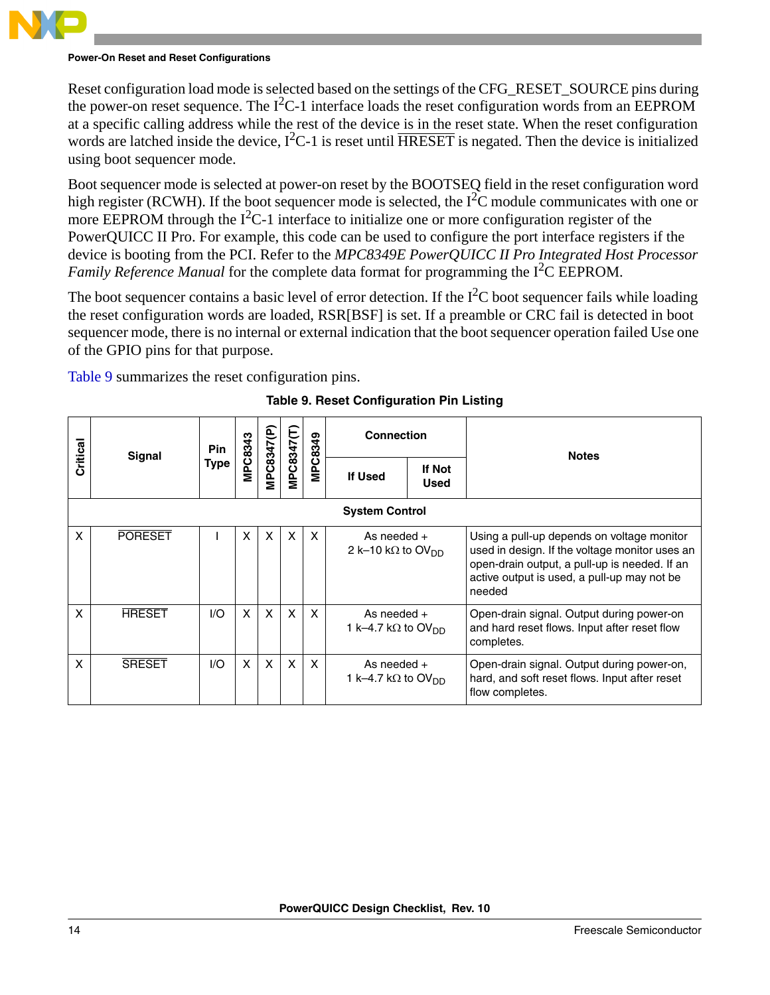#### **Power-On Reset and Reset Configurations**

Reset configuration load mode is selected based on the settings of the CFG\_RESET\_SOURCE pins during the power-on reset sequence. The  $I^2C-1$  interface loads the reset configuration words from an EEPROM at a specific calling address while the rest of the device is in the reset state. When the reset configuration words are latched inside the device,  $I^2C-1$  is reset until  $\overline{HRESET}$  is negated. Then the device is initialized using boot sequencer mode.

Boot sequencer mode is selected at power-on reset by the BOOTSEQ field in the reset configuration word high register (RCWH). If the boot sequencer mode is selected, the  $1^2C$  module communicates with one or more EEPROM through the  $I^2C-1$  interface to initialize one or more configuration register of the PowerQUICC II Pro. For example, this code can be used to configure the port interface registers if the device is booting from the PCI. Refer to the *MPC8349E PowerQUICC II Pro Integrated Host Processor*  Family Reference Manual for the complete data format for programming the I<sup>2</sup>C EEPROM.

The boot sequencer contains a basic level of error detection. If the  $I<sup>2</sup>C$  boot sequencer fails while loading the reset configuration words are loaded, RSR[BSF] is set. If a preamble or CRC fail is detected in boot sequencer mode, there is no internal or external indication that the boot sequencer operation failed Use one of the GPIO pins for that purpose.

<span id="page-13-0"></span>[Table 9](#page-13-0) summarizes the reset configuration pins.

| Critical | Signal                | <b>Pin</b> | MPC8343 |              |                           | MPC8349      | <b>Connection</b>                                       |                       | <b>Notes</b>                                                                                                                                                                                           |  |  |  |  |  |
|----------|-----------------------|------------|---------|--------------|---------------------------|--------------|---------------------------------------------------------|-----------------------|--------------------------------------------------------------------------------------------------------------------------------------------------------------------------------------------------------|--|--|--|--|--|
|          |                       | Type       |         | MPC8347(P    | MPC8347(T)                |              | If Used                                                 | If Not<br><b>Used</b> |                                                                                                                                                                                                        |  |  |  |  |  |
|          | <b>System Control</b> |            |         |              |                           |              |                                                         |                       |                                                                                                                                                                                                        |  |  |  |  |  |
| X        | <b>PORESET</b>        |            | X       | X            | $\boldsymbol{\mathsf{x}}$ | X            | As needed $+$<br>2 k-10 kΩ to OV <sub>DD</sub>          |                       | Using a pull-up depends on voltage monitor<br>used in design. If the voltage monitor uses an<br>open-drain output, a pull-up is needed. If an<br>active output is used, a pull-up may not be<br>needed |  |  |  |  |  |
| X        | <b>HRESET</b>         | 1/O        | X       | X            | $\boldsymbol{\mathsf{x}}$ | $\mathsf{x}$ | As needed $+$<br>1 k–4.7 k $\Omega$ to OV <sub>DD</sub> |                       | Open-drain signal. Output during power-on<br>and hard reset flows. Input after reset flow<br>completes.                                                                                                |  |  |  |  |  |
| X        | <b>SRESET</b>         | 1/O        | X       | $\mathsf{x}$ | $\mathsf{x}$              | X            | As needed $+$<br>1 k–4.7 k $\Omega$ to OV <sub>DD</sub> |                       | Open-drain signal. Output during power-on,<br>hard, and soft reset flows. Input after reset<br>flow completes.                                                                                         |  |  |  |  |  |

**Table 9. Reset Configuration Pin Listing**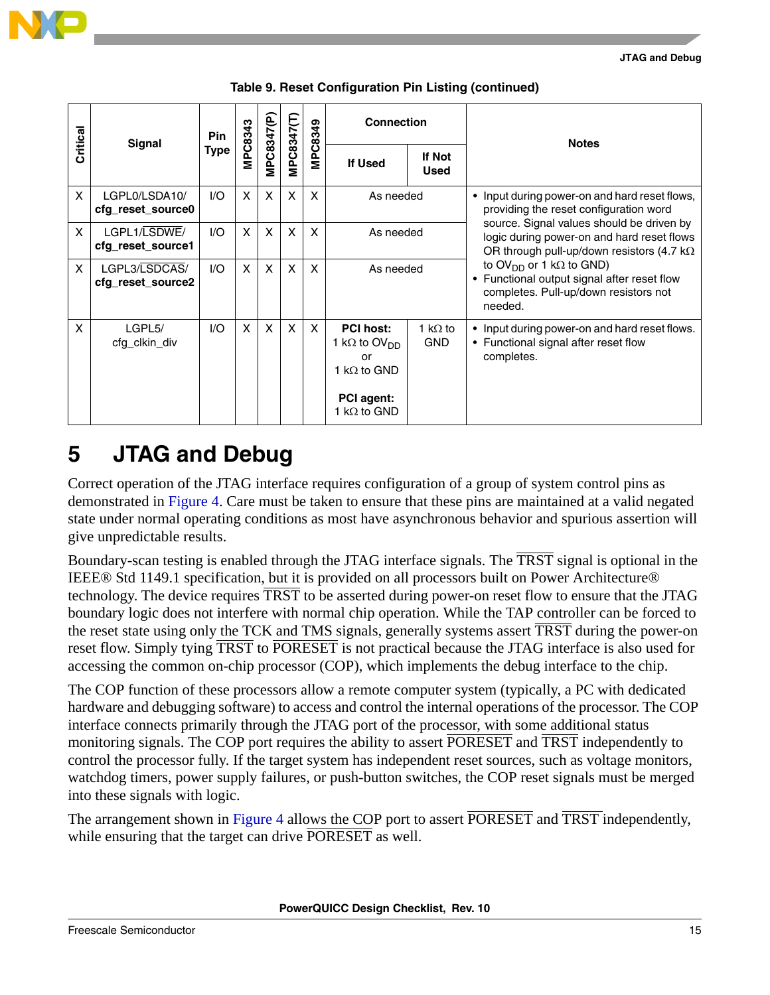| Critical | Signal                             | <b>Pin</b>  | MPC8343 |                           | MPC8347(T)   | MPC8349 | <b>Connection</b>                                                                                                      |                               | <b>Notes</b>                                                                                                                                   |  |
|----------|------------------------------------|-------------|---------|---------------------------|--------------|---------|------------------------------------------------------------------------------------------------------------------------|-------------------------------|------------------------------------------------------------------------------------------------------------------------------------------------|--|
|          |                                    | <b>Type</b> |         | MPC8347(P                 |              |         | <b>If Used</b>                                                                                                         | <b>If Not</b><br><b>Used</b>  |                                                                                                                                                |  |
| X        | LGPL0/LSDA10/<br>cfg_reset_source0 | 1/O         | X       | $\boldsymbol{\mathsf{x}}$ | $\mathsf{x}$ | X       | As needed                                                                                                              |                               | • Input during power-on and hard reset flows,<br>providing the reset configuration word                                                        |  |
| X        | LGPL1/LSDWE/<br>cfg_reset_source1  | 1/O         | X       | $\mathsf{x}$              | $\mathsf{x}$ | X       | As needed                                                                                                              |                               | source. Signal values should be driven by<br>logic during power-on and hard reset flows<br>OR through pull-up/down resistors (4.7 k $\Omega$   |  |
| X        | LGPL3/LSDCAS/<br>cfg_reset_source2 | 1/O         | X       | $\boldsymbol{\mathsf{x}}$ | X            | X       | As needed                                                                                                              |                               | to OV <sub>DD</sub> or 1 k $\Omega$ to GND)<br>• Functional output signal after reset flow<br>completes. Pull-up/down resistors not<br>needed. |  |
| X        | LGPL5/<br>cfg_clkin_div            | 1/O         | X       | $\boldsymbol{\mathsf{X}}$ | $\mathsf{x}$ | X       | <b>PCI host:</b><br>1 k $\Omega$ to OV <sub>DD</sub><br>or<br>1 k $\Omega$ to GND<br>PCI agent:<br>1 k $\Omega$ to GND | 1 k $\Omega$ to<br><b>GND</b> | • Input during power-on and hard reset flows.<br>• Functional signal after reset flow<br>completes.                                            |  |

### **Table 9. Reset Configuration Pin Listing (continued)**

# <span id="page-14-0"></span>**5 JTAG and Debug**

Correct operation of the JTAG interface requires configuration of a group of system control pins as demonstrated in [Figure 4](#page-16-0). Care must be taken to ensure that these pins are maintained at a valid negated state under normal operating conditions as most have asynchronous behavior and spurious assertion will give unpredictable results.

Boundary-scan testing is enabled through the JTAG interface signals. The TRST signal is optional in the IEEE® Std 1149.1 specification, but it is provided on all processors built on Power Architecture® technology. The device requires TRST to be asserted during power-on reset flow to ensure that the JTAG boundary logic does not interfere with normal chip operation. While the TAP controller can be forced to the reset state using only the TCK and TMS signals, generally systems assert TRST during the power-on reset flow. Simply tying TRST to PORESET is not practical because the JTAG interface is also used for accessing the common on-chip processor (COP), which implements the debug interface to the chip.

The COP function of these processors allow a remote computer system (typically, a PC with dedicated hardware and debugging software) to access and control the internal operations of the processor. The COP interface connects primarily through the JTAG port of the processor, with some additional status monitoring signals. The COP port requires the ability to assert PORESET and TRST independently to control the processor fully. If the target system has independent reset sources, such as voltage monitors, watchdog timers, power supply failures, or push-button switches, the COP reset signals must be merged into these signals with logic.

The arrangement shown in [Figure 4](#page-16-0) allows the COP port to assert PORESET and TRST independently, while ensuring that the target can drive **PORESET** as well.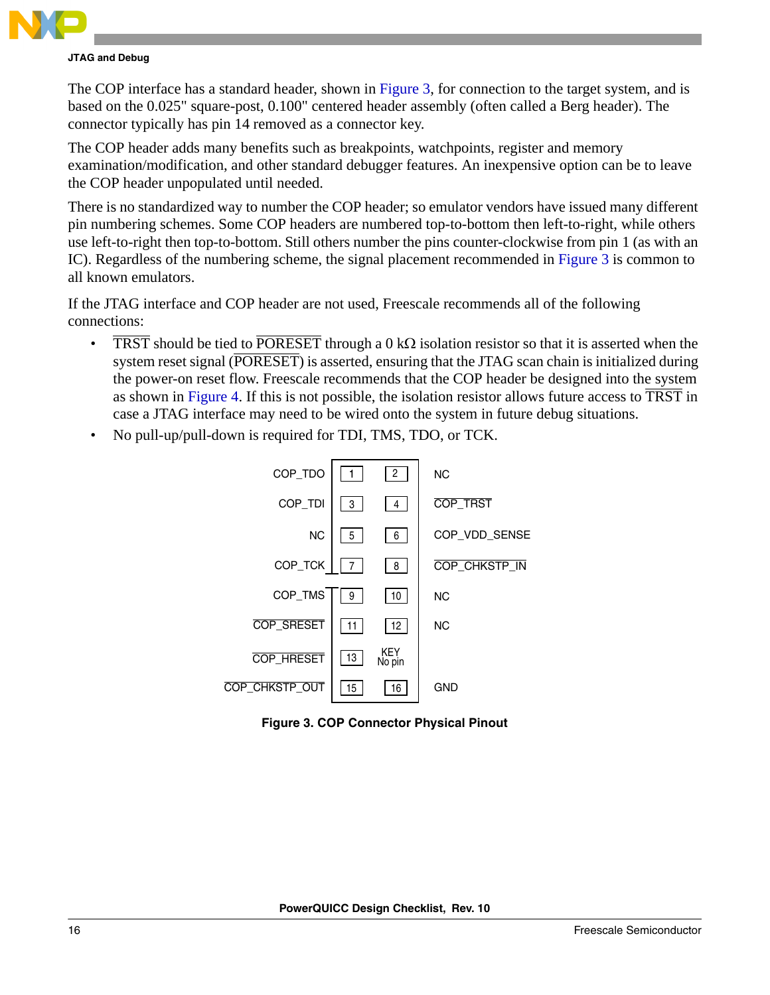

The COP interface has a standard header, shown in [Figure 3](#page-15-0), for connection to the target system, and is based on the 0.025" square-post, 0.100" centered header assembly (often called a Berg header). The connector typically has pin 14 removed as a connector key.

The COP header adds many benefits such as breakpoints, watchpoints, register and memory examination/modification, and other standard debugger features. An inexpensive option can be to leave the COP header unpopulated until needed.

There is no standardized way to number the COP header; so emulator vendors have issued many different pin numbering schemes. Some COP headers are numbered top-to-bottom then left-to-right, while others use left-to-right then top-to-bottom. Still others number the pins counter-clockwise from pin 1 (as with an IC). Regardless of the numbering scheme, the signal placement recommended in [Figure 3](#page-15-0) is common to all known emulators.

If the JTAG interface and COP header are not used, Freescale recommends all of the following connections:

- TRST should be tied to PORESET through a 0 kΩ isolation resistor so that it is asserted when the system reset signal (PORESET) is asserted, ensuring that the JTAG scan chain is initialized during the power-on reset flow. Freescale recommends that the COP header be designed into the system as shown in [Figure 4.](#page-16-0) If this is not possible, the isolation resistor allows future access to TRST in case a JTAG interface may need to be wired onto the system in future debug situations.
- No pull-up/pull-down is required for TDI, TMS, TDO, or TCK.



<span id="page-15-0"></span>**Figure 3. COP Connector Physical Pinout**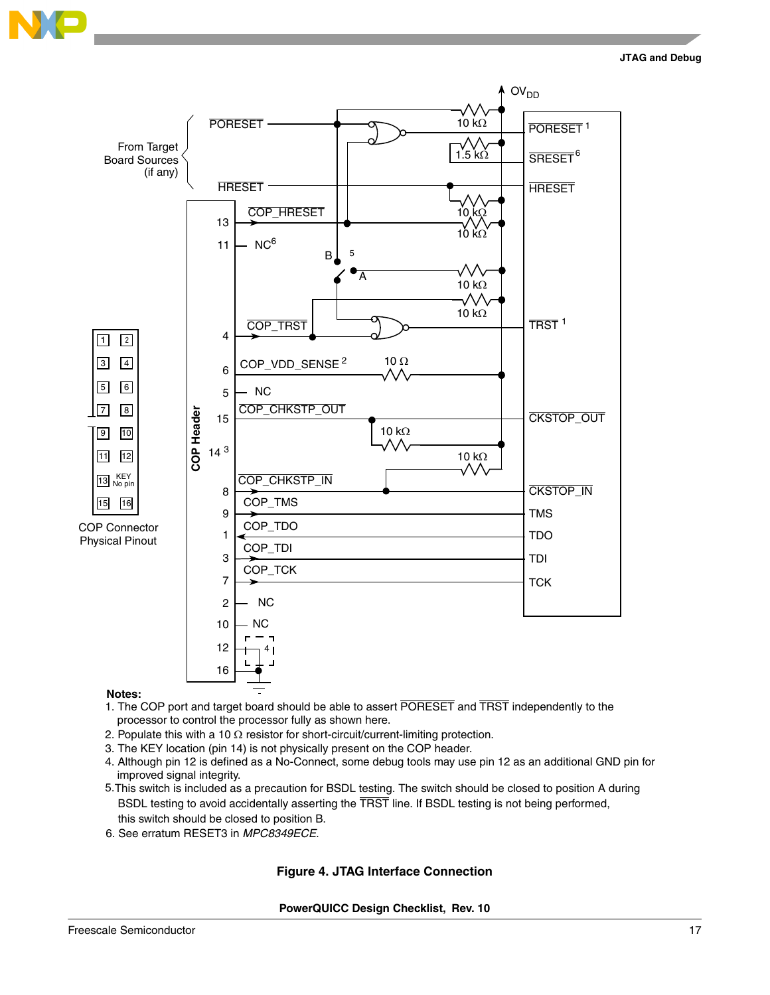



#### **Notes:**

- processor to control the processor fully as shown here. 1. The COP port and target board should be able to assert PORESET and TRST independently to the
- 2. Populate this with a 10  $\Omega$  resistor for short-circuit/current-limiting protection.
- 3. The KEY location (pin 14) is not physically present on the COP header.
- 4. Although pin 12 is defined as a No-Connect, some debug tools may use pin 12 as an additional GND pin for improved signal integrity.
- 5.This switch is included as a precaution for BSDL testing. The switch should be closed to position A during BSDL testing to avoid accidentally asserting the TRST line. If BSDL testing is not being performed, this switch should be closed to position B.
- <span id="page-16-0"></span>6. See erratum RESET3 in *MPC8349ECE*.

#### **Figure 4. JTAG Interface Connection**

**PowerQUICC Design Checklist, Rev. 10**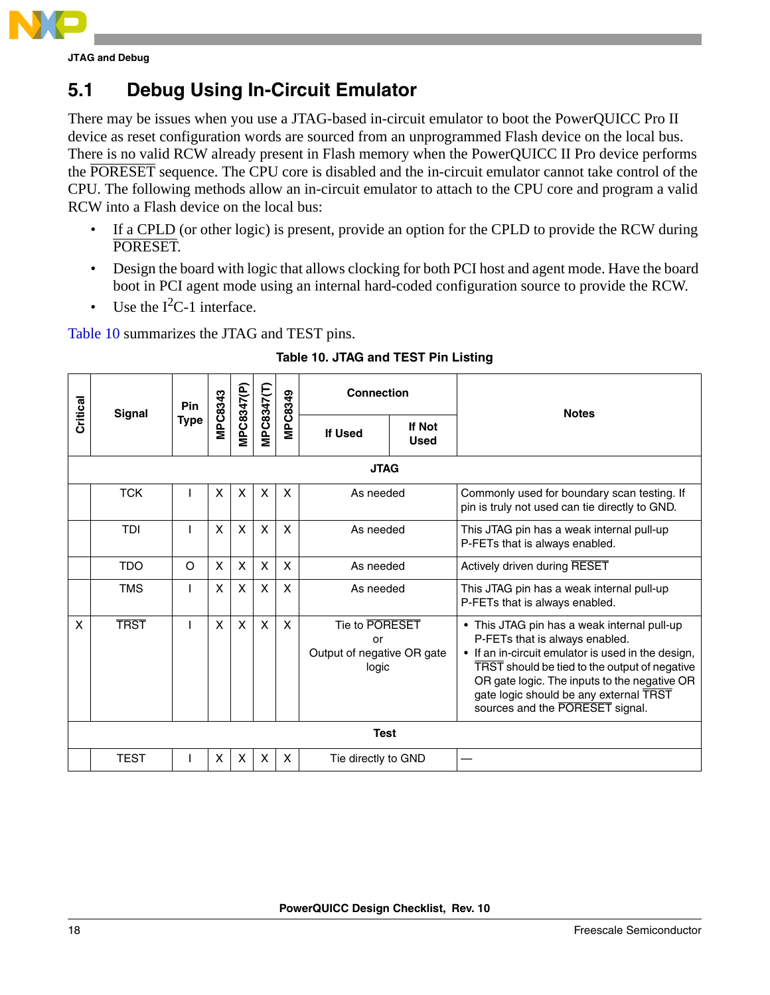

## **5.1 Debug Using In-Circuit Emulator**

There may be issues when you use a JTAG-based in-circuit emulator to boot the PowerQUICC Pro II device as reset configuration words are sourced from an unprogrammed Flash device on the local bus. There is no valid RCW already present in Flash memory when the PowerQUICC II Pro device performs the PORESET sequence. The CPU core is disabled and the in-circuit emulator cannot take control of the CPU. The following methods allow an in-circuit emulator to attach to the CPU core and program a valid RCW into a Flash device on the local bus:

- If a CPLD (or other logic) is present, provide an option for the CPLD to provide the RCW during PORESET.
- Design the board with logic that allows clocking for both PCI host and agent mode. Have the board boot in PCI agent mode using an internal hard-coded configuration source to provide the RCW.
- Use the  $I^2C-1$  interface.

[Table 10](#page-17-0) summarizes the JTAG and TEST pins.

<span id="page-17-0"></span>

|             | <b>Signal</b> | Pin         |                           |              |              | MPC8349                   | <b>Connection</b>                                           |                              | <b>Notes</b>                                                                                                                                                                                                                                                                                                      |  |  |  |  |
|-------------|---------------|-------------|---------------------------|--------------|--------------|---------------------------|-------------------------------------------------------------|------------------------------|-------------------------------------------------------------------------------------------------------------------------------------------------------------------------------------------------------------------------------------------------------------------------------------------------------------------|--|--|--|--|
| Critical    |               | <b>Type</b> | MPC8343                   | MPC8347(P)   | MPC8347(T)   |                           | If Used                                                     | <b>If Not</b><br><b>Used</b> |                                                                                                                                                                                                                                                                                                                   |  |  |  |  |
| <b>JTAG</b> |               |             |                           |              |              |                           |                                                             |                              |                                                                                                                                                                                                                                                                                                                   |  |  |  |  |
|             | <b>TCK</b>    |             | X                         | X            | X            | $\boldsymbol{\mathsf{x}}$ | As needed                                                   |                              | Commonly used for boundary scan testing. If<br>pin is truly not used can tie directly to GND.                                                                                                                                                                                                                     |  |  |  |  |
|             | <b>TDI</b>    |             | X                         | $\mathsf{x}$ | X            | $\boldsymbol{\mathsf{x}}$ | As needed                                                   |                              | This JTAG pin has a weak internal pull-up<br>P-FETs that is always enabled.                                                                                                                                                                                                                                       |  |  |  |  |
|             | <b>TDO</b>    | $\circ$     | $\boldsymbol{\mathsf{X}}$ | X            | X            | $\mathsf{X}$              | As needed                                                   |                              | Actively driven during RESET                                                                                                                                                                                                                                                                                      |  |  |  |  |
|             | <b>TMS</b>    |             | X                         | X            | X            | $\boldsymbol{\mathsf{X}}$ | As needed                                                   |                              | This JTAG pin has a weak internal pull-up<br>P-FETs that is always enabled.                                                                                                                                                                                                                                       |  |  |  |  |
| X           | <b>TRST</b>   |             | X                         | $\mathsf{x}$ | $\mathsf{x}$ | $\mathsf{X}$              | Tie to PORESET<br>or<br>Output of negative OR gate<br>logic |                              | • This JTAG pin has a weak internal pull-up<br>P-FETs that is always enabled.<br>• If an in-circuit emulator is used in the design,<br>TRST should be tied to the output of negative<br>OR gate logic. The inputs to the negative OR<br>gate logic should be any external TRST<br>sources and the PORESET signal. |  |  |  |  |
|             |               |             |                           |              |              |                           | <b>Test</b>                                                 |                              |                                                                                                                                                                                                                                                                                                                   |  |  |  |  |
|             | <b>TEST</b>   |             | $\boldsymbol{\mathsf{x}}$ | X            | X            | $\boldsymbol{\mathsf{X}}$ | Tie directly to GND                                         |                              |                                                                                                                                                                                                                                                                                                                   |  |  |  |  |

### **Table 10. JTAG and TEST Pin Listing**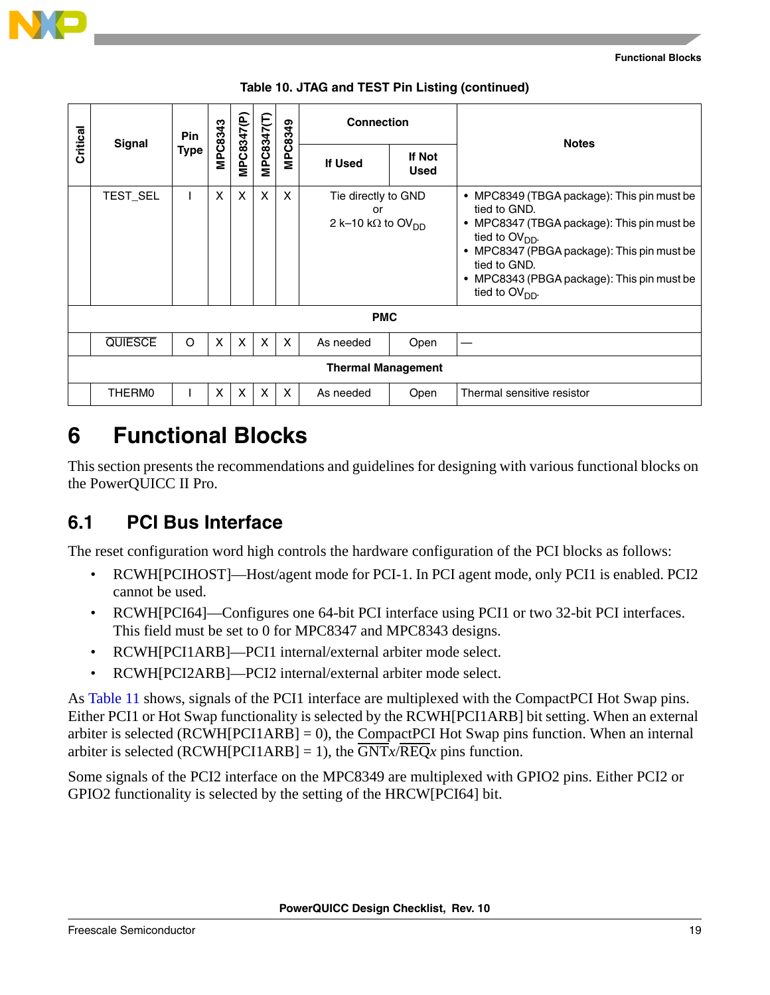| Critical | <b>Signal</b>  | Pin         |         |                           |                           |         | <b>Connection</b>                                                  |                       | <b>Notes</b>                                                                                                                                                                                                                                                 |  |
|----------|----------------|-------------|---------|---------------------------|---------------------------|---------|--------------------------------------------------------------------|-----------------------|--------------------------------------------------------------------------------------------------------------------------------------------------------------------------------------------------------------------------------------------------------------|--|
|          |                | <b>Type</b> | MPC8343 | MPC8347(P                 | MPC8347(T)                | MPC8349 | <b>If Used</b>                                                     | If Not<br><b>Used</b> |                                                                                                                                                                                                                                                              |  |
|          | TEST_SEL       |             | X       | $\boldsymbol{\mathsf{X}}$ | X                         | X       | Tie directly to GND<br>or<br>2 k-10 k $\Omega$ to OV <sub>DD</sub> |                       | • MPC8349 (TBGA package): This pin must be<br>tied to GND.<br>• MPC8347 (TBGA package): This pin must be<br>tied to $OVDD$ .<br>• MPC8347 (PBGA package): This pin must be<br>tied to GND.<br>• MPC8343 (PBGA package): This pin must be<br>tied to $OVDD$ . |  |
|          |                |             |         |                           |                           |         | <b>PMC</b>                                                         |                       |                                                                                                                                                                                                                                                              |  |
|          | <b>QUIESCE</b> | O           | X       | $\mathsf{x}$              | $\boldsymbol{\mathsf{X}}$ | X       | As needed                                                          | Open                  |                                                                                                                                                                                                                                                              |  |
|          |                |             |         |                           |                           |         | <b>Thermal Management</b>                                          |                       |                                                                                                                                                                                                                                                              |  |
|          | THERM0         |             | X       | $\boldsymbol{\mathsf{X}}$ | X                         | X       | As needed                                                          | Open                  | Thermal sensitive resistor                                                                                                                                                                                                                                   |  |

|  |  |  |  | Table 10. JTAG and TEST Pin Listing (continued) |
|--|--|--|--|-------------------------------------------------|
|--|--|--|--|-------------------------------------------------|

<span id="page-18-0"></span>This section presents the recommendations and guidelines for designing with various functional blocks on the PowerQUICC II Pro.

### **6.1 PCI Bus Interface**

The reset configuration word high controls the hardware configuration of the PCI blocks as follows:

- RCWH[PCIHOST]—Host/agent mode for PCI-1. In PCI agent mode, only PCI1 is enabled. PCI2 cannot be used.
- RCWH[PCI64]—Configures one 64-bit PCI interface using PCI1 or two 32-bit PCI interfaces. This field must be set to 0 for MPC8347 and MPC8343 designs.
- RCWH[PCI1ARB]—PCI1 internal/external arbiter mode select.
- RCWH[PCI2ARB]—PCI2 internal/external arbiter mode select.

As [Table 11](#page-19-0) shows, signals of the PCI1 interface are multiplexed with the CompactPCI Hot Swap pins. Either PCI1 or Hot Swap functionality is selected by the RCWH[PCI1ARB] bit setting. When an external arbiter is selected (RCWH[PCI1ARB] = 0), the CompactPCI Hot Swap pins function. When an internal arbiter is selected (RCWH[PCI1ARB] = 1), the  $\overline{GNT}x/\overline{REQ}x$  pins function.

Some signals of the PCI2 interface on the MPC8349 are multiplexed with GPIO2 pins. Either PCI2 or GPIO2 functionality is selected by the setting of the HRCW[PCI64] bit.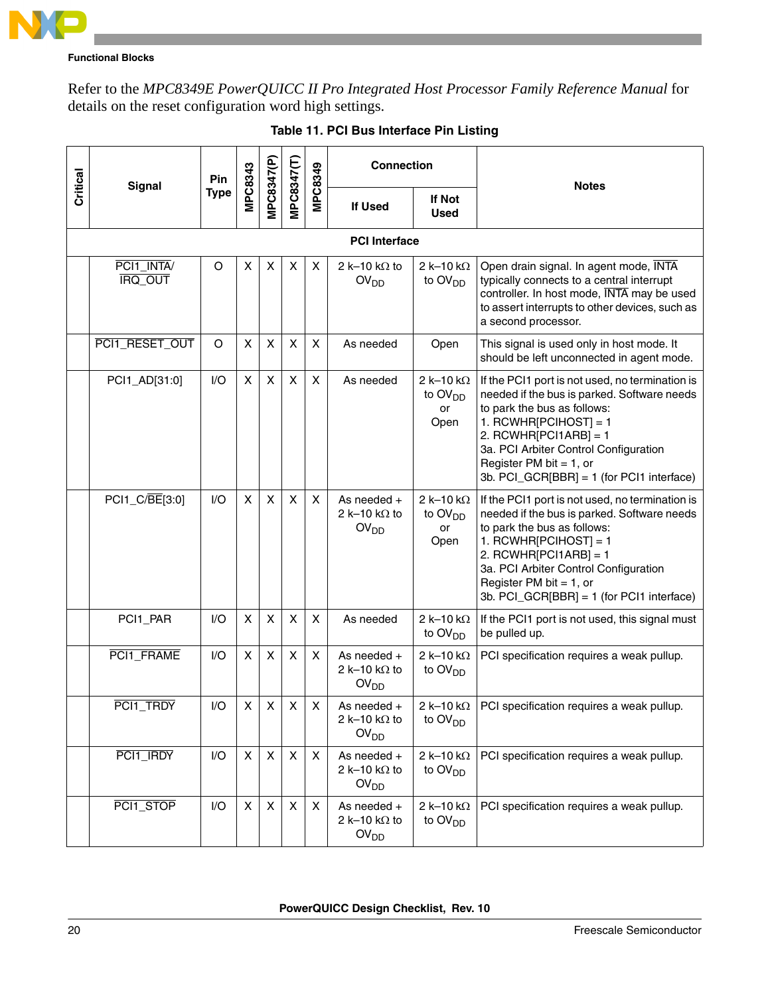

Refer to the *MPC8349E PowerQUICC II Pro Integrated Host Processor Family Reference Manual* for details on the reset configuration word high settings.

<span id="page-19-0"></span>

|          |                              | Pin         |              |                |                           |                | <b>Connection</b>                                         |                                                 | <b>Notes</b>                                                                                                                                                                                                                                                                                        |  |  |  |  |  |
|----------|------------------------------|-------------|--------------|----------------|---------------------------|----------------|-----------------------------------------------------------|-------------------------------------------------|-----------------------------------------------------------------------------------------------------------------------------------------------------------------------------------------------------------------------------------------------------------------------------------------------------|--|--|--|--|--|
| Critical | <b>Signal</b>                | <b>Type</b> | MPC8343      | MPC8347(P)     | MPC8347(T)                | MPC8349        | If Used                                                   | <b>If Not</b><br><b>Used</b>                    |                                                                                                                                                                                                                                                                                                     |  |  |  |  |  |
|          | <b>PCI</b> Interface         |             |              |                |                           |                |                                                           |                                                 |                                                                                                                                                                                                                                                                                                     |  |  |  |  |  |
|          | PCI1_INTA/<br><b>IRQ OUT</b> | $\circ$     | X            | $\pmb{\times}$ | X                         | X              | 2 k-10 k $\Omega$ to<br>OV <sub>DD</sub>                  | $2k-10k\Omega$<br>to $OVDD$                     | Open drain signal. In agent mode, INTA<br>typically connects to a central interrupt<br>controller. In host mode, INTA may be used<br>to assert interrupts to other devices, such as<br>a second processor.                                                                                          |  |  |  |  |  |
|          | PCI1_RESET_OUT               | O           | X            | $\pmb{\times}$ | X                         | X              | As needed                                                 | Open                                            | This signal is used only in host mode. It<br>should be left unconnected in agent mode.                                                                                                                                                                                                              |  |  |  |  |  |
|          | PCI1_AD[31:0]                | I/O         | X            | X              | X                         | X              | As needed                                                 | 2 k-10 k $\Omega$<br>to $OVDD$<br>or<br>Open    | If the PCI1 port is not used, no termination is<br>needed if the bus is parked. Software needs<br>to park the bus as follows:<br>1. RCWHR[PCIHOST] = 1<br>2. RCWHR[PCI1ARB] = 1<br>3a. PCI Arbiter Control Configuration<br>Register PM bit = $1$ , or<br>3b. PCI_GCR[BBR] = 1 (for PCI1 interface) |  |  |  |  |  |
|          | PCI1_C/BE[3:0]               | 1/O         | X            | X              | $\boldsymbol{\mathsf{X}}$ | X              | As needed $+$<br>2 k-10 k $\Omega$ to<br>OV <sub>DD</sub> | 2 k-10 k $\Omega$<br>to $OVDD$<br>or<br>Open    | If the PCI1 port is not used, no termination is<br>needed if the bus is parked. Software needs<br>to park the bus as follows:<br>1. RCWHR[PCIHOST] = 1<br>2. RCWHR[PCI1ARB] = 1<br>3a. PCI Arbiter Control Configuration<br>Register PM bit = $1$ , or<br>3b. PCI_GCR[BBR] = 1 (for PCI1 interface) |  |  |  |  |  |
|          | PCI1_PAR                     | I/O         | X            | X              | X                         | X              | As needed                                                 | 2 k-10 k $\Omega$<br>to $OVDD$                  | If the PCI1 port is not used, this signal must<br>be pulled up.                                                                                                                                                                                                                                     |  |  |  |  |  |
|          | PCI1_FRAME                   | I/O         | X            | X              | X                         | X              | As needed $+$<br>2 k-10 k $\Omega$ to<br>OV <sub>DD</sub> | 2 k-10 k $\Omega$<br>to $OVDD$                  | PCI specification requires a weak pullup.                                                                                                                                                                                                                                                           |  |  |  |  |  |
|          | PCI1_TRDY                    | I/O         | X            | $\pmb{\times}$ | X                         | X              | As needed +<br>2 k-10 k $\Omega$ to<br>OV <sub>DD</sub>   | 2 k-10 k $\Omega$<br>to OV <sub>DD</sub>        | PCI specification requires a weak pullup.                                                                                                                                                                                                                                                           |  |  |  |  |  |
|          | PCI1_IRDY                    | I/O         | $\mathsf{X}$ | $\pmb{\times}$ | $\pmb{\times}$            | $\pmb{\times}$ | As needed +<br>2 k-10 k $\Omega$ to<br>OV <sub>DD</sub>   | 2 k-10 k $\Omega$<br>to $OVDD$                  | PCI specification requires a weak pullup.                                                                                                                                                                                                                                                           |  |  |  |  |  |
|          | PCI1_STOP                    | I/O         | X            | X              | X                         | X              | As needed +<br>2 k-10 k $\Omega$ to<br>OV <sub>DD</sub>   | 2 k-10 k $\Omega$<br>to $\text{OV}_{\text{DD}}$ | PCI specification requires a weak pullup.                                                                                                                                                                                                                                                           |  |  |  |  |  |

**Table 11. PCI Bus Interface Pin Listing**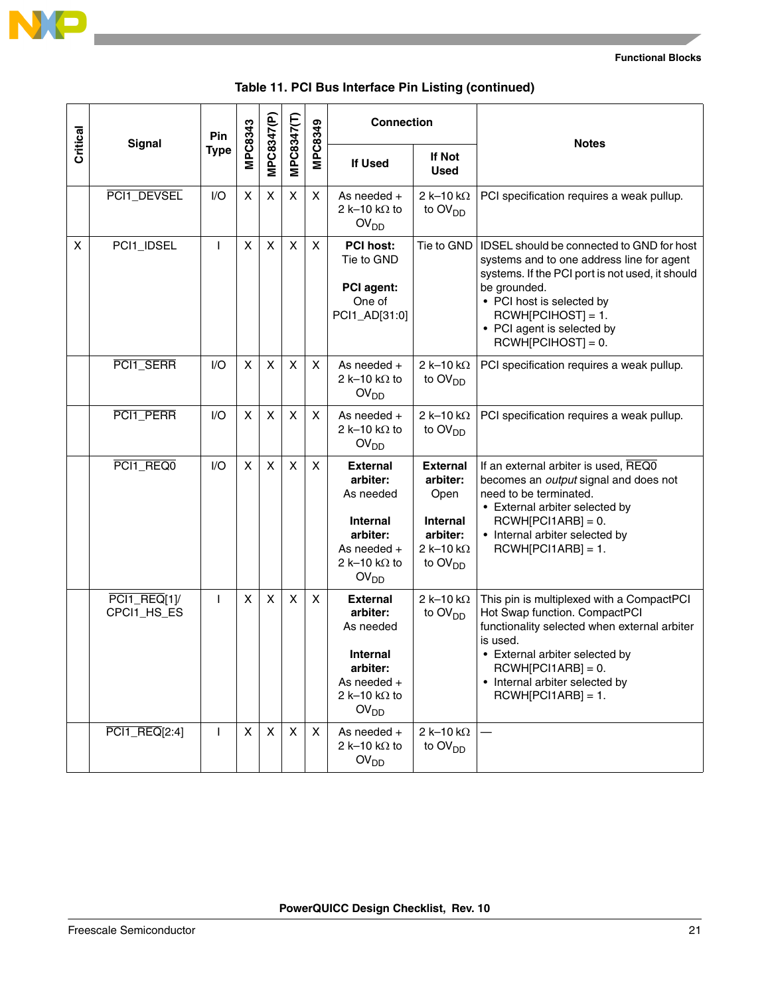

|          | <b>Signal</b>                                         | Pin               |                |                           |                   |                   | <b>Connection</b>                                                                                                                                     |                                                                                                      | <b>Notes</b>                                                                                                                                                                                                                                                         |
|----------|-------------------------------------------------------|-------------------|----------------|---------------------------|-------------------|-------------------|-------------------------------------------------------------------------------------------------------------------------------------------------------|------------------------------------------------------------------------------------------------------|----------------------------------------------------------------------------------------------------------------------------------------------------------------------------------------------------------------------------------------------------------------------|
| Critical |                                                       | <b>Type</b>       | <b>MPC8343</b> | MPC8347(P)                | MPC8347(T)        | MPC8349           | <b>If Used</b>                                                                                                                                        | If Not<br><b>Used</b>                                                                                |                                                                                                                                                                                                                                                                      |
|          | PCI1_DEVSEL                                           | 1/O               | X              | X                         | X                 | X                 | As needed $+$<br>2 k-10 k $\Omega$ to<br>OV <sub>DD</sub>                                                                                             | 2 k-10 k $\Omega$<br>to $OVDD$                                                                       | PCI specification requires a weak pullup.                                                                                                                                                                                                                            |
| X        | PCI1_IDSEL                                            | $\mathsf{I}$      | X              | X                         | X                 | X                 | <b>PCI host:</b><br>Tie to GND<br>PCI agent:<br>One of<br>PCI1_AD[31:0]                                                                               | Tie to GND                                                                                           | IDSEL should be connected to GND for host<br>systems and to one address line for agent<br>systems. If the PCI port is not used, it should<br>be grounded.<br>• PCI host is selected by<br>$RCWH[PCIHOST] = 1.$<br>• PCI agent is selected by<br>$RCWH[PCIHOST] = 0.$ |
|          | PCI1_SERR                                             | 1/O               | X              | X                         | X                 | X                 | As needed $+$<br>2 k-10 k $\Omega$ to<br>OV <sub>DD</sub>                                                                                             | $2k-10k\Omega$<br>to $\text{OV}_{\text{DD}}$                                                         | PCI specification requires a weak pullup.                                                                                                                                                                                                                            |
|          | PCI1_PERR                                             | I/O               | X              | $\boldsymbol{\mathsf{X}}$ | X                 | X                 | As needed $+$<br>2 k-10 k $\Omega$ to<br>OV <sub>DD</sub>                                                                                             | 2 k-10 k $\Omega$<br>to $OVDD$                                                                       | PCI specification requires a weak pullup.                                                                                                                                                                                                                            |
|          | PCI1_REQ0                                             | 1/O               | X              | X                         | X                 | X                 | <b>External</b><br>arbiter:<br>As needed<br><b>Internal</b><br>arbiter:<br>As needed $+$<br>2 k-10 k $\Omega$ to<br>OV <sub>DD</sub>                  | <b>External</b><br>arbiter:<br>Open<br><b>Internal</b><br>arbiter:<br>2 k-10 k $\Omega$<br>to $OVDD$ | If an external arbiter is used, REQ0<br>becomes an output signal and does not<br>need to be terminated.<br>• External arbiter selected by<br>$RCWH[PC11ARB] = 0.$<br>• Internal arbiter selected by<br>$RCWH[PC11ABB] = 1.$                                          |
|          | $PCI1$ REQ[1]/<br>CPCI1_HS_ES<br><b>PCI1_REQ[2:4]</b> | L<br>$\mathbf{I}$ | X<br>$\times$  | X<br>X                    | X<br>$\mathsf{X}$ | X<br>$\mathsf{x}$ | <b>External</b><br>arbiter:<br>As needed<br><b>Internal</b><br>arbiter:<br>As needed $+$<br>2 k-10 k $\Omega$ to<br>OV <sub>DD</sub><br>As needed $+$ | $2k-10k\Omega$<br>to $\text{OV}_{\text{DD}}$<br>$2k-10k\Omega$                                       | This pin is multiplexed with a CompactPCI<br>Hot Swap function. CompactPCI<br>functionality selected when external arbiter<br>is used.<br>• External arbiter selected by<br>$RCWH[PC11ABB] = 0.$<br>• Internal arbiter selected by<br>$RCWH[PC11ABB] = 1.$           |
|          |                                                       |                   |                |                           |                   |                   | 2 k-10 k $\Omega$ to<br>OV <sub>DD</sub>                                                                                                              | to OV <sub>DD</sub>                                                                                  |                                                                                                                                                                                                                                                                      |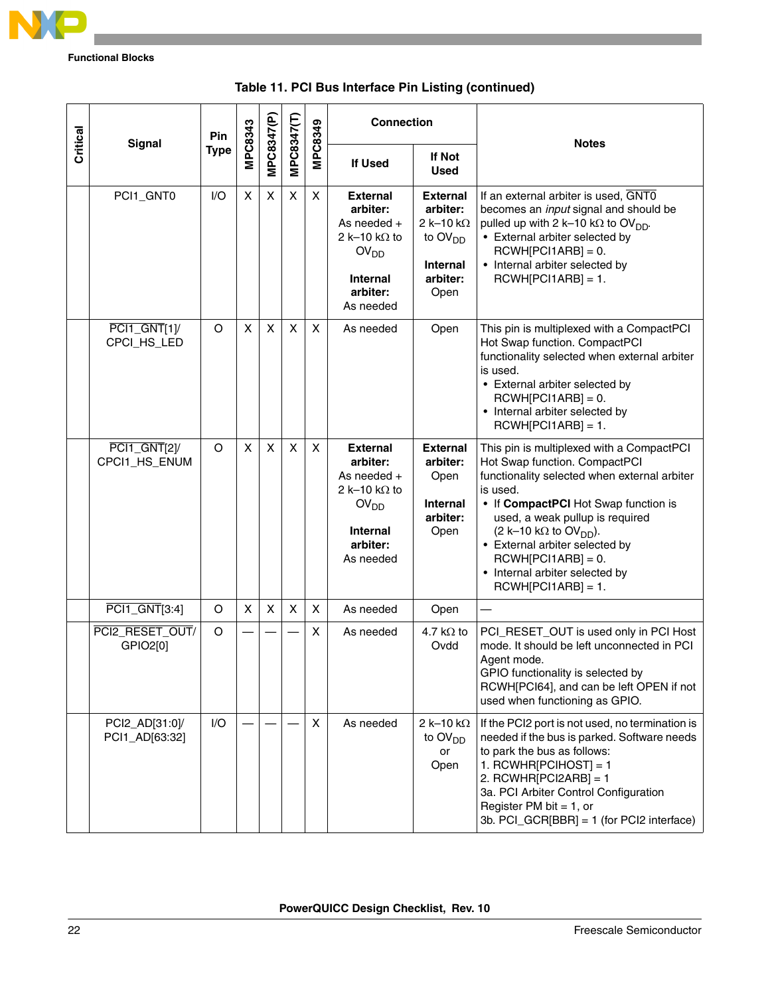

|          | Signal                           | Pin         | <b>MPC8343</b> |                          |                           | <b>MPC8349</b> | <b>Connection</b>                                                                                                                    |                                                                                            | <b>Notes</b>                                                                                                                                                                                                                                                                                                                                                                      |  |
|----------|----------------------------------|-------------|----------------|--------------------------|---------------------------|----------------|--------------------------------------------------------------------------------------------------------------------------------------|--------------------------------------------------------------------------------------------|-----------------------------------------------------------------------------------------------------------------------------------------------------------------------------------------------------------------------------------------------------------------------------------------------------------------------------------------------------------------------------------|--|
| Critical |                                  | <b>Type</b> |                | MPC8347(P)<br>MPC8347(T) |                           |                | If Used                                                                                                                              | <b>If Not</b><br><b>Used</b>                                                               |                                                                                                                                                                                                                                                                                                                                                                                   |  |
|          | PCI1_GNT0                        | I/O         | X              | X                        | $\boldsymbol{\mathsf{X}}$ | X              | <b>External</b><br>arbiter:<br>As needed $+$<br>2 k-10 k $\Omega$ to<br>OV <sub>DD</sub><br><b>Internal</b><br>arbiter:<br>As needed | <b>External</b><br>arbiter:<br>$2k-10k\Omega$<br>to $OVDD$<br>Internal<br>arbiter:<br>Open | If an external arbiter is used, GNT0<br>becomes an input signal and should be<br>pulled up with 2 k-10 k $\Omega$ to OV <sub>DD</sub> .<br>• External arbiter selected by<br>$RCWH[PC11ABB] = 0.$<br>• Internal arbiter selected by<br>$RCWH[PC11ARB] = 1.$                                                                                                                       |  |
|          | $PCI1_GNT[1]$<br>CPCI_HS_LED     | O           | X              | X                        | X                         | X              | As needed                                                                                                                            | Open                                                                                       | This pin is multiplexed with a CompactPCI<br>Hot Swap function. CompactPCI<br>functionality selected when external arbiter<br>is used.<br>• External arbiter selected by<br>$RCWH[PC11ARB] = 0.$<br>• Internal arbiter selected by<br>$RCWH[PC11ABB] = 1.$                                                                                                                        |  |
|          | $PCI1_GNT[2]$<br>CPCI1_HS_ENUM   | O           | X              | X                        | X                         | X              | <b>External</b><br>arbiter:<br>As needed +<br>2 k-10 k $\Omega$ to<br>OV <sub>DD</sub><br><b>Internal</b><br>arbiter:<br>As needed   | <b>External</b><br>arbiter:<br>Open<br><b>Internal</b><br>arbiter:<br>Open                 | This pin is multiplexed with a CompactPCI<br>Hot Swap function. CompactPCI<br>functionality selected when external arbiter<br>is used.<br>• If CompactPCI Hot Swap function is<br>used, a weak pullup is required<br>$(2 k-10 k\Omega$ to OV <sub>DD</sub> ).<br>• External arbiter selected by<br>$RCWH[PC11ARB] = 0.$<br>• Internal arbiter selected by<br>$RCWH[PC11ARB] = 1.$ |  |
|          | PCI1_GNT[3:4]                    | O           | X              | X                        | $\boldsymbol{\mathsf{X}}$ | X              | As needed                                                                                                                            | Open                                                                                       |                                                                                                                                                                                                                                                                                                                                                                                   |  |
|          | PCI2_RESET_OUT/<br>GPIO2[0]      | O           |                |                          |                           | X              | As needed                                                                                                                            | 4.7 k $\Omega$ to<br>Ovdd                                                                  | PCI_RESET_OUT is used only in PCI Host<br>mode. It should be left unconnected in PCI<br>Agent mode.<br>GPIO functionality is selected by<br>RCWH[PCI64], and can be left OPEN if not<br>used when functioning as GPIO.                                                                                                                                                            |  |
|          | PCI2_AD[31:0]/<br>PCI1_AD[63:32] | I/O         |                |                          |                           | X              | As needed                                                                                                                            | 2 k-10 k $\Omega$<br>to $\text{OV}_{\text{DD}}$<br>or<br>Open                              | If the PCI2 port is not used, no termination is<br>needed if the bus is parked. Software needs<br>to park the bus as follows:<br>1. RCWHR[PCIHOST] = 1<br>2. RCWHR[PCI2ARB] = 1<br>3a. PCI Arbiter Control Configuration<br>Register PM bit = $1$ , or<br>3b. PCI_GCR[BBR] = 1 (for PCI2 interface)                                                                               |  |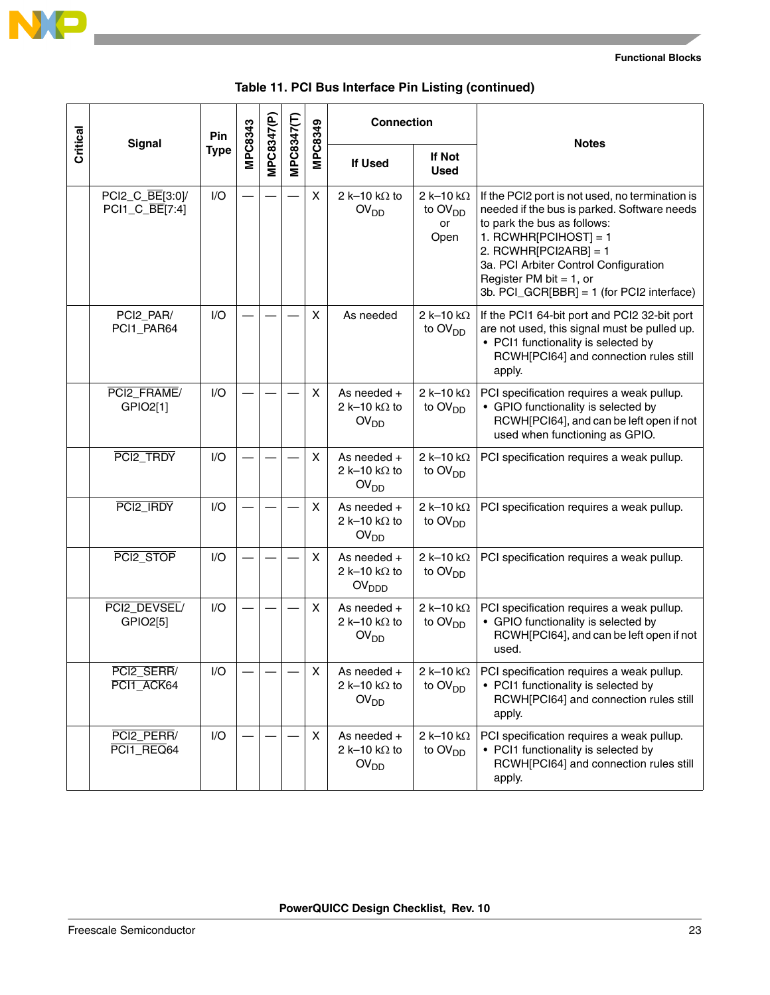

|          |                                   | Pin         |         |            |            |         | <b>Connection</b>                                                                         |                                                        | <b>Notes</b>                                                                                                                                                                                                                                                                                        |
|----------|-----------------------------------|-------------|---------|------------|------------|---------|-------------------------------------------------------------------------------------------|--------------------------------------------------------|-----------------------------------------------------------------------------------------------------------------------------------------------------------------------------------------------------------------------------------------------------------------------------------------------------|
| Critical | <b>Signal</b>                     | <b>Type</b> | MPC8343 | MPC8347(P) | MPC8347(T) | MPC8349 | <b>If Used</b>                                                                            | If Not<br><b>Used</b>                                  |                                                                                                                                                                                                                                                                                                     |
|          | PCI2_C_BE[3:0]/<br>PCI1_C_BE[7:4] | I/O         |         |            |            | X       | 2 k-10 k $\Omega$ to<br>OV <sub>DD</sub>                                                  | 2 k-10 k $\Omega$<br>to OV <sub>DD</sub><br>or<br>Open | If the PCI2 port is not used, no termination is<br>needed if the bus is parked. Software needs<br>to park the bus as follows:<br>1. RCWHR[PCIHOST] = 1<br>2. RCWHR[PCI2ARB] = 1<br>3a. PCI Arbiter Control Configuration<br>Register PM bit = $1$ , or<br>3b. PCI_GCR[BBR] = 1 (for PCI2 interface) |
|          | PCI2_PAR/<br>PCI1_PAR64           | 1/O         |         |            |            | X       | As needed                                                                                 | 2 k-10 k $\Omega$<br>to $\text{OV}_{\text{DD}}$        | If the PCI1 64-bit port and PCI2 32-bit port<br>are not used, this signal must be pulled up.<br>• PCI1 functionality is selected by<br>RCWH[PCI64] and connection rules still<br>apply.                                                                                                             |
|          | PCI2_FRAME/<br>GPIO2[1]           | 1/O         |         |            |            | X       | As needed $+$<br>2 k-10 k $\Omega$ to<br>OV <sub>DD</sub>                                 | 2 k-10 k $\Omega$<br>to $OVDD$                         | PCI specification requires a weak pullup.<br>• GPIO functionality is selected by<br>RCWH[PCI64], and can be left open if not<br>used when functioning as GPIO.                                                                                                                                      |
|          | PCI2_TRDY                         | 1/O         |         |            |            | X       | As needed $+$<br>2 k-10 k $\Omega$ to<br>OV <sub>DD</sub>                                 | 2 k-10 k $\Omega$<br>to $OVDD$                         | PCI specification requires a weak pullup.                                                                                                                                                                                                                                                           |
|          | PCI2_IRDY                         | I/O         |         |            |            | X       | As needed $+$<br>2 k-10 k $\Omega$ to<br>OV <sub>DD</sub>                                 | 2 k-10 k $\Omega$<br>to $OVDD$                         | PCI specification requires a weak pullup.                                                                                                                                                                                                                                                           |
|          | PCI2_STOP                         | 1/O         |         |            |            | X       | As needed +<br>2 k-10 k $\Omega$ to<br>OV <sub>DDD</sub>                                  | 2 k-10 k $\Omega$<br>to $OVDD$                         | PCI specification requires a weak pullup.                                                                                                                                                                                                                                                           |
|          | PCI2_DEVSEL/<br>GPIO2[5]          | I/O         |         |            |            | X       | As needed $+$<br>2 k-10 k $\Omega$ to<br>OV <sub>DD</sub>                                 | 2 k-10 k $\Omega$<br>to OV <sub>DD</sub>               | PCI specification requires a weak pullup.<br>• GPIO functionality is selected by<br>RCWH[PCI64], and can be left open if not<br>used.                                                                                                                                                               |
|          | PCI2_SERR/<br>PCI1_ACK64          | I/O         |         |            |            | X       | As needed +<br>2 k-10 k $\Omega$ to<br>OV <sub>DD</sub>                                   | 2 k-10 k $\Omega$<br>to $OVDD$                         | PCI specification requires a weak pullup.<br>• PCI1 functionality is selected by<br>RCWH[PCI64] and connection rules still<br>apply.                                                                                                                                                                |
|          | PCI2_PERR/<br>PCI1_REQ64          | I/O         |         |            |            | X       | As needed +<br>2 k-10 k $\Omega$<br>2 k-10 k $\Omega$ to<br>to $OVDD$<br>OV <sub>DD</sub> |                                                        | PCI specification requires a weak pullup.<br>• PCI1 functionality is selected by<br>RCWH[PCI64] and connection rules still<br>apply.                                                                                                                                                                |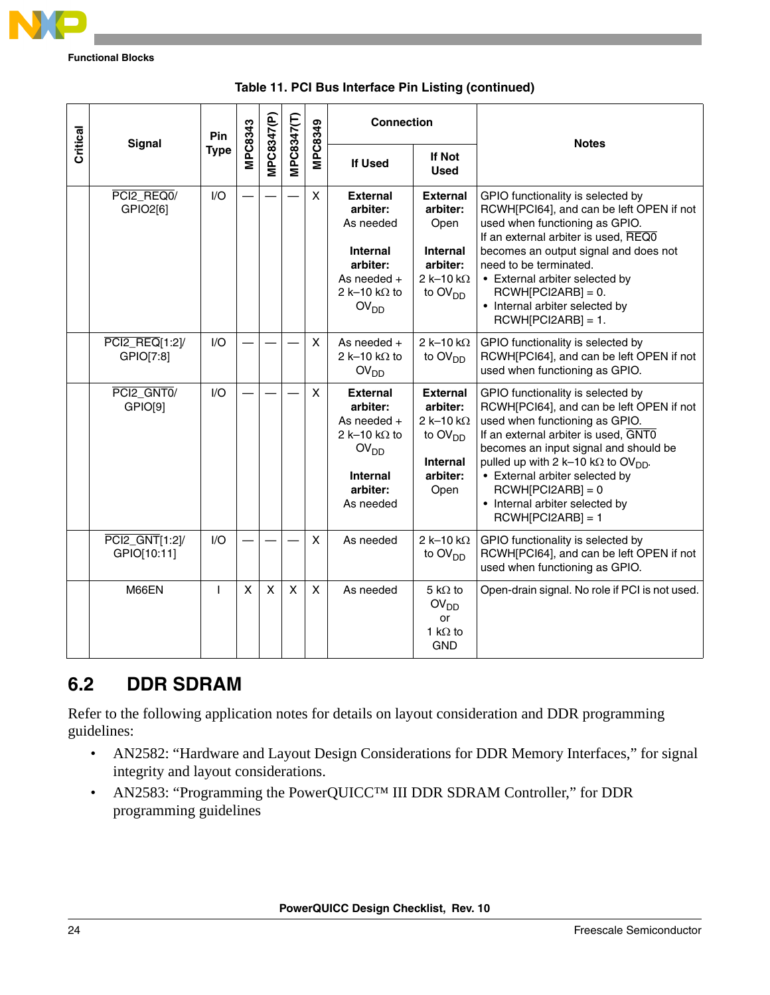

|          |                               | Pin         |                |              |            |                           | <b>Connection</b>                                                                                                                    |                                                                                                                | <b>Notes</b>                                                                                                                                                                                                                                                                                                                                                                 |
|----------|-------------------------------|-------------|----------------|--------------|------------|---------------------------|--------------------------------------------------------------------------------------------------------------------------------------|----------------------------------------------------------------------------------------------------------------|------------------------------------------------------------------------------------------------------------------------------------------------------------------------------------------------------------------------------------------------------------------------------------------------------------------------------------------------------------------------------|
| Critical | Signal                        | <b>Type</b> | <b>MPC8343</b> | MPC8347(P)   | MPC8347(T) | MPC8349                   | <b>If Used</b>                                                                                                                       | If Not<br><b>Used</b>                                                                                          |                                                                                                                                                                                                                                                                                                                                                                              |
|          | PCI2_REQ0/<br>GPIO2[6]        | I/O         |                |              |            | $\boldsymbol{\mathsf{X}}$ | <b>External</b><br>arbiter:<br>As needed<br><b>Internal</b><br>arbiter:<br>As needed $+$<br>2 k-10 k $\Omega$ to<br>OV <sub>DD</sub> | <b>External</b><br>arbiter:<br>Open<br><b>Internal</b><br>arbiter:<br>2 k-10 k $\Omega$<br>to $OVDD$           | GPIO functionality is selected by<br>RCWH[PCI64], and can be left OPEN if not<br>used when functioning as GPIO.<br>If an external arbiter is used, REQ0<br>becomes an output signal and does not<br>need to be terminated.<br>• External arbiter selected by<br>$RCWH[PCI2ARB] = 0.$<br>• Internal arbiter selected by<br>$RCWH[PCI2ARB] = 1.$                               |
|          | PCI2_REQ[1:2]/<br>GPIO[7:8]   | I/O         |                |              |            | X                         | As needed $+$<br>2 k-10 k $\Omega$ to<br>OV <sub>DD</sub>                                                                            | 2 k-10 k $\Omega$<br>to $OVDD$                                                                                 | GPIO functionality is selected by<br>RCWH[PCI64], and can be left OPEN if not<br>used when functioning as GPIO.                                                                                                                                                                                                                                                              |
|          | PCI2 GNT0/<br>GPIO[9]         | 1/O         |                |              |            | X                         | <b>External</b><br>arbiter:<br>As needed $+$<br>2 k-10 k $\Omega$ to<br>OV <sub>DD</sub><br><b>Internal</b><br>arbiter:<br>As needed | <b>External</b><br>arbiter:<br>2 k-10 k $\Omega$<br>to OV <sub>DD</sub><br><b>Internal</b><br>arbiter:<br>Open | GPIO functionality is selected by<br>RCWH[PCI64], and can be left OPEN if not<br>used when functioning as GPIO.<br>If an external arbiter is used, GNTO<br>becomes an input signal and should be<br>pulled up with 2 k-10 k $\Omega$ to OV <sub>DD</sub> .<br>• External arbiter selected by<br>$RCWH[PCI2ARB] = 0$<br>• Internal arbiter selected by<br>$RCWH[PCI2ARB] = 1$ |
|          | PCI2_GNT[1:2]/<br>GPIO[10:11] | I/O         |                |              |            | X                         | As needed                                                                                                                            | $2k-10k\Omega$<br>to OV <sub>DD</sub>                                                                          | GPIO functionality is selected by<br>RCWH[PCI64], and can be left OPEN if not<br>used when functioning as GPIO.                                                                                                                                                                                                                                                              |
|          | M66EN                         | ı           | X              | $\mathsf{x}$ | X          | X                         | As needed                                                                                                                            | $5 k\Omega$ to<br>OV <sub>DD</sub><br>or<br>1 k $\Omega$ to<br><b>GND</b>                                      | Open-drain signal. No role if PCI is not used.                                                                                                                                                                                                                                                                                                                               |

| Table 11. PCI Bus Interface Pin Listing (continued) |  |  |  |  |  |
|-----------------------------------------------------|--|--|--|--|--|
|-----------------------------------------------------|--|--|--|--|--|

### **6.2 DDR SDRAM**

Refer to the following application notes for details on layout consideration and DDR programming guidelines:

- AN2582: "Hardware and Layout Design Considerations for DDR Memory Interfaces," for signal integrity and layout considerations.
- AN2583: "Programming the PowerQUICC<sup>TM</sup> III DDR SDRAM Controller," for DDR programming guidelines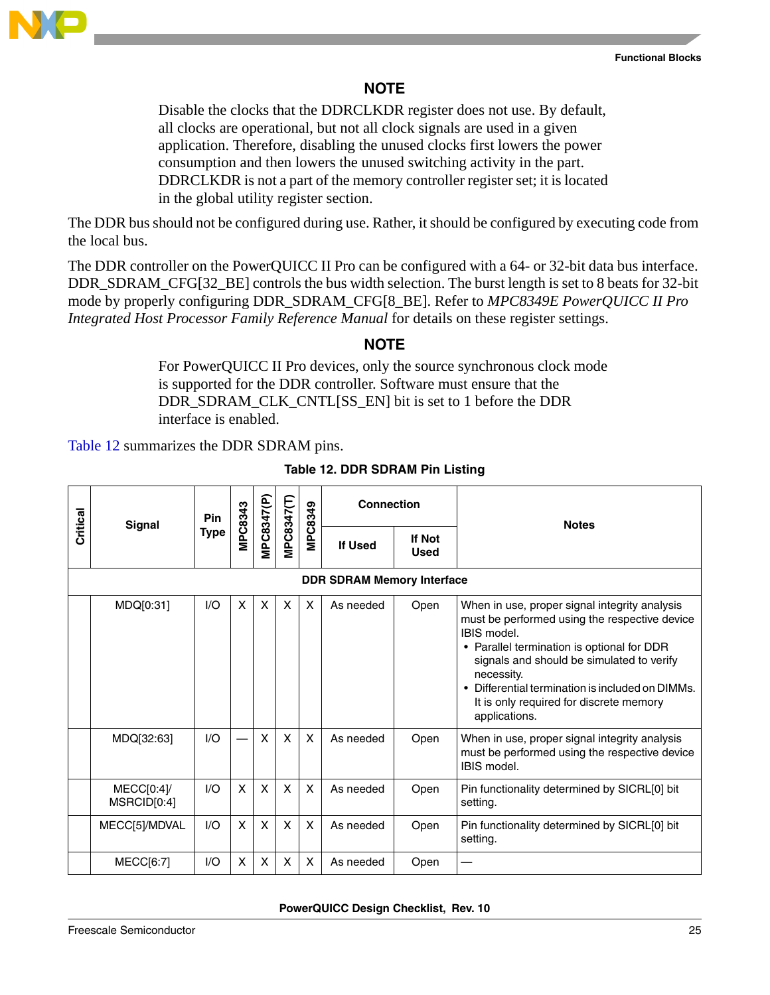

### **NOTE**

Disable the clocks that the DDRCLKDR register does not use. By default, all clocks are operational, but not all clock signals are used in a given application. Therefore, disabling the unused clocks first lowers the power consumption and then lowers the unused switching activity in the part. DDRCLKDR is not a part of the memory controller register set; it is located in the global utility register section.

The DDR bus should not be configured during use. Rather, it should be configured by executing code from the local bus.

The DDR controller on the PowerQUICC II Pro can be configured with a 64- or 32-bit data bus interface. DDR\_SDRAM\_CFG[32\_BE] controls the bus width selection. The burst length is set to 8 beats for 32-bit mode by properly configuring DDR\_SDRAM\_CFG[8\_BE]. Refer to *MPC8349E PowerQUICC II Pro Integrated Host Processor Family Reference Manual* for details on these register settings.

### **NOTE**

For PowerQUICC II Pro devices, only the source synchronous clock mode is supported for the DDR controller. Software must ensure that the DDR\_SDRAM\_CLK\_CNTL[SS\_EN] bit is set to 1 before the DDR interface is enabled.

<span id="page-24-0"></span>[Table 12](#page-24-0) summarizes the DDR SDRAM pins.

| Critical | <b>Signal</b>                     | Pin         | MPC8343 | MPC8347(P)                | MPC8347(T) | <b>Connection</b><br>MPC8349 |                | <b>Notes</b>                 |                                                                                                                                                                                                                                                                                                                                        |  |  |  |  |  |
|----------|-----------------------------------|-------------|---------|---------------------------|------------|------------------------------|----------------|------------------------------|----------------------------------------------------------------------------------------------------------------------------------------------------------------------------------------------------------------------------------------------------------------------------------------------------------------------------------------|--|--|--|--|--|
|          |                                   | <b>Type</b> |         |                           |            |                              | <b>If Used</b> | <b>If Not</b><br><b>Used</b> |                                                                                                                                                                                                                                                                                                                                        |  |  |  |  |  |
|          | <b>DDR SDRAM Memory Interface</b> |             |         |                           |            |                              |                |                              |                                                                                                                                                                                                                                                                                                                                        |  |  |  |  |  |
|          | MDQ[0:31]                         | I/O         | X       | $\boldsymbol{\mathsf{x}}$ | X          | $\boldsymbol{\mathsf{X}}$    | As needed      | Open                         | When in use, proper signal integrity analysis<br>must be performed using the respective device<br>IBIS model.<br>• Parallel termination is optional for DDR<br>signals and should be simulated to verify<br>necessity.<br>• Differential termination is included on DIMMs.<br>It is only required for discrete memory<br>applications. |  |  |  |  |  |
|          | MDQ[32:63]                        | I/O         |         | $\boldsymbol{\mathsf{x}}$ | X          | $\boldsymbol{\mathsf{X}}$    | As needed      | Open                         | When in use, proper signal integrity analysis<br>must be performed using the respective device<br>IBIS model.                                                                                                                                                                                                                          |  |  |  |  |  |
|          | MECC[0:4]<br>MSRCID[0:4]          | 1/O         | X       | X                         | X          | X                            | As needed      | Open                         | Pin functionality determined by SICRL[0] bit<br>setting.                                                                                                                                                                                                                                                                               |  |  |  |  |  |
|          | MECC[5]/MDVAL                     | 1/O         | X       | $\boldsymbol{\mathsf{X}}$ | X          | X                            | As needed      | Open                         | Pin functionality determined by SICRL[0] bit<br>setting.                                                                                                                                                                                                                                                                               |  |  |  |  |  |
|          | <b>MECC[6:7]</b>                  | 1/O         | X       | $\boldsymbol{\mathsf{x}}$ | X          | X                            | As needed      | Open                         |                                                                                                                                                                                                                                                                                                                                        |  |  |  |  |  |

#### **Table 12. DDR SDRAM Pin Listing**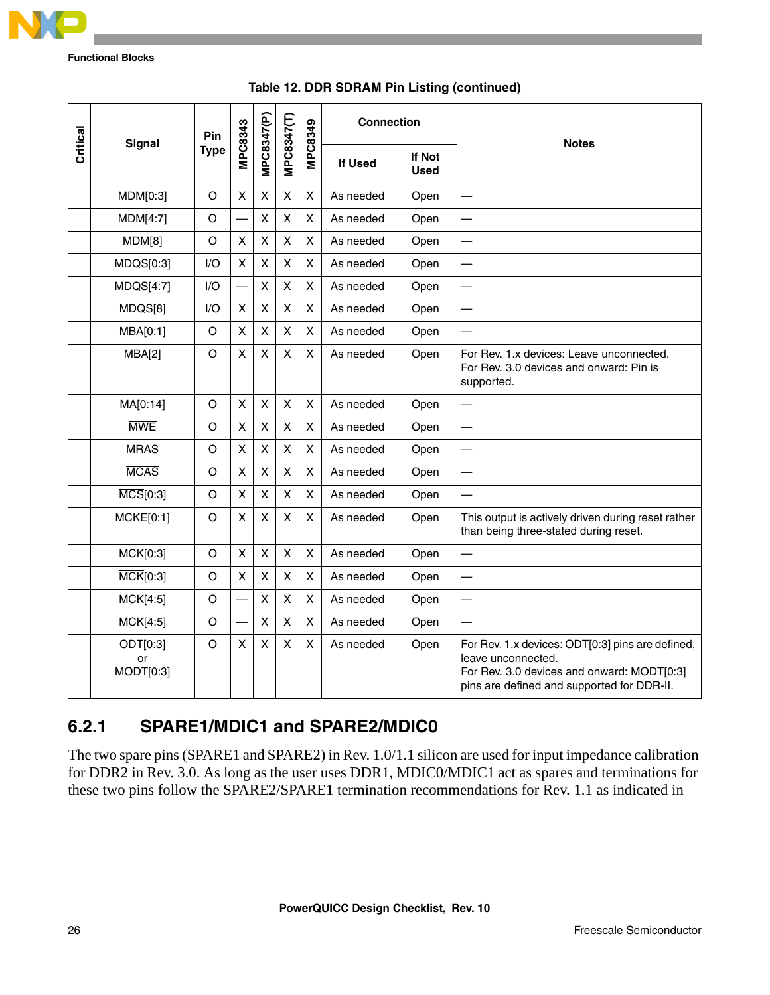

|          | <b>Signal</b>                | Pin         | MPC8343                  |                |                    | <b>MPC8349</b>     | <b>Connection</b> |                       | <b>Notes</b>                                                                                                                                                       |
|----------|------------------------------|-------------|--------------------------|----------------|--------------------|--------------------|-------------------|-----------------------|--------------------------------------------------------------------------------------------------------------------------------------------------------------------|
| Critical |                              | <b>Type</b> |                          | MPC8347(P)     | MPC8347(T)         |                    | If Used           | If Not<br><b>Used</b> |                                                                                                                                                                    |
|          | MDM[0:3]                     | O           | X                        | X              | X                  | X                  | As needed<br>Open |                       |                                                                                                                                                                    |
|          | <b>MDM[4:7]</b>              | $\circ$     |                          | $\pmb{\times}$ | $\pmb{\mathsf{X}}$ | X                  | As needed         | Open                  |                                                                                                                                                                    |
|          | MDM[8]                       | $\circ$     | $\mathsf{X}$             | $\pmb{\times}$ | $\pmb{\mathsf{X}}$ | X                  | As needed         | Open                  |                                                                                                                                                                    |
|          | MDQS[0:3]                    | I/O         | X                        | X              | $\pmb{\mathsf{X}}$ | X                  | As needed         | Open                  |                                                                                                                                                                    |
|          | MDQS[4:7]                    | I/O         |                          | $\pmb{\times}$ | $\pmb{\mathsf{X}}$ | $\mathsf{\chi}$    | As needed         | Open                  |                                                                                                                                                                    |
|          | MDQS[8]                      | I/O         | $\mathsf{X}$             | X              | X                  | X                  | As needed         | Open                  | $\overline{\phantom{0}}$                                                                                                                                           |
|          | MBA[0:1]                     | $\circ$     | X                        | X              | X                  | $\pmb{\times}$     | As needed         | Open                  |                                                                                                                                                                    |
|          | MBA[2]                       | O           | X                        | X              | $\pmb{\mathsf{X}}$ | X                  | As needed         | Open                  | For Rev. 1.x devices: Leave unconnected.<br>For Rev. 3.0 devices and onward: Pin is<br>supported.                                                                  |
|          | MA[0:14]                     | O           | X                        | X              | X                  | X                  | As needed         | Open                  |                                                                                                                                                                    |
|          | <b>MWE</b>                   | $\circ$     | X                        | $\pmb{\times}$ | X                  | X                  | As needed         | Open                  |                                                                                                                                                                    |
|          | <b>MRAS</b>                  | O           | X                        | $\pmb{\times}$ | $\pmb{\mathsf{X}}$ | X                  | As needed         | Open                  |                                                                                                                                                                    |
|          | <b>MCAS</b>                  | O           | X                        | X              | X                  | X                  | As needed         | Open                  |                                                                                                                                                                    |
|          | $\overline{\text{MCS}}[0:3]$ | $\circ$     | $\mathsf{X}$             | $\pmb{\times}$ | $\pmb{\mathsf{X}}$ | $\mathsf{X}$       | As needed         | Open                  |                                                                                                                                                                    |
|          | MCKE[0:1]                    | O           | X                        | X              | X                  | X                  | As needed         | Open                  | This output is actively driven during reset rather<br>than being three-stated during reset.                                                                        |
|          | MCK[0:3]                     | O           | $\pmb{\times}$           | $\pmb{\times}$ | $\pmb{\mathsf{X}}$ | $\pmb{\mathsf{X}}$ | As needed         | Open                  |                                                                                                                                                                    |
|          | $\overline{\text{MCK}}[0:3]$ | O           | X                        | X              | X                  | X                  | As needed         | Open                  |                                                                                                                                                                    |
|          | MCK[4:5]                     | $\circ$     |                          | $\pmb{\times}$ | $\pmb{\mathsf{X}}$ | $\mathsf{X}$       | As needed         | Open                  | $\overline{\phantom{0}}$                                                                                                                                           |
|          | $\overline{\text{MCK}}[4:5]$ | $\circ$     | $\overline{\phantom{0}}$ | X              | X                  | $\pmb{\times}$     | As needed         | Open                  |                                                                                                                                                                    |
|          | ODT[0:3]<br>or<br>MODT[0:3]  | O           | X                        | X              | $\pmb{\times}$     | X                  | As needed<br>Open |                       | For Rev. 1.x devices: ODT[0:3] pins are defined,<br>leave unconnected.<br>For Rev. 3.0 devices and onward: MODT[0:3]<br>pins are defined and supported for DDR-II. |

#### **Table 12. DDR SDRAM Pin Listing (continued)**

### <span id="page-25-0"></span>**6.2.1 SPARE1/MDIC1 and SPARE2/MDIC0**

The two spare pins (SPARE1 and SPARE2) in Rev. 1.0/1.1 silicon are used for input impedance calibration for DDR2 in Rev. 3.0. As long as the user uses DDR1, MDIC0/MDIC1 act as spares and terminations for these two pins follow the SPARE2/SPARE1 termination recommendations for Rev. 1.1 as indicated in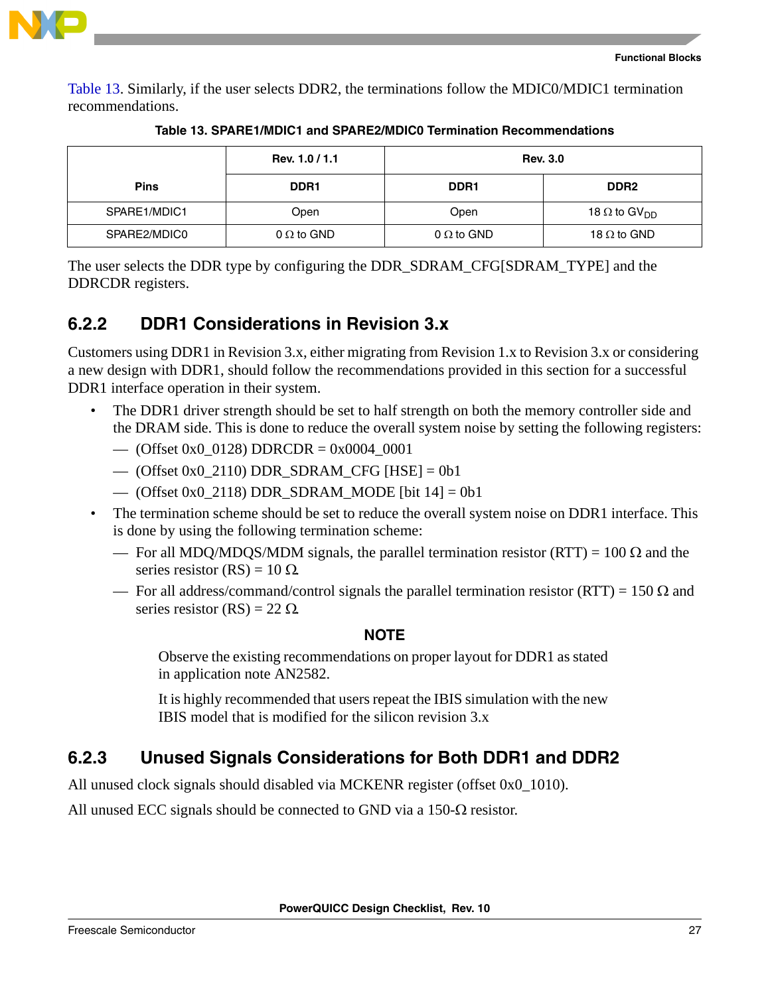

[Table 13](#page-26-0). Similarly, if the user selects DDR2, the terminations follow the MDIC0/MDIC1 termination recommendations.

<span id="page-26-0"></span>

|              | Rev. 1.0 / 1.1    | <b>Rev. 3.0</b>   |                                 |  |  |  |  |
|--------------|-------------------|-------------------|---------------------------------|--|--|--|--|
| <b>Pins</b>  | DDR <sub>1</sub>  | DDR <sub>1</sub>  | DDR <sub>2</sub>                |  |  |  |  |
| SPARE1/MDIC1 | Open              | Open              | 18 $\Omega$ to GV <sub>DD</sub> |  |  |  |  |
| SPARE2/MDIC0 | $0 \Omega$ to GND | $0 \Omega$ to GND | 18 $\Omega$ to GND              |  |  |  |  |

| Table 13. SPARE1/MDIC1 and SPARE2/MDIC0 Termination Recommendations |  |  |
|---------------------------------------------------------------------|--|--|
|                                                                     |  |  |

The user selects the DDR type by configuring the DDR\_SDRAM\_CFG[SDRAM\_TYPE] and the DDRCDR registers.

### <span id="page-26-1"></span>**6.2.2 DDR1 Considerations in Revision 3.x**

Customers using DDR1 in Revision 3.x, either migrating from Revision 1.x to Revision 3.x or considering a new design with DDR1, should follow the recommendations provided in this section for a successful DDR1 interface operation in their system.

- The DDR1 driver strength should be set to half strength on both the memory controller side and the DRAM side. This is done to reduce the overall system noise by setting the following registers:
	- (Offset 0x0\_0128) DDRCDR = 0x0004\_0001
	- (Offset 0x0 2110) DDR SDRAM CFG [HSE] = 0b1
	- (Offset 0x0 2118) DDR SDRAM MODE [bit  $14$ ] = 0b1
- The termination scheme should be set to reduce the overall system noise on DDR1 interface. This is done by using the following termination scheme:
	- For all MDQ/MDQS/MDM signals, the parallel termination resistor (RTT) = 100 Ω and the series resistor (RS) =  $10 \Omega$ .
	- For all address/command/control signals the parallel termination resistor (RTT) = 150 Ω and series resistor  $(RS) = 22 \Omega$ .

### **NOTE**

Observe the existing recommendations on proper layout for DDR1 as stated in application note AN2582.

It is highly recommended that users repeat the IBIS simulation with the new IBIS model that is modified for the silicon revision 3.x

### <span id="page-26-2"></span>**6.2.3 Unused Signals Considerations for Both DDR1 and DDR2**

All unused clock signals should disabled via MCKENR register (offset 0x0\_1010).

All unused ECC signals should be connected to GND via a 150- $\Omega$  resistor.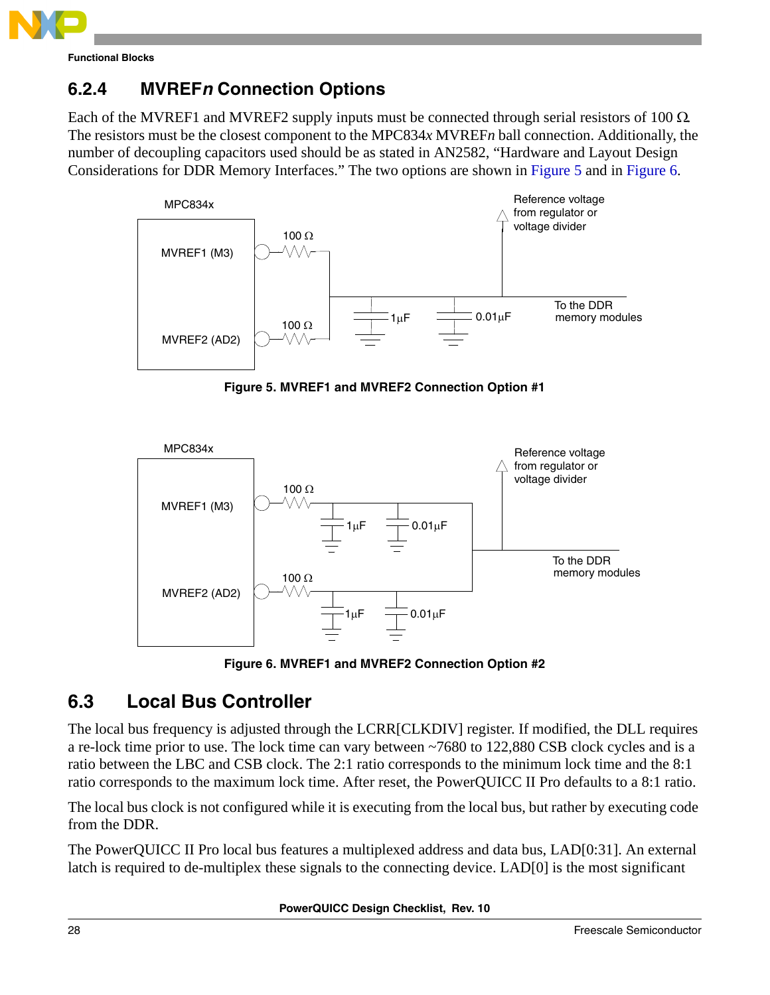

### <span id="page-27-2"></span>**6.2.4 MVREF***n* **Connection Options**

Each of the MVREF1 and MVREF2 supply inputs must be connected through serial resistors of 100  $\Omega$ . The resistors must be the closest component to the MPC834*x* MVREF*n* ball connection. Additionally, the number of decoupling capacitors used should be as stated in AN2582, "Hardware and Layout Design Considerations for DDR Memory Interfaces." The two options are shown in [Figure 5](#page-27-0) and in [Figure 6.](#page-27-1)



**Figure 5. MVREF1 and MVREF2 Connection Option #1**

<span id="page-27-0"></span>

**Figure 6. MVREF1 and MVREF2 Connection Option #2**

### <span id="page-27-1"></span>**6.3 Local Bus Controller**

The local bus frequency is adjusted through the LCRR[CLKDIV] register. If modified, the DLL requires a re-lock time prior to use. The lock time can vary between ~7680 to 122,880 CSB clock cycles and is a ratio between the LBC and CSB clock. The 2:1 ratio corresponds to the minimum lock time and the 8:1 ratio corresponds to the maximum lock time. After reset, the PowerQUICC II Pro defaults to a 8:1 ratio.

The local bus clock is not configured while it is executing from the local bus, but rather by executing code from the DDR.

The PowerQUICC II Pro local bus features a multiplexed address and data bus, LAD[0:31]. An external latch is required to de-multiplex these signals to the connecting device. LAD[0] is the most significant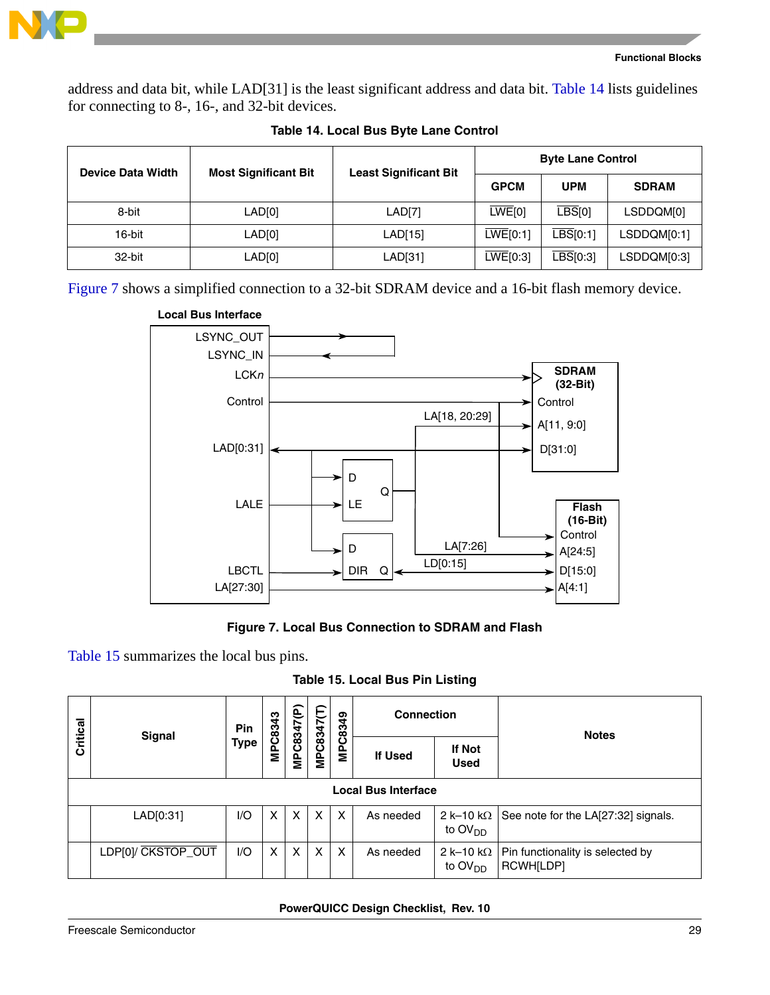

address and data bit, while LAD[31] is the least significant address and data bit. [Table 14](#page-28-0) lists guidelines for connecting to 8-, 16-, and 32-bit devices.

<span id="page-28-0"></span>

| <b>Device Data Width</b> | <b>Most Significant Bit</b> | <b>Least Significant Bit</b> | <b>Byte Lane Control</b> |                             |              |  |
|--------------------------|-----------------------------|------------------------------|--------------------------|-----------------------------|--------------|--|
|                          |                             |                              | <b>GPCM</b>              | <b>UPM</b>                  | <b>SDRAM</b> |  |
| 8-bit                    | LAD[0]                      | LAD[7]                       | LWE[0]                   | $\overline{\text{LBS}}$ [0] | LSDDQM[0]    |  |
| 16-bit                   | LAD[0]                      | LAD[15]                      | LWE[0:1]                 | $\overline{LBS}$ [0:1]      | LSDDQM[0:1]  |  |
| 32-bit                   | LAD[0]                      | LAD[31]                      | LWE[0:3]                 | $\overline{LBS}$ [0:3]      | LSDDQM[0:3]  |  |

#### **Table 14. Local Bus Byte Lane Control**

[Figure 7](#page-28-1) shows a simplified connection to a 32-bit SDRAM device and a 16-bit flash memory device.



#### **Figure 7. Local Bus Connection to SDRAM and Flash**

<span id="page-28-1"></span>[Table 15](#page-28-2) summarizes the local bus pins.

**Table 15. Local Bus Pin Listing**

<span id="page-28-2"></span>

|                            |                    | Pin         | MPC8343 |            |            |         | <b>Connection</b> |                                                 | <b>Notes</b>                                  |  |
|----------------------------|--------------------|-------------|---------|------------|------------|---------|-------------------|-------------------------------------------------|-----------------------------------------------|--|
| Critical                   | Signal             | <b>Type</b> |         | MPC8347(P) | MPC8347(T) | MPC8349 | <b>If Used</b>    | If Not<br><b>Used</b>                           |                                               |  |
| <b>Local Bus Interface</b> |                    |             |         |            |            |         |                   |                                                 |                                               |  |
|                            | LAD[0:31]          | 1/O         | X       | X          | X          | X       | As needed         | 2 k-10 k $\Omega$<br>to OV <sub>DD</sub>        | See note for the LA[27:32] signals.           |  |
|                            | LDP[0]/ CKSTOP_OUT | 1/O         | X       | X          | X          | X       | As needed         | 2 k-10 k $\Omega$<br>to $\text{OV}_{\text{DD}}$ | Pin functionality is selected by<br>RCWH[LDP] |  |

#### **PowerQUICC Design Checklist, Rev. 10**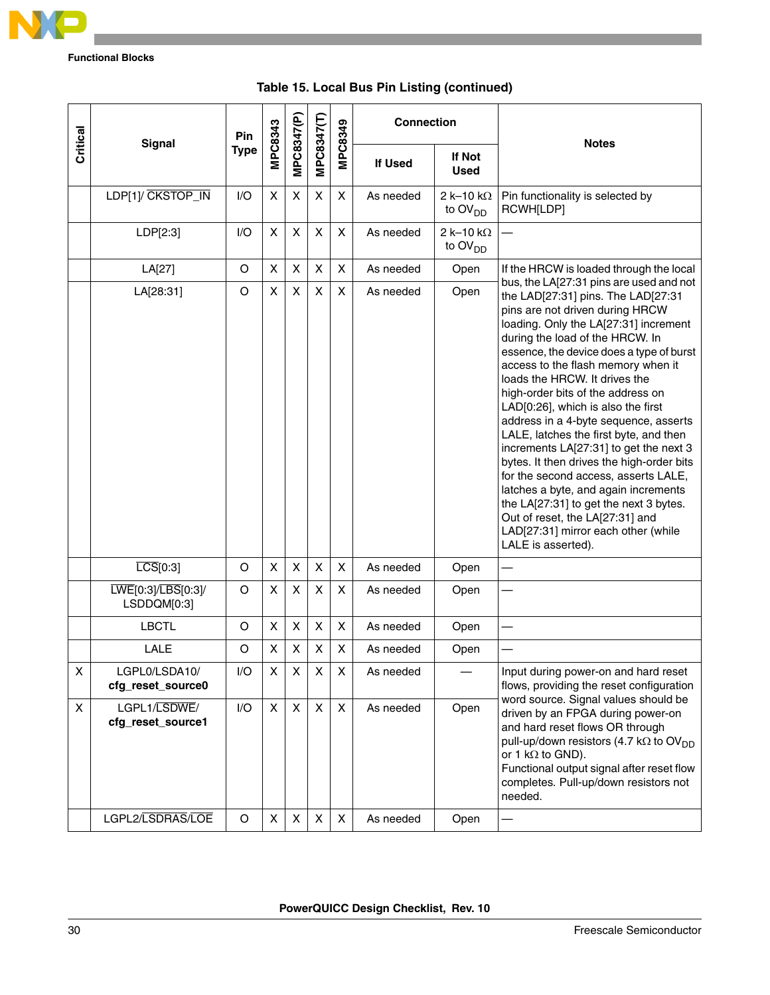

| Critical | <b>Signal</b>                                         | Pin            | MPC8343 | MPC8347(P) | MPC8347(T) | MPC8349        | <b>Connection</b>      |                                                 | <b>Notes</b>                                                                                                                                                                                                                                                                                                                                                                                                                                                                                                                                                                                                                                                                                                                                                                                   |  |
|----------|-------------------------------------------------------|----------------|---------|------------|------------|----------------|------------------------|-------------------------------------------------|------------------------------------------------------------------------------------------------------------------------------------------------------------------------------------------------------------------------------------------------------------------------------------------------------------------------------------------------------------------------------------------------------------------------------------------------------------------------------------------------------------------------------------------------------------------------------------------------------------------------------------------------------------------------------------------------------------------------------------------------------------------------------------------------|--|
|          |                                                       | <b>Type</b>    |         |            |            | <b>If Used</b> | If Not<br><b>Used</b>  |                                                 |                                                                                                                                                                                                                                                                                                                                                                                                                                                                                                                                                                                                                                                                                                                                                                                                |  |
|          | LDP[1]/ CKSTOP_IN                                     | I/O            | X       | X          | X          | X              | As needed              | 2 k-10 k $\Omega$<br>to $OVDD$                  | Pin functionality is selected by<br>RCWH[LDP]                                                                                                                                                                                                                                                                                                                                                                                                                                                                                                                                                                                                                                                                                                                                                  |  |
|          | LDP[2:3]                                              | I/O            | X       | X          | X          | X              | As needed              | 2 k-10 k $\Omega$<br>to $\text{OV}_{\text{DD}}$ |                                                                                                                                                                                                                                                                                                                                                                                                                                                                                                                                                                                                                                                                                                                                                                                                |  |
|          | LA[27]                                                | O              | X       | X          | X          | X              | As needed              | Open                                            | If the HRCW is loaded through the local                                                                                                                                                                                                                                                                                                                                                                                                                                                                                                                                                                                                                                                                                                                                                        |  |
|          | LA[28:31]                                             | $\circ$        | X       | X          | X          | X              | As needed              | Open                                            | bus, the LA[27:31 pins are used and not<br>the LAD[27:31] pins. The LAD[27:31<br>pins are not driven during HRCW<br>loading. Only the LA[27:31] increment<br>during the load of the HRCW. In<br>essence, the device does a type of burst<br>access to the flash memory when it<br>loads the HRCW. It drives the<br>high-order bits of the address on<br>LAD[0:26], which is also the first<br>address in a 4-byte sequence, asserts<br>LALE, latches the first byte, and then<br>increments LA[27:31] to get the next 3<br>bytes. It then drives the high-order bits<br>for the second access, asserts LALE,<br>latches a byte, and again increments<br>the LA[27:31] to get the next 3 bytes.<br>Out of reset, the LA[27:31] and<br>LAD[27:31] mirror each other (while<br>LALE is asserted). |  |
|          | $\overline{LCS}[0:3]$                                 | O              | X       | X          | X          | X              | As needed              | Open                                            |                                                                                                                                                                                                                                                                                                                                                                                                                                                                                                                                                                                                                                                                                                                                                                                                |  |
|          | LWE[0:3]/LBS[0:3]/<br>LSDDQM[0:3]                     | O              | X       | X          | X          | X              | As needed              | Open                                            |                                                                                                                                                                                                                                                                                                                                                                                                                                                                                                                                                                                                                                                                                                                                                                                                |  |
|          | <b>LBCTL</b>                                          | O              | X       | X          | X          | X              | As needed              | Open                                            |                                                                                                                                                                                                                                                                                                                                                                                                                                                                                                                                                                                                                                                                                                                                                                                                |  |
|          | <b>LALE</b>                                           | O              | X       | X          | X          | X              | As needed              | Open                                            |                                                                                                                                                                                                                                                                                                                                                                                                                                                                                                                                                                                                                                                                                                                                                                                                |  |
| X        | LGPL0/LSDA10/<br>cfg_reset_source0                    | I/O            | X       | X          | X          | Χ              | As needed              |                                                 | Input during power-on and hard reset<br>flows, providing the reset configuration<br>word source. Signal values should be<br>driven by an FPGA during power-on<br>and hard reset flows OR through<br>pull-up/down resistors (4.7 k $\Omega$ to OV <sub>DD</sub><br>or 1 $k\Omega$ to GND).<br>Functional output signal after reset flow<br>completes. Pull-up/down resistors not<br>needed.<br>—                                                                                                                                                                                                                                                                                                                                                                                                |  |
| X        | LGPL1/LSDWE/<br>cfg_reset_source1<br>LGPL2/LSDRAS/LOE | I/O<br>$\circ$ | X<br>X  | X<br>X     | X<br>X     | X<br>X         | As needed<br>As needed | Open<br>Open                                    |                                                                                                                                                                                                                                                                                                                                                                                                                                                                                                                                                                                                                                                                                                                                                                                                |  |
|          |                                                       |                |         |            |            |                |                        |                                                 |                                                                                                                                                                                                                                                                                                                                                                                                                                                                                                                                                                                                                                                                                                                                                                                                |  |

### **Table 15. Local Bus Pin Listing (continued)**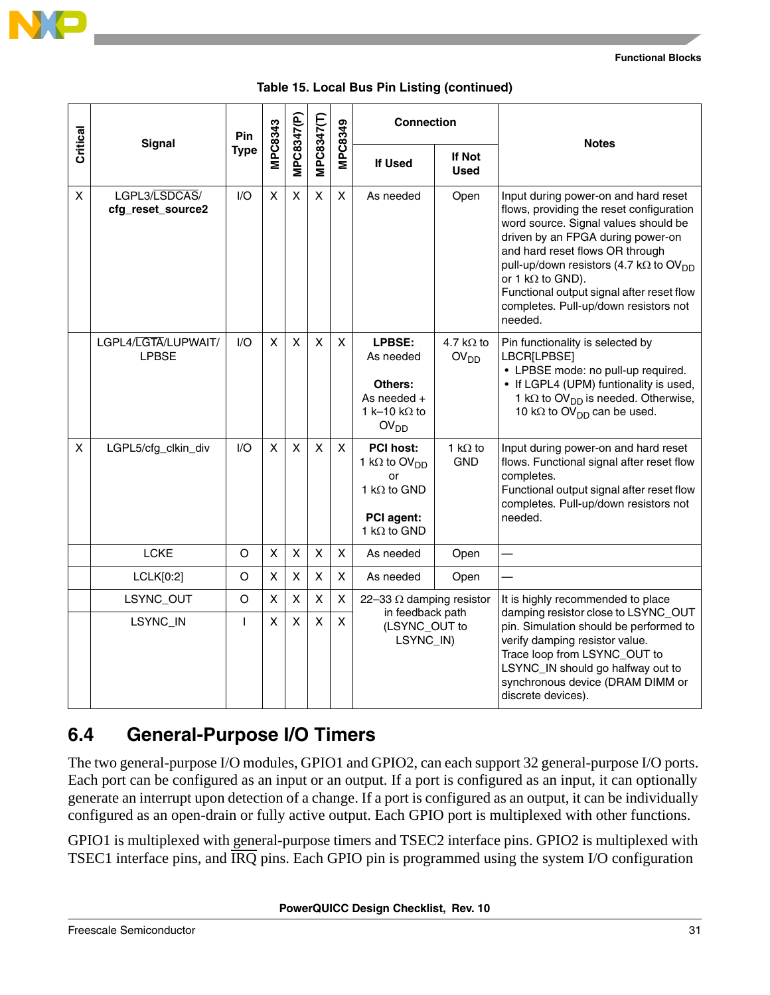

|          | <b>Signal</b>                       | Pin          |                |              |              | MPC8349        | <b>Connection</b>                                                                                                             |                                       | <b>Notes</b>                                                                                                                                                                                                                                                                                                                                                                               |
|----------|-------------------------------------|--------------|----------------|--------------|--------------|----------------|-------------------------------------------------------------------------------------------------------------------------------|---------------------------------------|--------------------------------------------------------------------------------------------------------------------------------------------------------------------------------------------------------------------------------------------------------------------------------------------------------------------------------------------------------------------------------------------|
| Critical |                                     | <b>Type</b>  | MPC8343        | MPC8347(P)   | MPC8347(T)   |                | If Used                                                                                                                       | If Not<br><b>Used</b>                 |                                                                                                                                                                                                                                                                                                                                                                                            |
| X        | LGPL3/LSDCAS/<br>cfg_reset_source2  | 1/O          | $\pmb{\times}$ | X            | X            | X              | As needed                                                                                                                     | Open                                  | Input during power-on and hard reset<br>flows, providing the reset configuration<br>word source. Signal values should be<br>driven by an FPGA during power-on<br>and hard reset flows OR through<br>pull-up/down resistors (4.7 k $\Omega$ to OV <sub>DD</sub><br>or 1 $k\Omega$ to GND).<br>Functional output signal after reset flow<br>completes. Pull-up/down resistors not<br>needed. |
|          | LGPL4/LGTA/LUPWAIT/<br><b>LPBSE</b> | I/O          | $\pmb{\times}$ | X            | $\mathsf{x}$ | $\mathsf{x}$   | LPBSE:<br>As needed<br>Others:<br>As needed $+$<br>1 k-10 k $\Omega$ to<br>OV <sub>DD</sub>                                   | 4.7 k $\Omega$ to<br>OV <sub>DD</sub> | Pin functionality is selected by<br>LBCR[LPBSE]<br>• LPBSE mode: no pull-up required.<br>• If LGPL4 (UPM) funtionality is used,<br>1 k $\Omega$ to OV <sub>DD</sub> is needed. Otherwise,<br>10 k $\Omega$ to OV <sub>DD</sub> can be used.                                                                                                                                                |
| X        | LGPL5/cfg_clkin_div                 | 1/O          | X              | X            | X            | $\mathsf{x}$   | <b>PCI host:</b><br>1 k $\Omega$ to OV <sub>DD</sub><br>or<br>1 k $\Omega$ to GND<br><b>PCI</b> agent:<br>1 k $\Omega$ to GND | 1 k $\Omega$ to<br><b>GND</b>         | Input during power-on and hard reset<br>flows. Functional signal after reset flow<br>completes.<br>Functional output signal after reset flow<br>completes. Pull-up/down resistors not<br>needed.                                                                                                                                                                                           |
|          | <b>LCKE</b>                         | $\circ$      | $\mathsf{X}$   | $\mathsf{X}$ | X            | $\pmb{\times}$ | As needed                                                                                                                     | Open                                  |                                                                                                                                                                                                                                                                                                                                                                                            |
|          | LCLK[0:2]                           | O            | X              | X            | X            | X              | As needed                                                                                                                     | Open                                  |                                                                                                                                                                                                                                                                                                                                                                                            |
|          | LSYNC_OUT                           | $\circ$      | X              | Χ            | X            | X              | 22-33 $\Omega$ damping resistor<br>in feedback path                                                                           |                                       | It is highly recommended to place<br>damping resistor close to LSYNC_OUT                                                                                                                                                                                                                                                                                                                   |
|          | LSYNC_IN                            | $\mathbf{I}$ | X              | X            | X            | X              | (LSYNC_OUT to<br>LSYNC_IN)                                                                                                    |                                       | pin. Simulation should be performed to<br>verify damping resistor value.<br>Trace loop from LSYNC_OUT to<br>LSYNC_IN should go halfway out to<br>synchronous device (DRAM DIMM or<br>discrete devices).                                                                                                                                                                                    |

|  |  |  |  | Table 15. Local Bus Pin Listing (continued) |
|--|--|--|--|---------------------------------------------|
|--|--|--|--|---------------------------------------------|

### **6.4 General-Purpose I/O Timers**

The two general-purpose I/O modules, GPIO1 and GPIO2, can each support 32 general-purpose I/O ports. Each port can be configured as an input or an output. If a port is configured as an input, it can optionally generate an interrupt upon detection of a change. If a port is configured as an output, it can be individually configured as an open-drain or fully active output. Each GPIO port is multiplexed with other functions.

GPIO1 is multiplexed with general-purpose timers and TSEC2 interface pins. GPIO2 is multiplexed with TSEC1 interface pins, and IRQ pins. Each GPIO pin is programmed using the system I/O configuration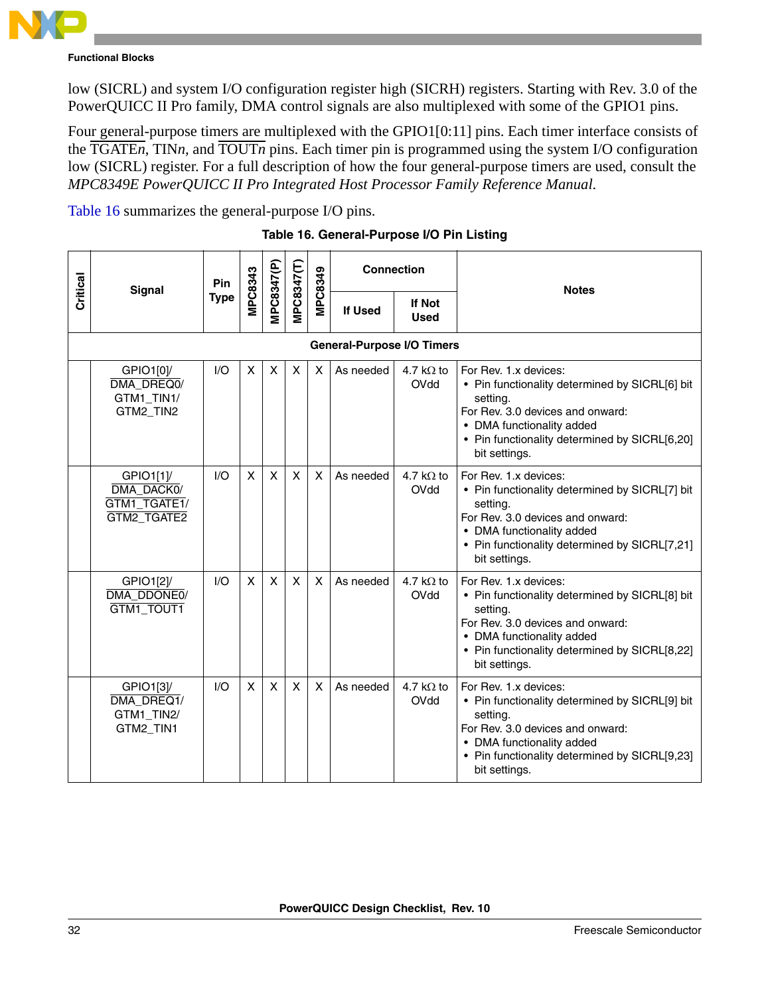

low (SICRL) and system I/O configuration register high (SICRH) registers. Starting with Rev. 3.0 of the PowerQUICC II Pro family, DMA control signals are also multiplexed with some of the GPIO1 pins.

Four general-purpose timers are multiplexed with the GPIO1[0:11] pins. Each timer interface consists of the TGATE*n*, TIN*n,* and TOUT*n* pins. Each timer pin is programmed using the system I/O configuration low (SICRL) register. For a full description of how the four general-purpose timers are used, consult the *MPC8349E PowerQUICC II Pro Integrated Host Processor Family Reference Manual*.

<span id="page-31-0"></span>[Table 16](#page-31-0) summarizes the general-purpose I/O pins.

|          | <b>Signal</b>                                         | Pin         |                |                   |              |                           | <b>Connection</b>                 |                           | <b>Notes</b>                                                                                                                                                                                                           |
|----------|-------------------------------------------------------|-------------|----------------|-------------------|--------------|---------------------------|-----------------------------------|---------------------------|------------------------------------------------------------------------------------------------------------------------------------------------------------------------------------------------------------------------|
| Critical |                                                       | <b>Type</b> | <b>MPC8343</b> | <b>MPC8347(P)</b> | MPC8347(T)   | MPC8349                   | If Used                           | If Not<br><b>Used</b>     |                                                                                                                                                                                                                        |
|          |                                                       |             |                |                   |              |                           | <b>General-Purpose I/O Timers</b> |                           |                                                                                                                                                                                                                        |
|          | GPIO1[0]/<br>DMA DREQ0/<br>GTM1_TIN1/<br>GTM2_TIN2    | I/O         | X              | X                 | X            | X                         | As needed                         | 4.7 k $\Omega$ to<br>OVdd | For Rev. 1.x devices:<br>• Pin functionality determined by SICRL[6] bit<br>setting.<br>For Rev. 3.0 devices and onward:<br>• DMA functionality added<br>• Pin functionality determined by SICRL[6,20]<br>bit settings. |
|          | GPIO1[1]<br>DMA DACK0/<br>GTM1_TGATE1/<br>GTM2_TGATE2 | I/O         | X              | X                 | X            | $\boldsymbol{\mathsf{x}}$ | As needed                         | 4.7 k $\Omega$ to<br>OVdd | For Rev. 1.x devices:<br>• Pin functionality determined by SICRL[7] bit<br>setting.<br>For Rev. 3.0 devices and onward:<br>• DMA functionality added<br>• Pin functionality determined by SICRL[7,21]<br>bit settings. |
|          | GPIO1[2]/<br>DMA_DDONE0/<br>GTM1_TOUT1                | I/O         | X              | $\mathsf{x}$      | $\mathsf{x}$ | X                         | As needed                         | 4.7 k $\Omega$ to<br>OVdd | For Rev. 1.x devices:<br>• Pin functionality determined by SICRL[8] bit<br>setting.<br>For Rev. 3.0 devices and onward:<br>• DMA functionality added<br>• Pin functionality determined by SICRL[8,22]<br>bit settings. |
|          | GPIO1[3]/<br>DMA DREQ1/<br>GTM1_TIN2/<br>GTM2_TIN1    | I/O         | X              | $\mathsf{x}$      | X            | $\boldsymbol{\mathsf{X}}$ | As needed                         | 4.7 k $\Omega$ to<br>OVdd | For Rev. 1.x devices:<br>• Pin functionality determined by SICRL[9] bit<br>setting.<br>For Rev. 3.0 devices and onward:<br>• DMA functionality added<br>• Pin functionality determined by SICRL[9,23]<br>bit settings. |

**Table 16. General-Purpose I/O Pin Listing**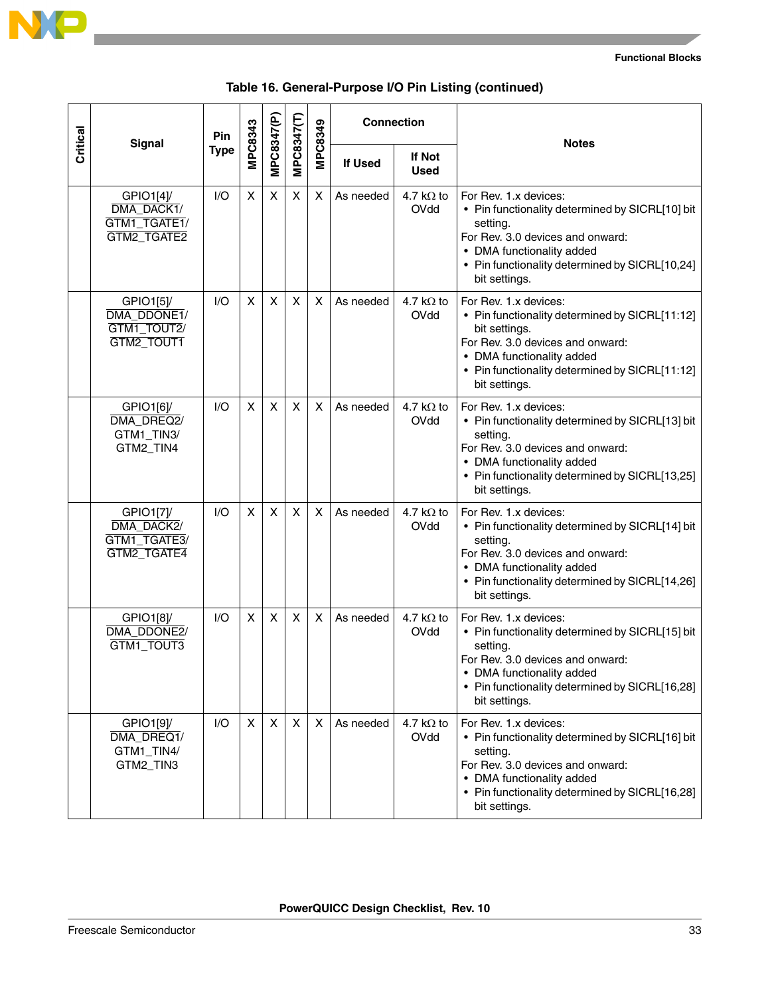

|          |                                                        | Pin         |                |            |            |         | <b>Connection</b> |                           | <b>Notes</b>                                                                                                                                                                                                                 |
|----------|--------------------------------------------------------|-------------|----------------|------------|------------|---------|-------------------|---------------------------|------------------------------------------------------------------------------------------------------------------------------------------------------------------------------------------------------------------------------|
| Critical | Signal                                                 | <b>Type</b> | <b>MPC8343</b> | MPC8347(P) | MPC8347(T) | MPC8349 | <b>If Used</b>    | If Not<br><b>Used</b>     |                                                                                                                                                                                                                              |
|          | GPIO1[4]<br>DMA_DACK1/<br>GTM1_TGATE1/<br>GTM2_TGATE2  | 1/O         | X              | X          | X          | X       | As needed         | 4.7 k $\Omega$ to<br>OVdd | For Rev. 1.x devices:<br>• Pin functionality determined by SICRL[10] bit<br>setting.<br>For Rev. 3.0 devices and onward:<br>• DMA functionality added<br>• Pin functionality determined by SICRL[10,24]<br>bit settings.     |
|          | GPIO1[5]/<br>DMA_DDONE1/<br>GTM1_TOUT2/<br>GTM2_TOUT1  | I/O         | X              | X          | X          | X       | As needed         | 4.7 k $\Omega$ to<br>OVdd | For Rev. 1.x devices:<br>• Pin functionality determined by SICRL[11:12]<br>bit settings.<br>For Rev. 3.0 devices and onward:<br>• DMA functionality added<br>• Pin functionality determined by SICRL[11:12]<br>bit settings. |
|          | GPIO1[6]/<br>DMA DREQ2/<br>GTM1_TIN3/<br>GTM2_TIN4     | I/O         | X              | X          | X          | X       | As needed         | 4.7 k $\Omega$ to<br>OVdd | For Rev. 1.x devices:<br>• Pin functionality determined by SICRL[13] bit<br>setting.<br>For Rev. 3.0 devices and onward:<br>• DMA functionality added<br>• Pin functionality determined by SICRL[13,25]<br>bit settings.     |
|          | GPIO1[7]/<br>DMA DACK2/<br>GTM1_TGATE3/<br>GTM2_TGATE4 | I/O         | X              | X          | X          | X       | As needed         | 4.7 k $\Omega$ to<br>OVdd | For Rev. 1.x devices:<br>• Pin functionality determined by SICRL[14] bit<br>setting.<br>For Rev. 3.0 devices and onward:<br>• DMA functionality added<br>• Pin functionality determined by SICRL[14,26]<br>bit settings.     |
|          | GPIO1[8]/<br>DMA_DDONE2/<br>GTM1_TOUT3                 | I/O         | X              | X          | X          | X       | As needed         | 4.7 k $\Omega$ to<br>OVdd | For Rev. 1.x devices:<br>• Pin functionality determined by SICRL[15] bit<br>setting.<br>For Rev. 3.0 devices and onward:<br>• DMA functionality added<br>• Pin functionality determined by SICRL[16,28]<br>bit settings.     |
|          | GPIO1[9]/<br>DMA_DREQ1/<br>GTM1_TIN4/<br>GTM2_TIN3     | I/O         | X              | X          | X          | X.      | As needed         | 4.7 k $\Omega$ to<br>OVdd | For Rev. 1.x devices:<br>• Pin functionality determined by SICRL[16] bit<br>setting.<br>For Rev. 3.0 devices and onward:<br>• DMA functionality added<br>• Pin functionality determined by SICRL[16,28]<br>bit settings.     |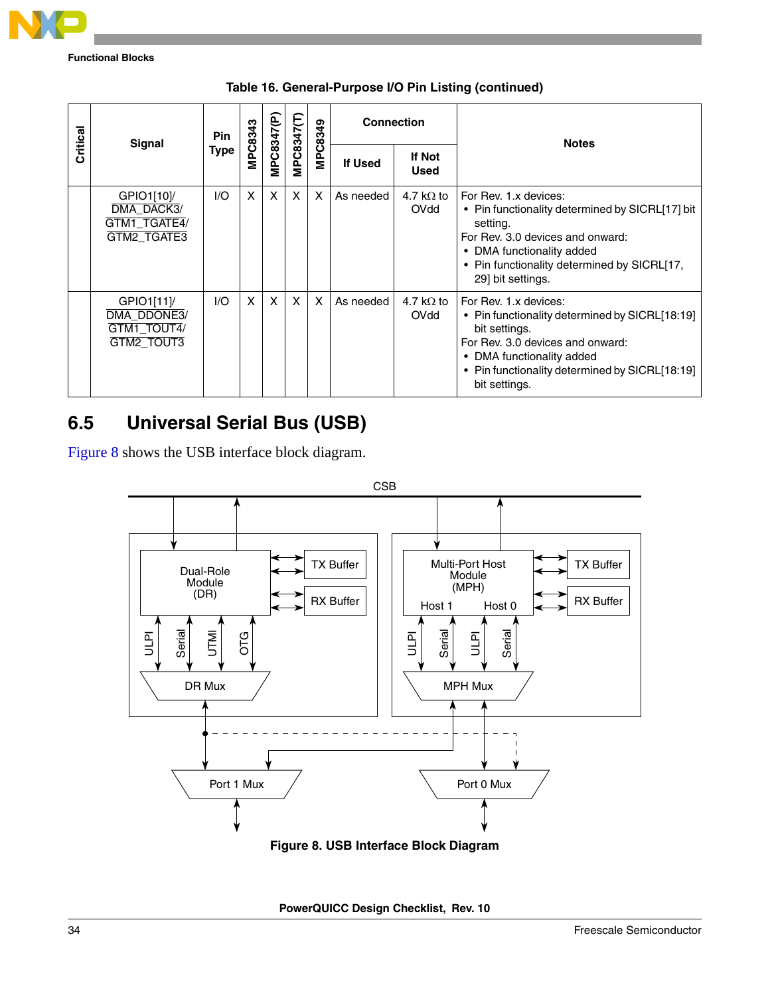

|          |                                                         | Pin  |                |                   |                   |         | <b>Connection</b> |                              | <b>Notes</b>                                                                                                                                                                                                                 |  |
|----------|---------------------------------------------------------|------|----------------|-------------------|-------------------|---------|-------------------|------------------------------|------------------------------------------------------------------------------------------------------------------------------------------------------------------------------------------------------------------------------|--|
| Critical | Signal                                                  | Type | <b>MPC8343</b> | <b>MPC8347(P)</b> | <b>MPC8347(T)</b> | MPC8349 | <b>If Used</b>    | <b>If Not</b><br><b>Used</b> |                                                                                                                                                                                                                              |  |
|          | GPIO1[10]/<br>DMA DACK3/<br>GTM1_TGATE4/<br>GTM2_TGATE3 | 1/O  | X              | $\times$          | X                 | X       | As needed         | 4.7 k $\Omega$ to<br>OVdd    | For Rev. 1.x devices:<br>• Pin functionality determined by SICRL[17] bit<br>setting.<br>For Rev. 3.0 devices and onward:<br>• DMA functionality added<br>• Pin functionality determined by SICRL[17,<br>29] bit settings.    |  |
|          | GPIO1[11]/<br>DMA DDONE3/<br>GTM1_TOUT4/<br>GTM2_TOUT3  | 1/O  | $\mathsf{x}$   | $\mathsf{x}$      | $\mathsf{x}$      | X       | As needed         | 4.7 k $\Omega$ to<br>OVdd    | For Rev. 1.x devices:<br>• Pin functionality determined by SICRL[18:19]<br>bit settings.<br>For Rev. 3.0 devices and onward:<br>• DMA functionality added<br>• Pin functionality determined by SICRL[18:19]<br>bit settings. |  |

**Table 16. General-Purpose I/O Pin Listing (continued)**

## **6.5 Universal Serial Bus (USB)**

[Figure 8](#page-33-0) shows the USB interface block diagram.



<span id="page-33-0"></span>**PowerQUICC Design Checklist, Rev. 10**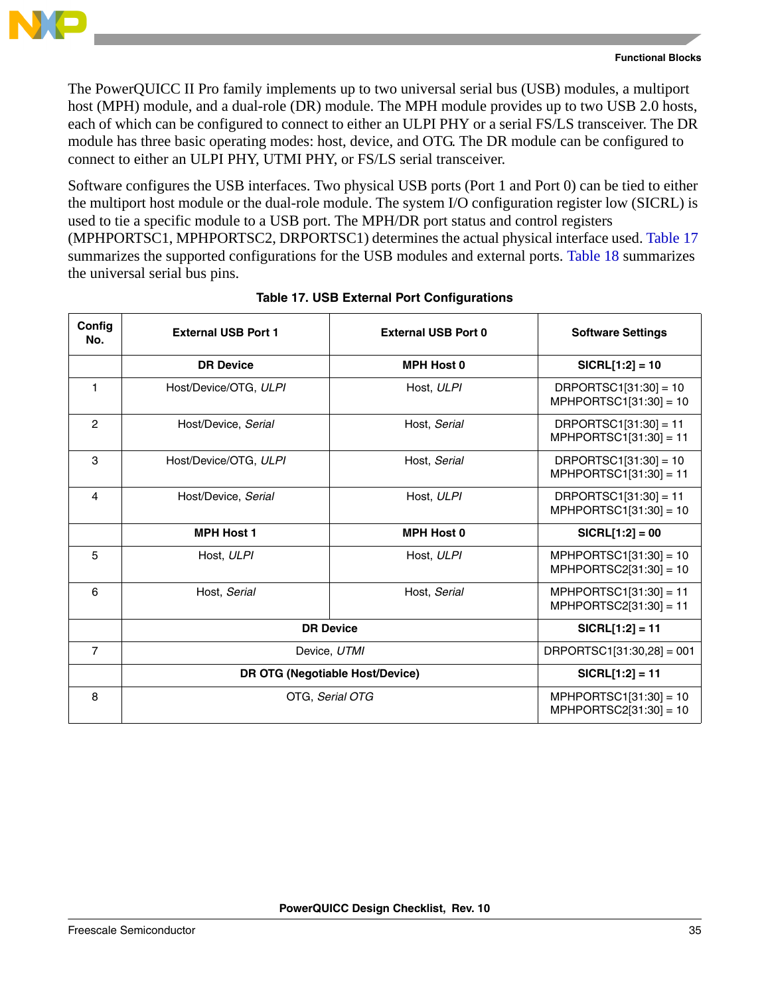

The PowerQUICC II Pro family implements up to two universal serial bus (USB) modules, a multiport host (MPH) module, and a dual-role (DR) module. The MPH module provides up to two USB 2.0 hosts, each of which can be configured to connect to either an ULPI PHY or a serial FS/LS transceiver. The DR module has three basic operating modes: host, device, and OTG. The DR module can be configured to connect to either an ULPI PHY, UTMI PHY, or FS/LS serial transceiver.

Software configures the USB interfaces. Two physical USB ports (Port 1 and Port 0) can be tied to either the multiport host module or the dual-role module. The system I/O configuration register low (SICRL) is used to tie a specific module to a USB port. The MPH/DR port status and control registers (MPHPORTSC1, MPHPORTSC2, DRPORTSC1) determines the actual physical interface used. [Table 17](#page-34-0) summarizes the supported configurations for the USB modules and external ports. [Table 18](#page-35-0) summarizes the universal serial bus pins.

<span id="page-34-0"></span>

| Config<br>No.  | <b>External USB Port 1</b> | <b>External USB Port 0</b>      | <b>Software Settings</b>                             |
|----------------|----------------------------|---------------------------------|------------------------------------------------------|
|                | <b>DR Device</b>           | <b>MPH Host 0</b>               | $SICRL[1:2] = 10$                                    |
|                | Host/Device/OTG, ULPI      | Host, ULPI                      | $DRPORTSC1[31:30] = 10$<br>$MPHPORTSC1[31:30] = 10$  |
| $\overline{2}$ | Host/Device, Serial        | Host, Serial                    | $DRPORTSC1[31:30] = 11$<br>$MPHPORTSC1[31:30] = 11$  |
| 3              | Host/Device/OTG, ULPI      | Host, Serial                    | $DRPORTSC1[31:30] = 10$<br>$MPHPORTSC1[31:30] = 11$  |
| 4              | Host/Device, Serial        | Host, ULPI                      | $DRPORTSC1[31:30] = 11$<br>$MPHPORTSC1[31:30] = 10$  |
|                | <b>MPH Host 1</b>          | <b>MPH Host 0</b>               | $SICRL[1:2] = 00$                                    |
| 5              | Host, ULPI                 | Host, ULPI                      | $MPHPORTSC1[31:30] = 10$<br>$MPHPORTSC2[31:30] = 10$ |
| 6              | Host, Serial               | Host, Serial                    | $MPHPORTSC1[31:30] = 11$<br>$MPHPORTSC2[31:30] = 11$ |
|                | <b>DR Device</b>           |                                 | $SICRL[1:2] = 11$                                    |
| $\overline{7}$ |                            | Device, UTMI                    | $DRPORTSC1[31:30,28] = 001$                          |
|                |                            | DR OTG (Negotiable Host/Device) | $SICRL[1:2] = 11$                                    |
| 8              |                            | OTG, Serial OTG                 | $MPHPORTSC1[31:30] = 10$<br>$MPHPORTSC2[31:30] = 10$ |

### **Table 17. USB External Port Configurations**

Т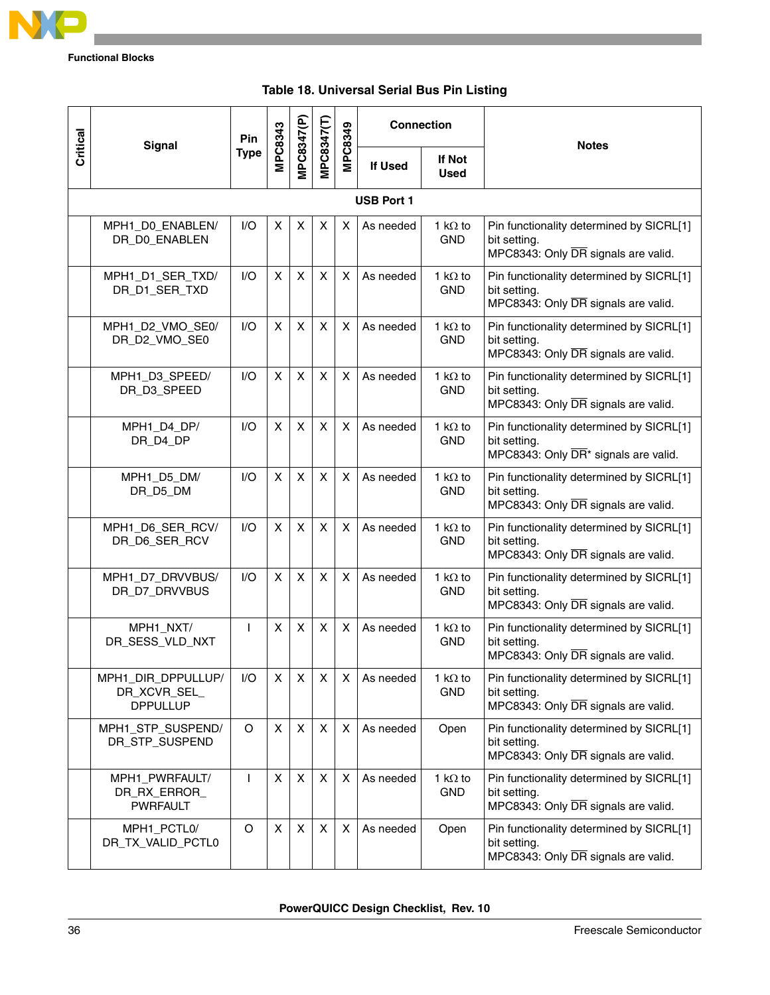

<span id="page-35-0"></span>

|          |                                                       | Pin         |                |                |                |                | <b>Connection</b> |                               |                                                                                                              |
|----------|-------------------------------------------------------|-------------|----------------|----------------|----------------|----------------|-------------------|-------------------------------|--------------------------------------------------------------------------------------------------------------|
| Critical | <b>Signal</b>                                         | <b>Type</b> | <b>MPC8343</b> | VIPC8347(P)    | VIPC8347(T)    | <b>MPC8349</b> | If Used           | If Not<br><b>Used</b>         | <b>Notes</b>                                                                                                 |
|          |                                                       |             |                |                |                |                | <b>USB Port 1</b> |                               |                                                                                                              |
|          | MPH1_D0_ENABLEN/<br>DR_D0_ENABLEN                     | 1/O         | X              | X              | X              | X              | As needed         | 1 k $\Omega$ to<br><b>GND</b> | Pin functionality determined by SICRL[1]<br>bit setting.<br>MPC8343: Only DR signals are valid.              |
|          | MPH1_D1_SER_TXD/<br>DR_D1_SER_TXD                     | I/O         | X              | X              | X              | X              | As needed         | 1 k $\Omega$ to<br><b>GND</b> | Pin functionality determined by SICRL[1]<br>bit setting.<br>MPC8343: Only DR signals are valid.              |
|          | MPH1_D2_VMO_SE0/<br>DR_D2_VMO_SE0                     | 1/O         | X              | X              | X              | $\mathsf{X}$   | As needed         | 1 k $\Omega$ to<br><b>GND</b> | Pin functionality determined by SICRL[1]<br>bit setting.<br>MPC8343: Only DR signals are valid.              |
|          | MPH1_D3_SPEED/<br>DR_D3_SPEED                         | 1/O         | X              | X              | X              | X              | As needed         | 1 k $\Omega$ to<br><b>GND</b> | Pin functionality determined by SICRL[1]<br>bit setting.<br>MPC8343: Only DR signals are valid.              |
|          | MPH1_D4_DP/<br>DR_D4_DP                               | 1/O         | X              | X              | X              | X              | As needed         | 1 k $\Omega$ to<br><b>GND</b> | Pin functionality determined by SICRL[1]<br>bit setting.<br>MPC8343: Only DR <sup>*</sup> signals are valid. |
|          | MPH1_D5_DM/<br>DR_D5_DM                               | 1/O         | X              | X              | X              | $\mathsf{X}$   | As needed         | 1 k $\Omega$ to<br><b>GND</b> | Pin functionality determined by SICRL[1]<br>bit setting.<br>MPC8343: Only DR signals are valid.              |
|          | MPH1_D6_SER_RCV/<br>DR_D6_SER_RCV                     | 1/O         | X              | X              | X              | X              | As needed         | 1 k $\Omega$ to<br><b>GND</b> | Pin functionality determined by SICRL[1]<br>bit setting.<br>MPC8343: Only DR signals are valid.              |
|          | MPH1_D7_DRVVBUS/<br>DR_D7_DRVVBUS                     | I/O         | X              | X              | X              | X              | As needed         | 1 k $\Omega$ to<br><b>GND</b> | Pin functionality determined by SICRL[1]<br>bit setting.<br>MPC8343: Only DR signals are valid.              |
|          | MPH1_NXT/<br>DR_SESS_VLD_NXT                          | L           | X              | X              | X              | $\mathsf{X}$   | As needed         | 1 k $\Omega$ to<br><b>GND</b> | Pin functionality determined by SICRL[1]<br>bit setting.<br>MPC8343: Only DR signals are valid.              |
|          | MPH1_DIR_DPPULLUP/<br>DR_XCVR_SEL_<br><b>DPPULLUP</b> | I/O         | X              | X              | X              | X              | As needed         | 1 k $\Omega$ to<br><b>GND</b> | Pin functionality determined by SICRL[1]<br>bit setting.<br>MPC8343: Only DR signals are valid.              |
|          | MPH1_STP_SUSPEND/<br>DR_STP_SUSPEND                   | O           | X              | X              | $\pmb{\times}$ | $\times$       | As needed         | Open                          | Pin functionality determined by SICRL[1]<br>bit setting.<br>MPC8343: Only DR signals are valid.              |
|          | MPH1_PWRFAULT/<br>DR_RX_ERROR_<br><b>PWRFAULT</b>     | I           | X              | X              | X              | X              | As needed         | 1 k $\Omega$ to<br><b>GND</b> | Pin functionality determined by SICRL[1]<br>bit setting.<br>MPC8343: Only DR signals are valid.              |
|          | MPH1_PCTL0/<br>DR_TX_VALID_PCTL0                      | O           | X              | $\pmb{\times}$ | X              | X              | As needed         | Open                          | Pin functionality determined by SICRL[1]<br>bit setting.<br>MPC8343: Only DR signals are valid.              |

### **Table 18. Universal Serial Bus Pin Listing**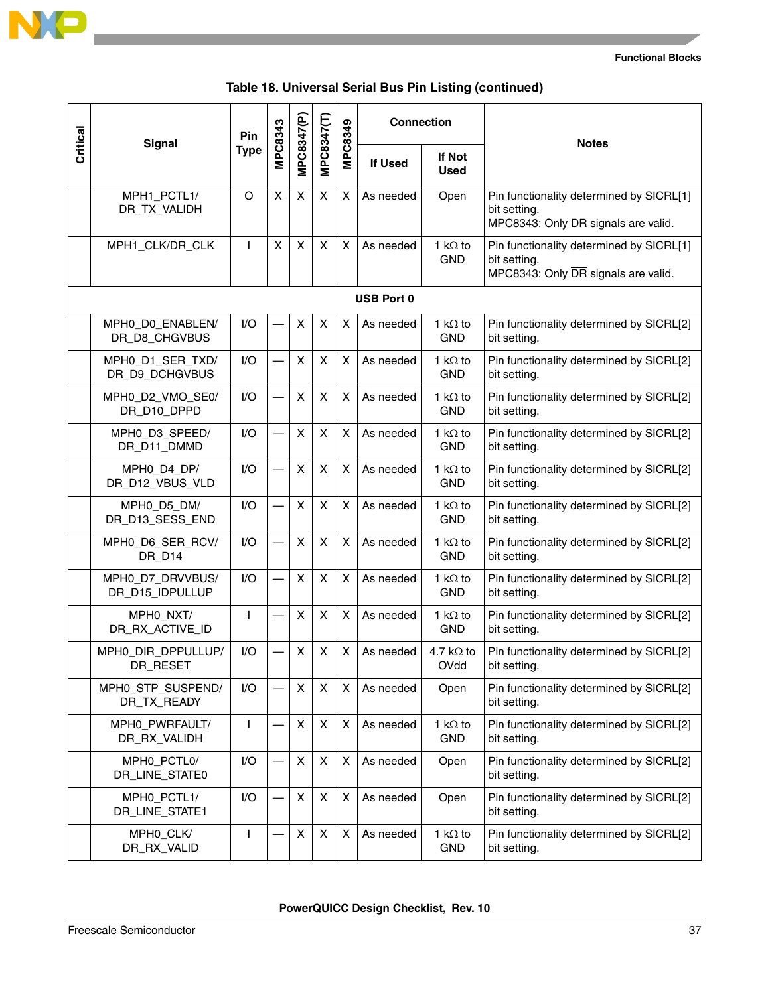

 $\overline{\phantom{a}}$ 

|  |  | Table 18. Universal Serial Bus Pin Listing (continued) |  |  |  |
|--|--|--------------------------------------------------------|--|--|--|
|--|--|--------------------------------------------------------|--|--|--|

| Critical | Signal                              | Pin         | MPC8343 | MPC8347(P)     | MPC8347(T) | MPC8349 | <b>Connection</b> |                               | <b>Notes</b>                                                                                    |
|----------|-------------------------------------|-------------|---------|----------------|------------|---------|-------------------|-------------------------------|-------------------------------------------------------------------------------------------------|
|          |                                     | <b>Type</b> |         |                |            |         | <b>If Used</b>    | If Not<br><b>Used</b>         |                                                                                                 |
|          | MPH1_PCTL1/<br>DR_TX_VALIDH         | O           | X       | X              | X          | X.      | As needed         | Open                          | Pin functionality determined by SICRL[1]<br>bit setting.<br>MPC8343: Only DR signals are valid. |
|          | MPH1_CLK/DR_CLK                     | L           | X       | X              | X          | X       | As needed         | 1 k $\Omega$ to<br><b>GND</b> | Pin functionality determined by SICRL[1]<br>bit setting.<br>MPC8343: Only DR signals are valid. |
|          |                                     |             |         |                |            |         | <b>USB Port 0</b> |                               |                                                                                                 |
|          | MPH0_D0_ENABLEN/<br>DR_D8_CHGVBUS   | I/O         |         | X              | X          | X       | As needed         | 1 k $\Omega$ to<br><b>GND</b> | Pin functionality determined by SICRL[2]<br>bit setting.                                        |
|          | MPH0_D1_SER_TXD/<br>DR_D9_DCHGVBUS  | I/O         |         | X              | X          | X       | As needed         | 1 k $\Omega$ to<br><b>GND</b> | Pin functionality determined by SICRL[2]<br>bit setting.                                        |
|          | MPH0_D2_VMO_SE0/<br>DR_D10_DPPD     | I/O         |         | X              | X          | X       | As needed         | 1 k $\Omega$ to<br><b>GND</b> | Pin functionality determined by SICRL[2]<br>bit setting.                                        |
|          | MPH0_D3_SPEED/<br>DR_D11_DMMD       | 1/O         |         | X              | X          | X       | As needed         | 1 k $\Omega$ to<br><b>GND</b> | Pin functionality determined by SICRL[2]<br>bit setting.                                        |
|          | MPH0_D4_DP/<br>DR_D12_VBUS_VLD      | I/O         |         | X              | X          | X       | As needed         | 1 k $\Omega$ to<br><b>GND</b> | Pin functionality determined by SICRL[2]<br>bit setting.                                        |
|          | MPH0_D5_DM/<br>DR_D13_SESS_END      | 1/O         |         | X              | X          | X       | As needed         | 1 k $\Omega$ to<br><b>GND</b> | Pin functionality determined by SICRL[2]<br>bit setting.                                        |
|          | MPH0_D6_SER_RCV/<br>DR_D14          | I/O         |         | X              | X          | Χ       | As needed         | 1 k $\Omega$ to<br><b>GND</b> | Pin functionality determined by SICRL[2]<br>bit setting.                                        |
|          | MPH0_D7_DRVVBUS/<br>DR_D15_IDPULLUP | I/O         |         | X              | X          | X       | As needed         | 1 k $\Omega$ to<br><b>GND</b> | Pin functionality determined by SICRL[2]<br>bit setting.                                        |
|          | MPHO_NXT/<br>DR_RX_ACTIVE_ID        |             |         | X              | X          | X       | As needed         | 1 k $\Omega$ to<br><b>GND</b> | Pin functionality determined by SICRL[2]<br>bit setting.                                        |
|          | MPHO_DIR_DPPULLUP/<br>DR_RESET      | I/O         |         | X              | X          | X       | As needed         | 4.7 k $\Omega$ to<br>OVdd     | Pin functionality determined by SICRL[2]<br>bit setting.                                        |
|          | MPH0_STP_SUSPEND/<br>DR_TX_READY    | I/O         |         | X              | X          | X       | As needed         | Open                          | Pin functionality determined by SICRL[2]<br>bit setting.                                        |
|          | MPH0_PWRFAULT/<br>DR_RX_VALIDH      | T           |         | $\pmb{\times}$ | X          | X       | As needed         | 1 k $\Omega$ to<br><b>GND</b> | Pin functionality determined by SICRL[2]<br>bit setting.                                        |
|          | MPH0_PCTL0/<br>DR_LINE_STATE0       | I/O         |         | X              | X          | X       | As needed         | Open                          | Pin functionality determined by SICRL[2]<br>bit setting.                                        |
|          | MPH0_PCTL1/<br>DR_LINE_STATE1       | I/O         |         | X              | X          | X       | As needed         | Open                          | Pin functionality determined by SICRL[2]<br>bit setting.                                        |
|          | MPH0_CLK/<br>DR_RX_VALID            | T           |         | X              | X          | X       | As needed         | 1 k $\Omega$ to<br><b>GND</b> | Pin functionality determined by SICRL[2]<br>bit setting.                                        |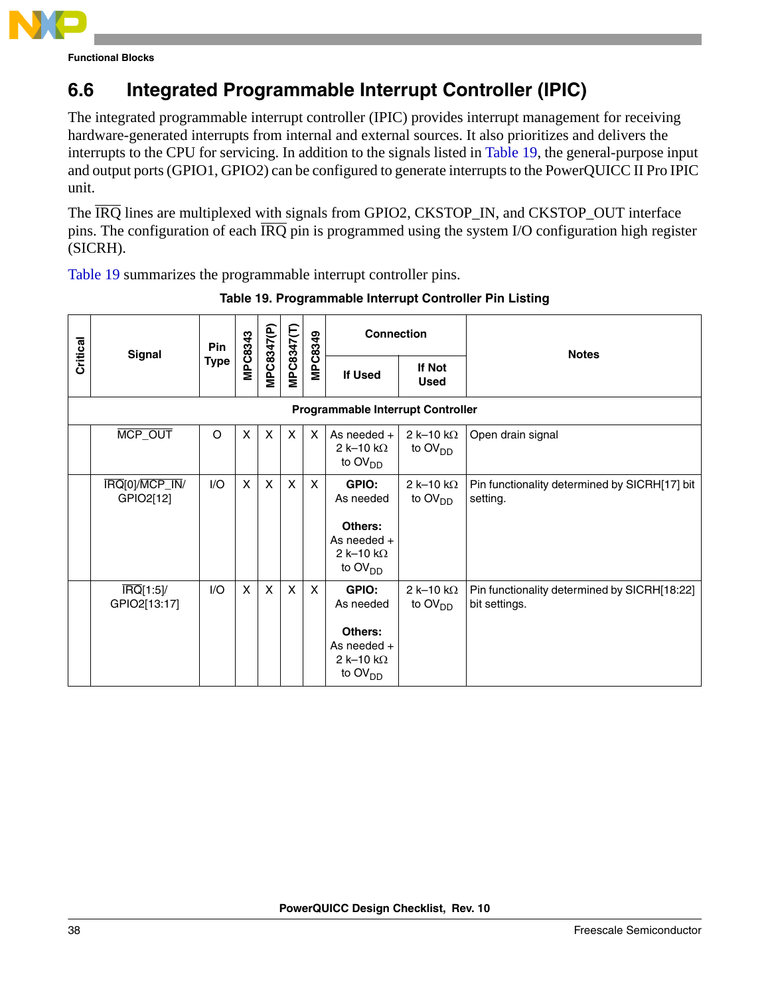

## **6.6 Integrated Programmable Interrupt Controller (IPIC)**

The integrated programmable interrupt controller (IPIC) provides interrupt management for receiving hardware-generated interrupts from internal and external sources. It also prioritizes and delivers the interrupts to the CPU for servicing. In addition to the signals listed in [Table 19](#page-37-0), the general-purpose input and output ports (GPIO1, GPIO2) can be configured to generate interrupts to the PowerQUICC II Pro IPIC unit.

The  $\overline{IRQ}$  lines are multiplexed with signals from GPIO2, CKSTOP\_IN, and CKSTOP\_OUT interface pins. The configuration of each  $\overline{IRQ}$  pin is programmed using the system I/O configuration high register (SICRH).

<span id="page-37-0"></span>[Table 19](#page-37-0) summarizes the programmable interrupt controller pins.

| Critical | <b>Signal</b>                                | <b>Pin</b>  |              |              | <b>MPC8347(T)</b> | MPC8349                   | <b>Connection</b>                                                                                 |                                                 | <b>Notes</b>                                                  |  |
|----------|----------------------------------------------|-------------|--------------|--------------|-------------------|---------------------------|---------------------------------------------------------------------------------------------------|-------------------------------------------------|---------------------------------------------------------------|--|
|          |                                              | <b>Type</b> | MPC8343      | MPC8347(P)   |                   |                           | If Used                                                                                           | If Not<br><b>Used</b>                           |                                                               |  |
|          |                                              |             |              |              |                   |                           | <b>Programmable Interrupt Controller</b>                                                          |                                                 |                                                               |  |
|          | MCP_OUT                                      | O           | X            | $\mathsf{x}$ | $\mathsf{x}$      | $\boldsymbol{\mathsf{x}}$ | As needed $+$<br>$2k-10k\Omega$<br>to OV <sub>DD</sub>                                            | 2 k-10 k $\Omega$<br>to $\text{OV}_{\text{DD}}$ | Open drain signal                                             |  |
|          | IRQ[0]/MCP_IN/<br>GPIO2[12]                  | I/O         | X            | $\mathsf{X}$ | $\mathsf{X}$      | $\mathsf{x}$              | GPIO:<br>As needed<br>Others:<br>As needed +<br>2 k-10 k $\Omega$<br>to $OVDD$                    | 2 k-10 k $\Omega$<br>to $OVDD$                  | Pin functionality determined by SICRH[17] bit<br>setting.     |  |
|          | $\overline{\text{IRQ}}[1:5]$<br>GPIO2[13:17] | I/O         | $\mathsf{x}$ | $\mathsf{X}$ | $\mathsf{x}$      | $\mathsf{X}$              | GPIO:<br>As needed<br>Others:<br>As needed $+$<br>2 k-10 k $\Omega$<br>to $\text{OV}_{\text{DD}}$ | 2 k-10 k $\Omega$<br>to $\text{OV}_{\text{DD}}$ | Pin functionality determined by SICRH[18:22]<br>bit settings. |  |

**Table 19. Programmable Interrupt Controller Pin Listing**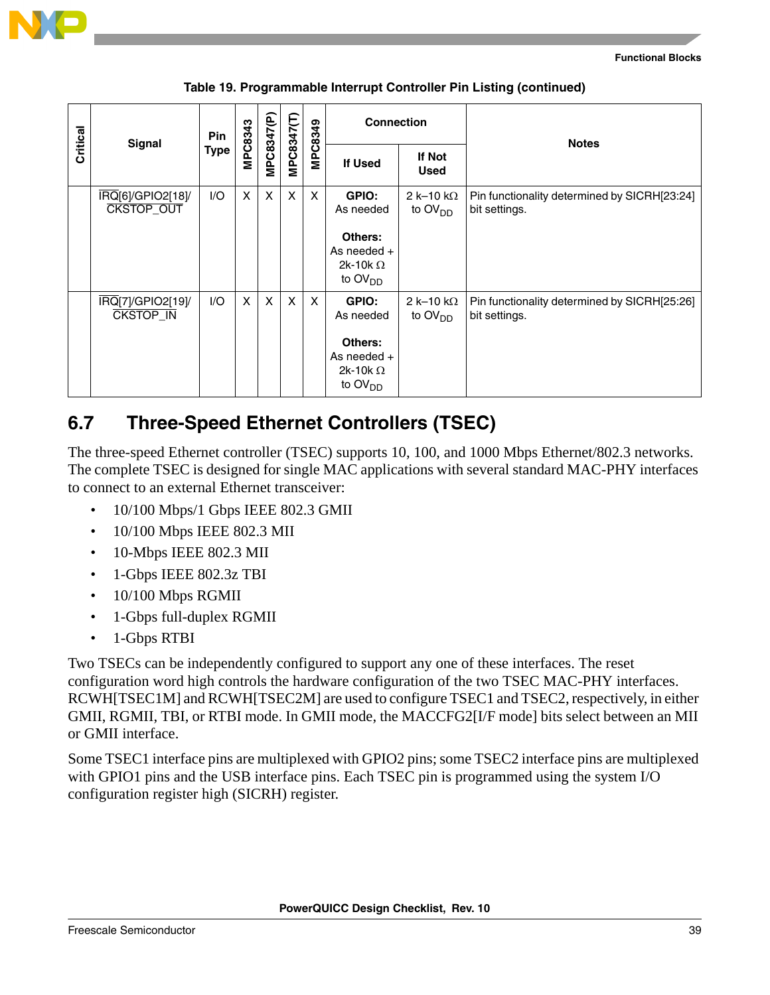

|  |  | Table 19. Programmable Interrupt Controller Pin Listing (continued) |  |
|--|--|---------------------------------------------------------------------|--|
|  |  |                                                                     |  |

| Critical | Signal                                               | <b>Pin</b> |              |              |              | MPC8349      | <b>Connection</b>                                                         |                                          | <b>Notes</b>                                                  |  |
|----------|------------------------------------------------------|------------|--------------|--------------|--------------|--------------|---------------------------------------------------------------------------|------------------------------------------|---------------------------------------------------------------|--|
|          |                                                      | Type       | MPC8343      | MPC8347(P    | MPC8347(T)   |              | <b>If Used</b>                                                            | If Not<br><b>Used</b>                    |                                                               |  |
|          | $\overline{IRQ}$ [6]/GPIO2[18]/<br><b>CKSTOP_OUT</b> | 1/O        | $\mathsf{x}$ | $\mathsf{X}$ | $\mathsf{x}$ | $\mathsf{x}$ | GPIO:<br>As needed                                                        | 2 k-10 k $\Omega$<br>to $OVDD$           | Pin functionality determined by SICRH[23:24]<br>bit settings. |  |
|          |                                                      |            |              |              |              |              | Others:<br>As needed $+$<br>2k-10k $\Omega$<br>to $\text{OV}_{DD}$        |                                          |                                                               |  |
|          | IRQ[7]/GPIO2[19]/<br><b>CKSTOP IN</b>                | 1/O        | X            | X            | $\mathsf{X}$ | $\mathsf{x}$ | GPIO:<br>As needed                                                        | 2 k-10 k $\Omega$<br>to $\text{OV}_{DD}$ | Pin functionality determined by SICRH[25:26]<br>bit settings. |  |
|          |                                                      |            |              |              |              |              | Others:<br>As needed $+$<br>2k-10k $\Omega$<br>to $\text{OV}_{\text{DD}}$ |                                          |                                                               |  |

### **6.7 Three-Speed Ethernet Controllers (TSEC)**

The three-speed Ethernet controller (TSEC) supports 10, 100, and 1000 Mbps Ethernet/802.3 networks. The complete TSEC is designed for single MAC applications with several standard MAC-PHY interfaces to connect to an external Ethernet transceiver:

- 10/100 Mbps/1 Gbps IEEE 802.3 GMII
- 10/100 Mbps IEEE 802.3 MII
- 10-Mbps IEEE 802.3 MII
- 1-Gbps IEEE 802.3z TBI
- 10/100 Mbps RGMII
- 1-Gbps full-duplex RGMII
- 1-Gbps RTBI

Two TSECs can be independently configured to support any one of these interfaces. The reset configuration word high controls the hardware configuration of the two TSEC MAC-PHY interfaces. RCWH[TSEC1M] and RCWH[TSEC2M] are used to configure TSEC1 and TSEC2, respectively, in either GMII, RGMII, TBI, or RTBI mode. In GMII mode, the MACCFG2[I/F mode] bits select between an MII or GMII interface.

Some TSEC1 interface pins are multiplexed with GPIO2 pins; some TSEC2 interface pins are multiplexed with GPIO1 pins and the USB interface pins. Each TSEC pin is programmed using the system I/O configuration register high (SICRH) register.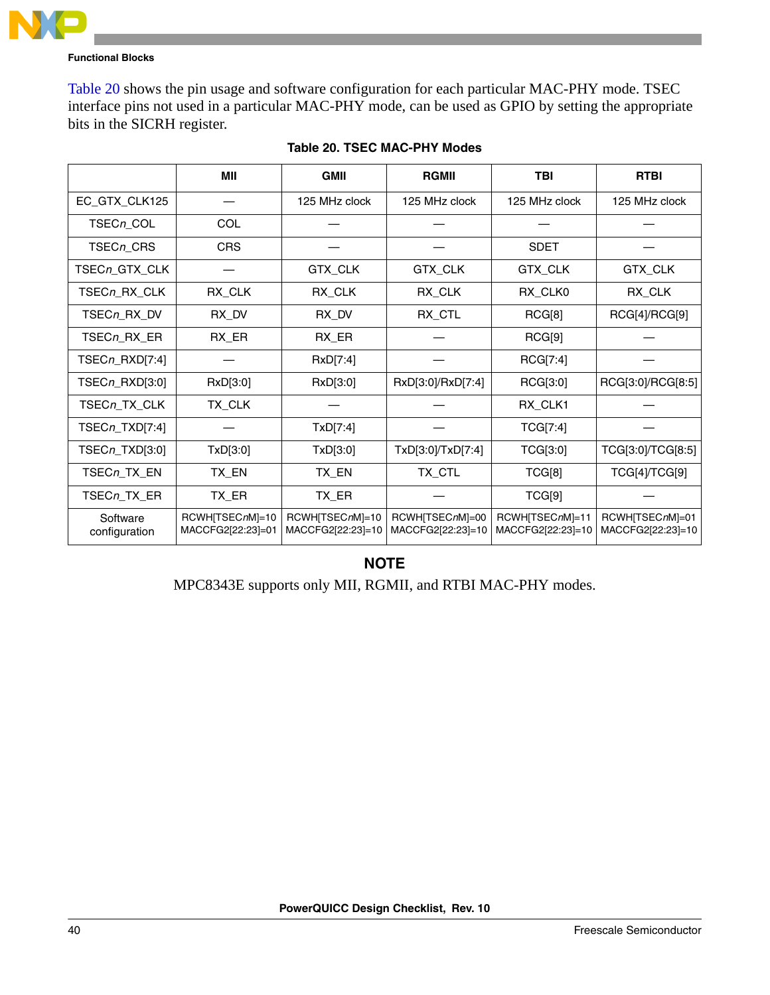

[Table 20](#page-39-0) shows the pin usage and software configuration for each particular MAC-PHY mode. TSEC interface pins not used in a particular MAC-PHY mode, can be used as GPIO by setting the appropriate bits in the SICRH register.

<span id="page-39-0"></span>

|                           | MII                                  | <b>GMII</b>                          | <b>RGMII</b>                         | <b>TBI</b>                           | <b>RTBI</b>                          |
|---------------------------|--------------------------------------|--------------------------------------|--------------------------------------|--------------------------------------|--------------------------------------|
| EC_GTX_CLK125             |                                      | 125 MHz clock                        | 125 MHz clock                        | 125 MHz clock                        | 125 MHz clock                        |
| TSECn_COL                 | <b>COL</b>                           |                                      |                                      |                                      |                                      |
| TSECn_CRS                 | <b>CRS</b>                           |                                      |                                      | <b>SDET</b>                          |                                      |
| TSECn_GTX_CLK             |                                      | GTX_CLK                              | GTX_CLK                              | GTX_CLK                              | GTX_CLK                              |
| TSECn_RX_CLK              | RX_CLK                               | RX_CLK                               | RX_CLK                               | RX_CLK0                              | RX_CLK                               |
| TSECn_RX_DV               | RX_DV                                | RX_DV                                | RX_CTL                               | RCG[8]                               | RCG[4]/RCG[9]                        |
| TSECn_RX_ER               | RX_ER                                | RX_ER                                |                                      | RCG[9]                               |                                      |
| TSECn_RXD[7:4]            |                                      | RxD[7:4]                             |                                      | RCG[7:4]                             |                                      |
| TSECn_RXD[3:0]            | RxD[3:0]                             | RxD[3:0]                             | RxD[3:0]/RxD[7:4]                    | RCG[3:0]                             | RCG[3:0]/RCG[8:5]                    |
| TSECn_TX_CLK              | TX_CLK                               |                                      |                                      | RX_CLK1                              |                                      |
| TSECn_TXD[7:4]            |                                      | TxD[7:4]                             |                                      | TCG[7:4]                             |                                      |
| TSECn_TXD[3:0]            | TxD[3:0]                             | TxD[3:0]                             | TxD[3:0]/TxD[7:4]                    | TCG[3:0]                             | TCG[3:0]/TCG[8:5]                    |
| TSECn_TX_EN               | TX_EN                                | TX_EN                                | TX_CTL                               | TCG[8]                               | TCG[4]/TCG[9]                        |
| TSECn_TX_ER               | TX_ER                                | TX_ER                                |                                      | TCG[9]                               |                                      |
| Software<br>configuration | RCWHITSECnM]=10<br>MACCFG2[22:23]=01 | RCWHITSECnMI=10<br>MACCFG2[22:23]=10 | RCWH[TSECnM]=00<br>MACCFG2[22:23]=10 | RCWH[TSECnM]=11<br>MACCFG2[22:23]=10 | RCWH[TSECnM]=01<br>MACCFG2[22:23]=10 |

|  |  | Table 20. TSEC MAC-PHY Modes |  |
|--|--|------------------------------|--|
|--|--|------------------------------|--|

### **NOTE**

MPC8343E supports only MII, RGMII, and RTBI MAC-PHY modes.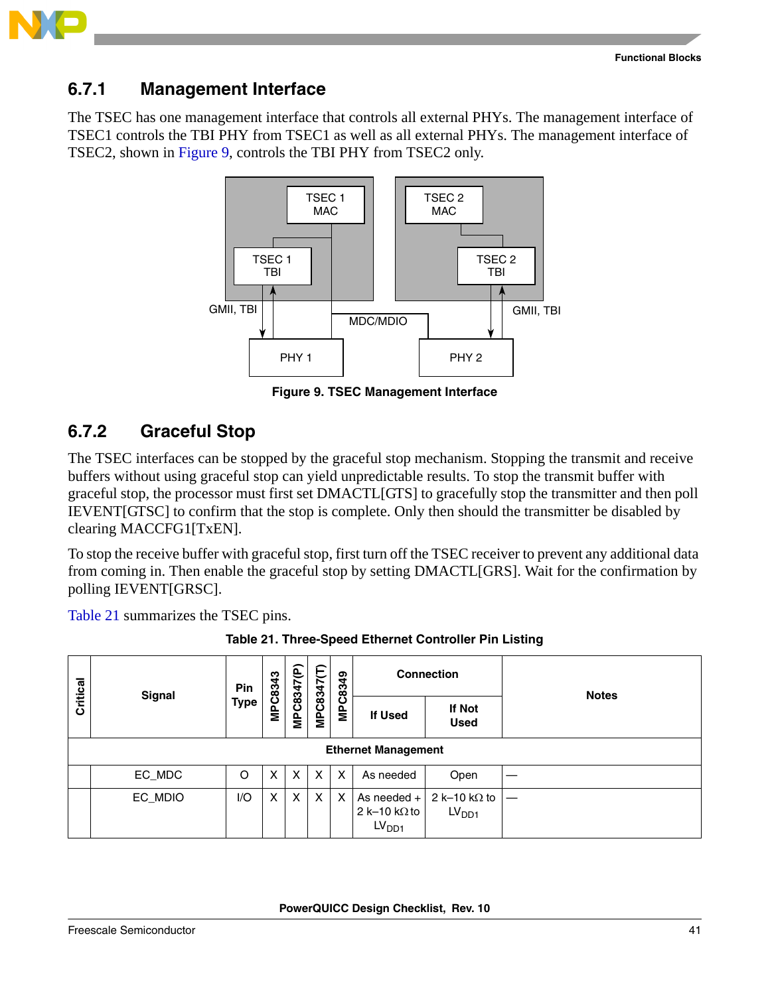

### **6.7.1 Management Interface**

The TSEC has one management interface that controls all external PHYs. The management interface of TSEC1 controls the TBI PHY from TSEC1 as well as all external PHYs. The management interface of TSEC2, shown in [Figure 9](#page-40-0), controls the TBI PHY from TSEC2 only.



**Figure 9. TSEC Management Interface**

### <span id="page-40-2"></span><span id="page-40-0"></span>**6.7.2 Graceful Stop**

The TSEC interfaces can be stopped by the graceful stop mechanism. Stopping the transmit and receive buffers without using graceful stop can yield unpredictable results. To stop the transmit buffer with graceful stop, the processor must first set DMACTL[GTS] to gracefully stop the transmitter and then poll IEVENT[GTSC] to confirm that the stop is complete. Only then should the transmitter be disabled by clearing MACCFG1[TxEN].

To stop the receive buffer with graceful stop, first turn off the TSEC receiver to prevent any additional data from coming in. Then enable the graceful stop by setting DMACTL[GRS]. Wait for the confirmation by polling IEVENT[GRSC].

[Table 21](#page-40-1) summarizes the TSEC pins.

<span id="page-40-1"></span>

|          | <b>Signal</b>              | Pin  |         |            |                   |                           |                                                            | <b>Connection</b>                         | <b>Notes</b> |  |  |  |  |  |
|----------|----------------------------|------|---------|------------|-------------------|---------------------------|------------------------------------------------------------|-------------------------------------------|--------------|--|--|--|--|--|
| Critical |                            | Type | MPC8343 | MPC8347(P) | <b>MPC8347(T)</b> | MPC8349                   | <b>If Used</b>                                             | <b>If Not</b><br><b>Used</b>              |              |  |  |  |  |  |
|          | <b>Ethernet Management</b> |      |         |            |                   |                           |                                                            |                                           |              |  |  |  |  |  |
|          | EC_MDC                     | O    | X       | X          | X                 | $\boldsymbol{\mathsf{X}}$ | As needed                                                  | Open                                      |              |  |  |  |  |  |
|          | EC_MDIO                    | I/O  | X       | X          | X                 | X                         | As needed $+$<br>2 k-10 k $\Omega$ to<br>LV <sub>DD1</sub> | 2 k-10 k $\Omega$ to<br>LV <sub>DD1</sub> |              |  |  |  |  |  |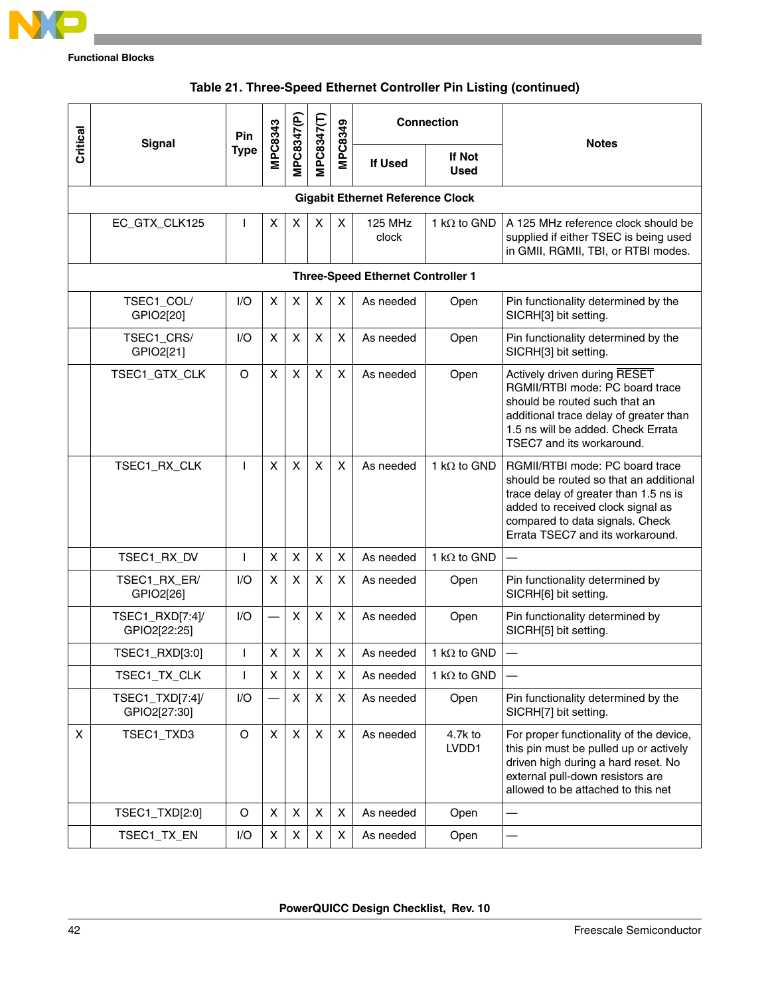

| Critical | <b>Signal</b>                            | Pin          |                | MPC8347(P) |                   | <b>MPC8349</b> |                                         | <b>Connection</b>   | <b>Notes</b>                                                                                                                                                                                                                   |  |  |  |  |  |  |
|----------|------------------------------------------|--------------|----------------|------------|-------------------|----------------|-----------------------------------------|---------------------|--------------------------------------------------------------------------------------------------------------------------------------------------------------------------------------------------------------------------------|--|--|--|--|--|--|
|          |                                          | <b>Type</b>  | <b>MPC8343</b> |            | <b>MPC8347(T)</b> |                | If Not<br>If Used<br>Used               |                     |                                                                                                                                                                                                                                |  |  |  |  |  |  |
|          |                                          |              |                |            |                   |                | <b>Gigabit Ethernet Reference Clock</b> |                     |                                                                                                                                                                                                                                |  |  |  |  |  |  |
|          | EC_GTX_CLK125                            | I.           | X              | X          | X                 | X              | <b>125 MHz</b><br>clock                 | 1 k $\Omega$ to GND | A 125 MHz reference clock should be<br>supplied if either TSEC is being used<br>in GMII, RGMII, TBI, or RTBI modes.                                                                                                            |  |  |  |  |  |  |
|          | <b>Three-Speed Ethernet Controller 1</b> |              |                |            |                   |                |                                         |                     |                                                                                                                                                                                                                                |  |  |  |  |  |  |
|          | TSEC1_COL/<br>GPIO2[20]                  | 1/O          | X              | X          | X                 | X              | As needed                               | Open                | Pin functionality determined by the<br>SICRH[3] bit setting.                                                                                                                                                                   |  |  |  |  |  |  |
|          | TSEC1_CRS/<br>GPIO2[21]                  | 1/O          | X              | X          | X                 | X              | As needed                               | Open                | Pin functionality determined by the<br>SICRH[3] bit setting.                                                                                                                                                                   |  |  |  |  |  |  |
|          | TSEC1_GTX_CLK                            | O            | X              | X          | X                 | $\mathsf{x}$   | As needed                               | Open                | Actively driven during RESET<br>RGMII/RTBI mode: PC board trace<br>should be routed such that an<br>additional trace delay of greater than<br>1.5 ns will be added. Check Errata<br>TSEC7 and its workaround.                  |  |  |  |  |  |  |
|          | TSEC1_RX_CLK                             | T            | X              | X          | X                 | X              | As needed                               | 1 k $\Omega$ to GND | RGMII/RTBI mode: PC board trace<br>should be routed so that an additional<br>trace delay of greater than 1.5 ns is<br>added to received clock signal as<br>compared to data signals. Check<br>Errata TSEC7 and its workaround. |  |  |  |  |  |  |
|          | TSEC1_RX_DV                              | L            | X              | X          | $\pmb{\times}$    | X              | As needed                               | 1 k $\Omega$ to GND |                                                                                                                                                                                                                                |  |  |  |  |  |  |
|          | TSEC1_RX_ER/<br>GPIO2[26]                | 1/O          | X              | X          | X                 | X              | As needed                               | Open                | Pin functionality determined by<br>SICRH[6] bit setting.                                                                                                                                                                       |  |  |  |  |  |  |
|          | TSEC1_RXD[7:4]/<br>GPIO2[22:25]          | 1/O          |                | X          | X                 | X              | As needed                               | Open                | Pin functionality determined by<br>SICRH[5] bit setting.                                                                                                                                                                       |  |  |  |  |  |  |
|          | TSEC1_RXD[3:0]                           | $\mathsf{I}$ | X              | X          | X                 | X              | As needed                               | 1 k $\Omega$ to GND |                                                                                                                                                                                                                                |  |  |  |  |  |  |
|          | TSEC1_TX_CLK                             | T            | х              | X          | X                 | X              | As needed                               | 1 k $\Omega$ to GND |                                                                                                                                                                                                                                |  |  |  |  |  |  |
|          | TSEC1_TXD[7:4]/<br>GPIO2[27:30]          | I/O          |                | X          | $\pmb{\times}$    | X              | As needed                               | Open                | Pin functionality determined by the<br>SICRH[7] bit setting.                                                                                                                                                                   |  |  |  |  |  |  |
| X        | TSEC1_TXD3                               | $\circ$      | X              | X          | X                 | X              | As needed                               | 4.7k to<br>LVDD1    | For proper functionality of the device,<br>this pin must be pulled up or actively<br>driven high during a hard reset. No<br>external pull-down resistors are<br>allowed to be attached to this net                             |  |  |  |  |  |  |
|          | TSEC1_TXD[2:0]                           | O            | $\pmb{\times}$ | X          | X                 | X              | As needed                               | Open                |                                                                                                                                                                                                                                |  |  |  |  |  |  |
|          | TSEC1_TX_EN                              | I/O          | X              | X          | X                 | X              | As needed                               | Open                |                                                                                                                                                                                                                                |  |  |  |  |  |  |

### **Table 21. Three-Speed Ethernet Controller Pin Listing (continued)**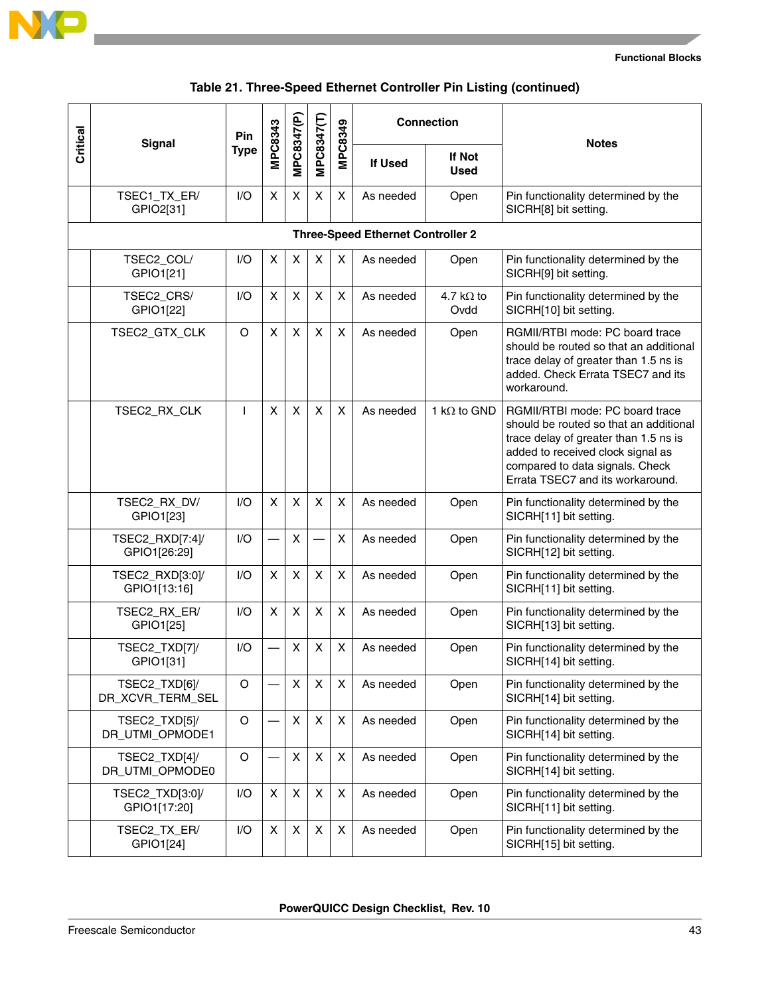

### **Table 21. Three-Speed Ethernet Controller Pin Listing (continued)**

| Critical | <b>Signal</b>                            | Pin         | <b>MPC8343</b> | MPC8347(P) | MPC8347(T)                | MPC8349      | <b>Connection</b> |                           | <b>Notes</b>                                                                                                                                                                                                                   |  |  |  |  |  |  |
|----------|------------------------------------------|-------------|----------------|------------|---------------------------|--------------|-------------------|---------------------------|--------------------------------------------------------------------------------------------------------------------------------------------------------------------------------------------------------------------------------|--|--|--|--|--|--|
|          |                                          | <b>Type</b> |                |            |                           |              | <b>If Used</b>    | If Not<br><b>Used</b>     |                                                                                                                                                                                                                                |  |  |  |  |  |  |
|          | TSEC1_TX_ER/<br>GPIO2[31]                | 1/O         | X              | X          | X                         | X            | As needed         | Open                      | Pin functionality determined by the<br>SICRH[8] bit setting.                                                                                                                                                                   |  |  |  |  |  |  |
|          | <b>Three-Speed Ethernet Controller 2</b> |             |                |            |                           |              |                   |                           |                                                                                                                                                                                                                                |  |  |  |  |  |  |
|          | TSEC2_COL/<br>GPIO1[21]                  | I/O         | X              | X          | $\boldsymbol{\mathsf{X}}$ | X            | As needed         | Open                      | Pin functionality determined by the<br>SICRH[9] bit setting.                                                                                                                                                                   |  |  |  |  |  |  |
|          | TSEC2_CRS/<br>GPIO1[22]                  | 1/O         | X              | X          | X                         | X            | As needed         | 4.7 k $\Omega$ to<br>Ovdd | Pin functionality determined by the<br>SICRH[10] bit setting.                                                                                                                                                                  |  |  |  |  |  |  |
|          | TSEC2_GTX_CLK                            | O           | X              | X          | $\pmb{\times}$            | X            | As needed         | Open                      | RGMII/RTBI mode: PC board trace<br>should be routed so that an additional<br>trace delay of greater than 1.5 ns is<br>added. Check Errata TSEC7 and its<br>workaround.                                                         |  |  |  |  |  |  |
|          | TSEC2_RX_CLK                             | ı           | X              | X          | $\boldsymbol{\mathsf{X}}$ | $\mathsf{X}$ | As needed         | 1 k $\Omega$ to GND       | RGMII/RTBI mode: PC board trace<br>should be routed so that an additional<br>trace delay of greater than 1.5 ns is<br>added to received clock signal as<br>compared to data signals. Check<br>Errata TSEC7 and its workaround. |  |  |  |  |  |  |
|          | TSEC2_RX_DV/<br>GPIO1[23]                | I/O         | $\pmb{\times}$ | X          | $\pmb{\times}$            | X            | As needed         | Open                      | Pin functionality determined by the<br>SICRH[11] bit setting.                                                                                                                                                                  |  |  |  |  |  |  |
|          | TSEC2_RXD[7:4]/<br>GPIO1[26:29]          | 1/O         |                | X          |                           | X            | As needed         | Open                      | Pin functionality determined by the<br>SICRH[12] bit setting.                                                                                                                                                                  |  |  |  |  |  |  |
|          | TSEC2_RXD[3:0]/<br>GPIO1[13:16]          | 1/O         | X              | X          | X                         | X            | As needed         | Open                      | Pin functionality determined by the<br>SICRH[11] bit setting.                                                                                                                                                                  |  |  |  |  |  |  |
|          | TSEC2_RX_ER/<br>GPIO1[25]                | I/O         | X              | X          | X                         | X            | As needed         | Open                      | Pin functionality determined by the<br>SICRH[13] bit setting.                                                                                                                                                                  |  |  |  |  |  |  |
|          | TSEC2_TXD[7]/<br>GPIO1[31]               | I/O         |                | Χ          | X                         | X            | As needed         | Open                      | Pin functionality determined by the<br>SICRH[14] bit setting.                                                                                                                                                                  |  |  |  |  |  |  |
|          | TSEC2_TXD[6]/<br>DR_XCVR_TERM_SEL        | O           |                | Χ          | X                         | X            | As needed         | Open                      | Pin functionality determined by the<br>SICRH[14] bit setting.                                                                                                                                                                  |  |  |  |  |  |  |
|          | TSEC2_TXD[5]/<br>DR_UTMI_OPMODE1         | $\circ$     |                | X          | X                         | X            | As needed         | Open                      | Pin functionality determined by the<br>SICRH[14] bit setting.                                                                                                                                                                  |  |  |  |  |  |  |
|          | TSEC2_TXD[4]/<br>DR_UTMI_OPMODE0         | $\circ$     |                | X          | X                         | X            | As needed         | Open                      | Pin functionality determined by the<br>SICRH[14] bit setting.                                                                                                                                                                  |  |  |  |  |  |  |
|          | TSEC2_TXD[3:0]/<br>GPIO1[17:20]          | I/O         | X              | X          | X                         | X            | As needed         | Open                      | Pin functionality determined by the<br>SICRH[11] bit setting.                                                                                                                                                                  |  |  |  |  |  |  |
|          | TSEC2_TX_ER/<br>GPIO1[24]                | I/O         | X              | X          | X                         | X            | As needed         | Open                      | Pin functionality determined by the<br>SICRH[15] bit setting.                                                                                                                                                                  |  |  |  |  |  |  |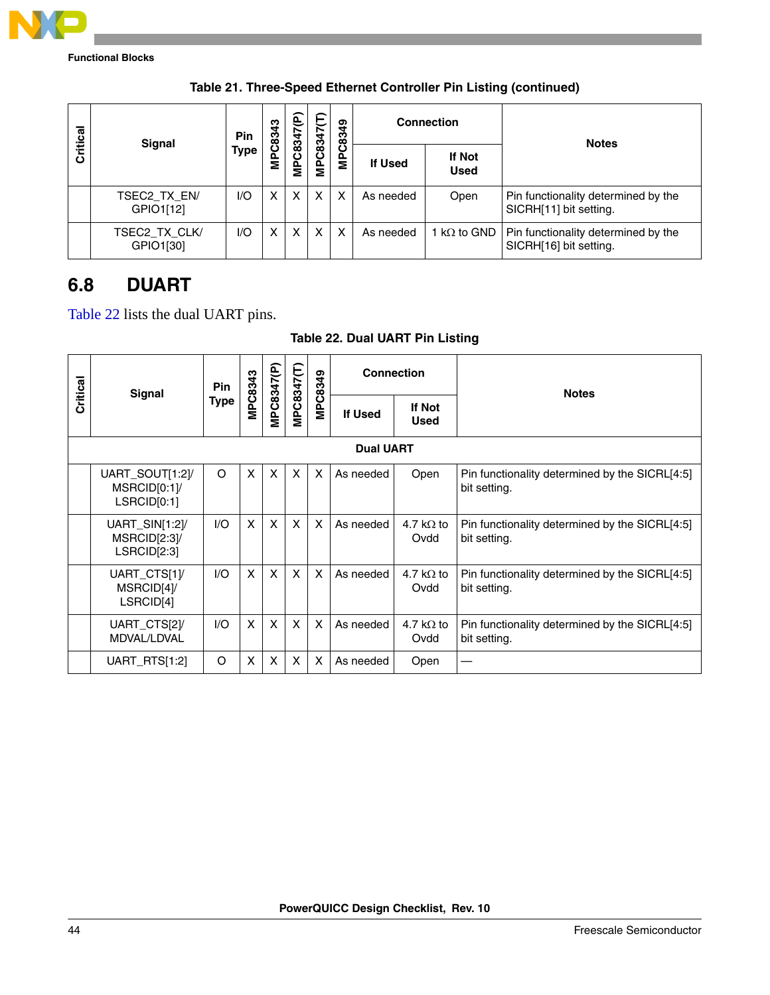

| Critical | <b>Signal</b>              | Pin         | C8343 | é<br>C8347 | MPC8347(T) | ဒ္    |           | <b>Connection</b>     | <b>Notes</b>                                                         |
|----------|----------------------------|-------------|-------|------------|------------|-------|-----------|-----------------------|----------------------------------------------------------------------|
|          |                            | <b>Type</b> | 을     | ěΣ         |            | MPC83 | If Used   | If Not<br><b>Used</b> |                                                                      |
|          | TSEC2_TX_EN/<br>GPIO1[12]  | 1/O         | x     | x          | X          | x     | As needed | Open                  | Pin functionality determined by the<br>SICRH[11] bit setting.        |
|          | TSEC2 TX CLK/<br>GPIO1[30] | I/O         | x     | x          | X          | x     | As needed | 1 k $\Omega$ to GND   | <b>Pin functionality determined by the</b><br>SICRH[16] bit setting. |

### **Table 21. Three-Speed Ethernet Controller Pin Listing (continued)**

## **6.8 DUART**

[Table 22](#page-43-0) lists the dual UART pins.

| <b>Table 22. Dual UART Pin Listing</b> |  |  |  |  |
|----------------------------------------|--|--|--|--|
|----------------------------------------|--|--|--|--|

<span id="page-43-0"></span>

|          | Signal                                        | <b>Pin</b>  |              |            |              | MPC8349                   | <b>Connection</b> |                              | <b>Notes</b>                                                   |  |  |  |  |  |  |
|----------|-----------------------------------------------|-------------|--------------|------------|--------------|---------------------------|-------------------|------------------------------|----------------------------------------------------------------|--|--|--|--|--|--|
| Critical |                                               | <b>Type</b> | MPC8343      | MPC8347(P) | VIPC8347(T)  |                           | <b>If Used</b>    | <b>If Not</b><br><b>Used</b> |                                                                |  |  |  |  |  |  |
|          | <b>Dual UART</b>                              |             |              |            |              |                           |                   |                              |                                                                |  |  |  |  |  |  |
|          | UART_SOUT[1:2]/<br>MSRCID[0:1]<br>LSRCID[0:1] | O           | X            | X          | X            | $\times$                  | As needed         | Open                         | Pin functionality determined by the SICRL[4:5]<br>bit setting. |  |  |  |  |  |  |
|          | UART_SIN[1:2]/<br>MSRCID[2:3]/<br>LSRCID[2:3] | 1/O         | $\times$     | X          | X            | $\boldsymbol{\mathsf{x}}$ | As needed         | 4.7 k $\Omega$ to<br>Ovdd    | Pin functionality determined by the SICRL[4:5]<br>bit setting. |  |  |  |  |  |  |
|          | UART_CTS[1]/<br>MSRCID[4]/<br>LSRCID[4]       | 1/O         | X            | X          | X            | X                         | As needed         | 4.7 k $\Omega$ to<br>Ovdd    | Pin functionality determined by the SICRL[4:5]<br>bit setting. |  |  |  |  |  |  |
|          | UART_CTS[2]/<br>MDVAL/LDVAL                   | 1/O         | $\mathsf{x}$ | X          | $\mathsf{X}$ | $\boldsymbol{\mathsf{X}}$ | As needed         | 4.7 k $\Omega$ to<br>Ovdd    | Pin functionality determined by the SICRL[4:5]<br>bit setting. |  |  |  |  |  |  |
|          | UART_RTS[1:2]                                 | O           | X            | X          | X            | X                         | As needed         | Open                         |                                                                |  |  |  |  |  |  |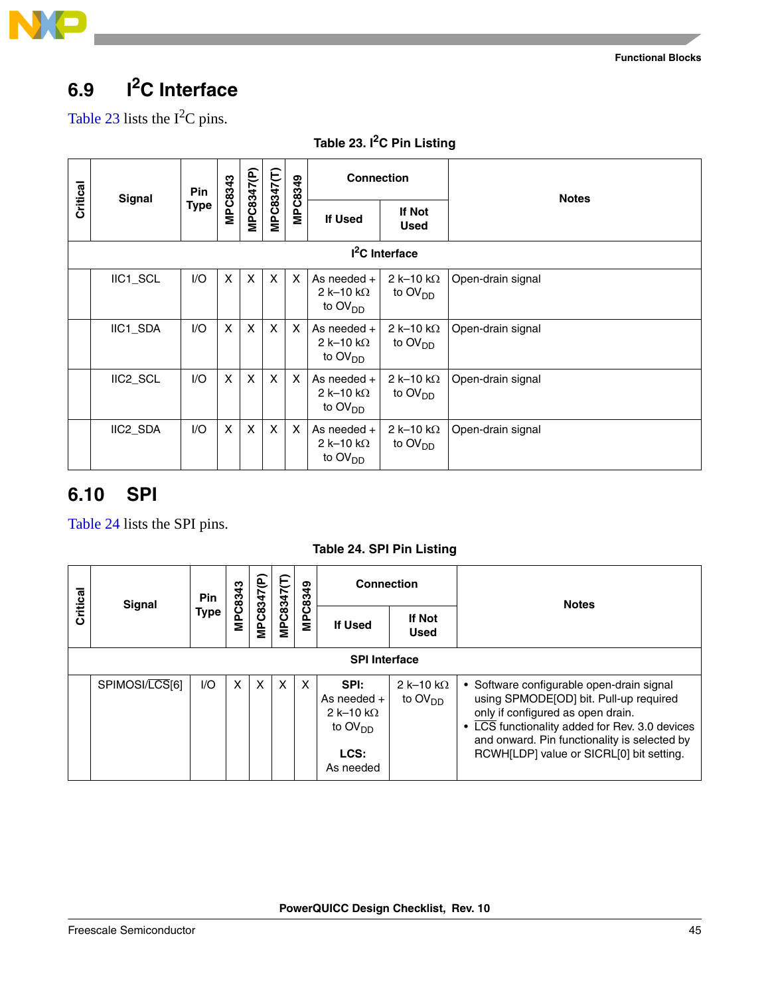

# **6.9 I2C Interface**

[Table 23](#page-44-0) lists the  $I^2C$  pins.

<span id="page-44-0"></span>

| Critical | <b>Signal</b>              | Pin         | MPC8343                   | MPC8347(P)   | MPC8347(T)   | MPC8349                   | <b>Connection</b>                                                |                                                 | <b>Notes</b>      |  |  |  |  |  |  |
|----------|----------------------------|-------------|---------------------------|--------------|--------------|---------------------------|------------------------------------------------------------------|-------------------------------------------------|-------------------|--|--|--|--|--|--|
|          |                            | <b>Type</b> |                           |              |              |                           | If Used                                                          | If Not<br><b>Used</b>                           |                   |  |  |  |  |  |  |
|          | I <sup>2</sup> C Interface |             |                           |              |              |                           |                                                                  |                                                 |                   |  |  |  |  |  |  |
|          | IIC1_SCL                   | I/O         | $\mathsf{X}$              | $\mathsf{x}$ | $\mathsf{x}$ | $\mathsf{x}$              | As needed $+$<br>2 k-10 k $\Omega$<br>to $\text{OV}_{\text{DD}}$ | 2 k-10 k $\Omega$<br>to $\text{OV}_{\text{DD}}$ | Open-drain signal |  |  |  |  |  |  |
|          | IIC1_SDA                   | I/O         | $\boldsymbol{\mathsf{X}}$ | X            | $\mathsf{x}$ | $\mathsf{x}$              | As needed $+$<br>2 k-10 k $\Omega$<br>to $\text{OV}_{\text{DD}}$ | 2 k-10 k $\Omega$<br>to $\text{OV}_{\text{DD}}$ | Open-drain signal |  |  |  |  |  |  |
|          | IIC2_SCL                   | I/O         | $\mathsf{x}$              | X            | X            | $\mathsf{x}$              | As needed $+$<br>2 k-10 k $\Omega$<br>to $OVDD$                  | 2 k-10 k $\Omega$<br>to $\text{OV}_{\text{DD}}$ | Open-drain signal |  |  |  |  |  |  |
|          | IIC2_SDA                   | I/O         | $\boldsymbol{\mathsf{X}}$ | X            | X            | $\boldsymbol{\mathsf{x}}$ | As needed $+$<br>2 k-10 k $\Omega$<br>to $\text{OV}_{\text{DD}}$ | 2 k-10 k $\Omega$<br>to $OVDD$                  | Open-drain signal |  |  |  |  |  |  |

### **Table 23. I2C Pin Listing**

### **6.10 SPI**

[Table 24](#page-44-1) lists the SPI pins.

**Table 24. SPI Pin Listing**

<span id="page-44-1"></span>

|          | <b>Signal</b>  | Pin         | MPC8343 |            |            | MPC8349 | <b>Connection</b>                                                            |                                | <b>Notes</b>                                                                                                                                                                                                                                                           |
|----------|----------------|-------------|---------|------------|------------|---------|------------------------------------------------------------------------------|--------------------------------|------------------------------------------------------------------------------------------------------------------------------------------------------------------------------------------------------------------------------------------------------------------------|
| Critical |                | <b>Type</b> |         | MPC8347(P) | MPC8347(T) |         | <b>If Used</b>                                                               | If Not<br><b>Used</b>          |                                                                                                                                                                                                                                                                        |
|          |                |             |         |            |            |         |                                                                              |                                |                                                                                                                                                                                                                                                                        |
|          | SPIMOSI/LCS[6] | 1/O         | X       | X          | X          | X       | SPI:<br>As needed $+$<br>2 k-10 k $\Omega$<br>to $OVDD$<br>LCS:<br>As needed | 2 k-10 k $\Omega$<br>to $OVDD$ | • Software configurable open-drain signal<br>using SPMODE[OD] bit. Pull-up required<br>only if configured as open drain.<br>• LCS functionality added for Rev. 3.0 devices<br>and onward. Pin functionality is selected by<br>RCWH[LDP] value or SICRL[0] bit setting. |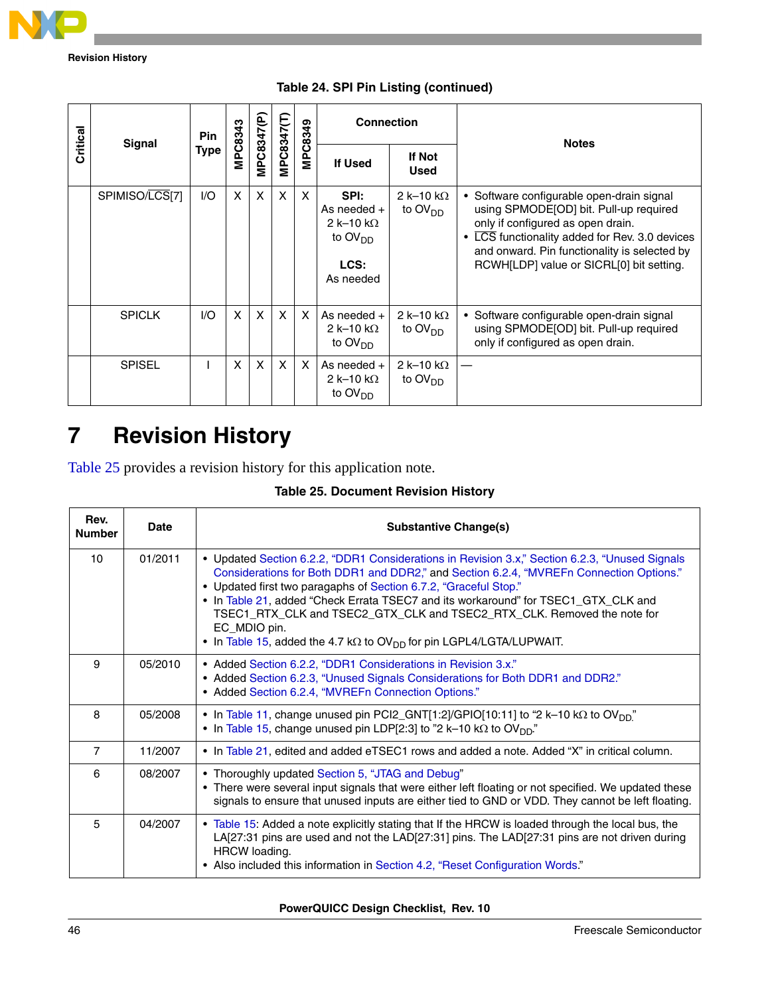

**Revision History**

|  | Critical<br><b>Signal</b> | <b>Pin</b><br>Type | MPC8343 | MPC8347(P                 | MPC8347(T)                | MPC8349 | <b>Connection</b>                                                            |                                          | <b>Notes</b>                                                                                                                                                                                                                                                         |
|--|---------------------------|--------------------|---------|---------------------------|---------------------------|---------|------------------------------------------------------------------------------|------------------------------------------|----------------------------------------------------------------------------------------------------------------------------------------------------------------------------------------------------------------------------------------------------------------------|
|  |                           |                    |         |                           |                           |         | <b>If Used</b>                                                               | If Not<br><b>Used</b>                    |                                                                                                                                                                                                                                                                      |
|  | SPIMISO/LCS[7]            | 1/O                | X       | $\mathsf{x}$              | X                         | X       | SPI:<br>As needed $+$<br>2 k–10 k $\Omega$<br>to $OVDD$<br>LCS:<br>As needed | 2 k-10 k $\Omega$<br>to $\text{OV}_{DD}$ | • Software configurable open-drain signal<br>using SPMODE[OD] bit. Pull-up required<br>only if configured as open drain.<br>LCS functionality added for Rev. 3.0 devices<br>and onward. Pin functionality is selected by<br>RCWH[LDP] value or SICRL[0] bit setting. |
|  | <b>SPICLK</b>             | 1/O                | X       | $\boldsymbol{\mathsf{X}}$ | X                         | X       | As needed $+$<br>2 k-10 k $\Omega$<br>to $\text{OV}_{\text{DD}}$             | 2 k–10 k $\Omega$<br>to $\text{OV}_{DD}$ | • Software configurable open-drain signal<br>using SPMODE[OD] bit. Pull-up required<br>only if configured as open drain.                                                                                                                                             |
|  | <b>SPISEL</b>             |                    | X       | $\mathsf{x}$              | $\boldsymbol{\mathsf{x}}$ | X       | As needed +<br>2 k-10 k $\Omega$<br>to $\text{OV}_{DD}$                      | 2 k-10 k $\Omega$<br>to $OVDD$           |                                                                                                                                                                                                                                                                      |

**Table 24. SPI Pin Listing (continued)**

# <span id="page-45-0"></span>**7 Revision History**

[Table 25](#page-45-1) provides a revision history for this application note.

| <b>Table 25. Document Revision History</b> |  |  |
|--------------------------------------------|--|--|
|--------------------------------------------|--|--|

<span id="page-45-1"></span>

| Rev.<br><b>Number</b> | Date    | <b>Substantive Change(s)</b>                                                                                                                                                                                                                                                                                                                                                                                                                                                                                                              |
|-----------------------|---------|-------------------------------------------------------------------------------------------------------------------------------------------------------------------------------------------------------------------------------------------------------------------------------------------------------------------------------------------------------------------------------------------------------------------------------------------------------------------------------------------------------------------------------------------|
| 10                    | 01/2011 | • Updated Section 6.2.2, "DDR1 Considerations in Revision 3.x," Section 6.2.3, "Unused Signals<br>Considerations for Both DDR1 and DDR2," and Section 6.2.4, "MVREFn Connection Options."<br>• Updated first two paragaphs of Section 6.7.2, "Graceful Stop."<br>• In Table 21, added "Check Errata TSEC7 and its workaround" for TSEC1_GTX_CLK and<br>TSEC1_RTX_CLK and TSEC2_GTX_CLK and TSEC2_RTX_CLK. Removed the note for<br>EC MDIO pin.<br>• In Table 15, added the 4.7 k $\Omega$ to OV <sub>DD</sub> for pin LGPL4/LGTA/LUPWAIT. |
| 9                     | 05/2010 | • Added Section 6.2.2, "DDR1 Considerations in Revision 3.x."<br>• Added Section 6.2.3, "Unused Signals Considerations for Both DDR1 and DDR2."<br>• Added Section 6.2.4, "MVREFn Connection Options."                                                                                                                                                                                                                                                                                                                                    |
| 8                     | 05/2008 | • In Table 11, change unused pin PCI2_GNT[1:2]/GPIO[10:11] to "2 k-10 k $\Omega$ to OV <sub>DD</sub> "<br>• In Table 15, change unused pin LDP[2:3] to "2 k-10 k $\Omega$ to OV <sub>DD</sub> ."                                                                                                                                                                                                                                                                                                                                          |
| $\overline{7}$        | 11/2007 | • In Table 21, edited and added eTSEC1 rows and added a note. Added "X" in critical column.                                                                                                                                                                                                                                                                                                                                                                                                                                               |
| 6                     | 08/2007 | • Thoroughly updated Section 5, "JTAG and Debug"<br>• There were several input signals that were either left floating or not specified. We updated these<br>signals to ensure that unused inputs are either tied to GND or VDD. They cannot be left floating.                                                                                                                                                                                                                                                                             |
| 5                     | 04/2007 | • Table 15: Added a note explicitly stating that If the HRCW is loaded through the local bus, the<br>LA[27:31 pins are used and not the LAD[27:31] pins. The LAD[27:31 pins are not driven during<br>HRCW loading.<br>• Also included this information in Section 4.2, "Reset Configuration Words."                                                                                                                                                                                                                                       |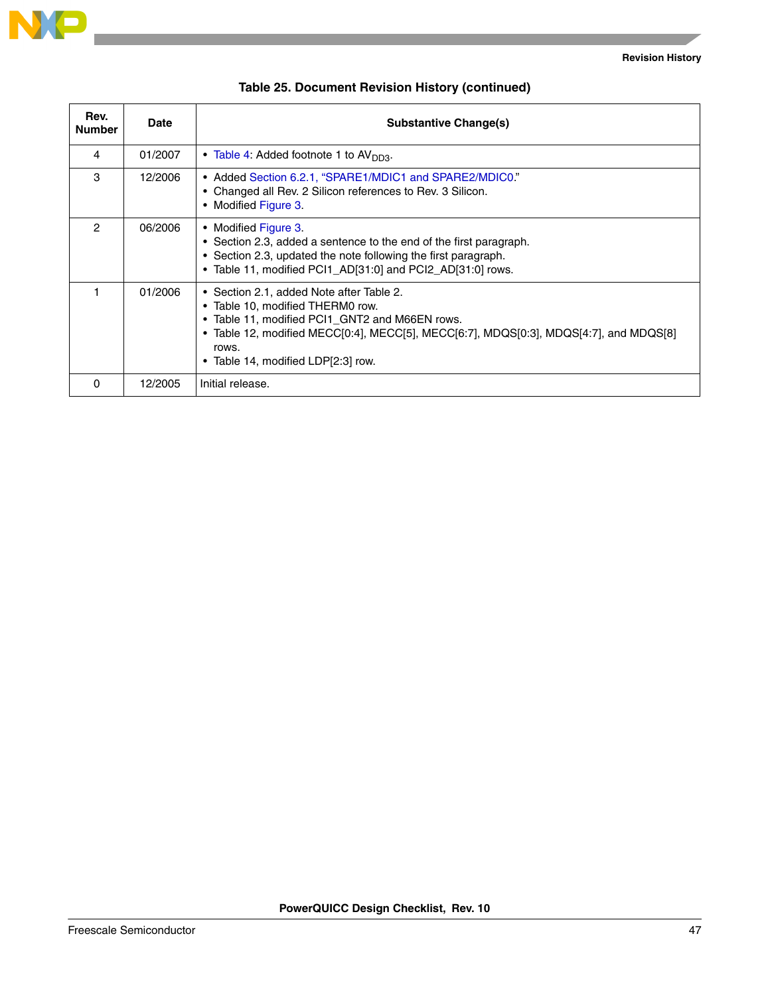

| Rev.<br><b>Number</b> | <b>Date</b> | <b>Substantive Change(s)</b>                                                                                                                                                                                                                                           |
|-----------------------|-------------|------------------------------------------------------------------------------------------------------------------------------------------------------------------------------------------------------------------------------------------------------------------------|
| 4                     | 01/2007     | • Table 4: Added footnote 1 to $AVDD3$ .                                                                                                                                                                                                                               |
| 3                     | 12/2006     | • Added Section 6.2.1, "SPARE1/MDIC1 and SPARE2/MDIC0."<br>Changed all Rev. 2 Silicon references to Rev. 3 Silicon.<br>$\bullet$<br>• Modified Figure 3.                                                                                                               |
| 2                     | 06/2006     | • Modified Figure 3.<br>• Section 2.3, added a sentence to the end of the first paragraph.<br>• Section 2.3, updated the note following the first paragraph.<br>• Table 11, modified PCI1_AD[31:0] and PCI2_AD[31:0] rows.                                             |
|                       | 01/2006     | • Section 2.1, added Note after Table 2.<br>• Table 10, modified THERM0 row.<br>• Table 11, modified PCI1_GNT2 and M66EN rows.<br>• Table 12, modified MECC[0:4], MECC[5], MECC[6:7], MDQS[0:3], MDQS[4:7], and MDQS[8]<br>rows.<br>• Table 14, modified LDP[2:3] row. |
| 0                     | 12/2005     | Initial release.                                                                                                                                                                                                                                                       |